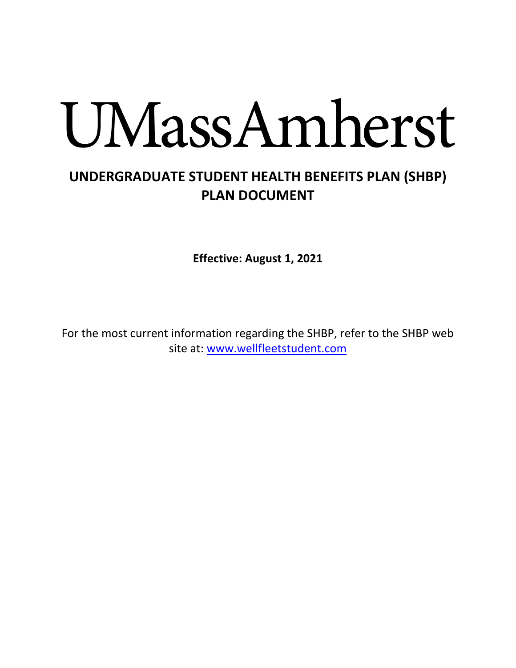# UMassAmherst

# **UNDERGRADUATE STUDENT HEALTH BENEFITS PLAN (SHBP) PLAN DOCUMENT**

**Effective: August 1, 2021**

For the most current information regarding the SHBP, refer to the SHBP web site at: [www.wellfleetstudent.com](http://www.wellfleetstudent.com/)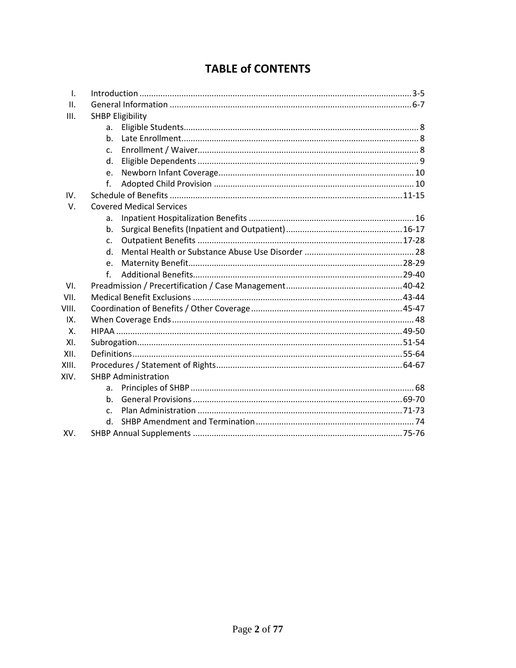| $\mathsf{L}$ |                                 |  |
|--------------|---------------------------------|--|
| II.          |                                 |  |
| III.         | <b>SHBP Eligibility</b>         |  |
|              | a.                              |  |
|              | $h_{\cdot}$                     |  |
|              | C.                              |  |
|              | d.                              |  |
|              | e.                              |  |
|              | f.                              |  |
| IV.          |                                 |  |
| $V_{\cdot}$  | <b>Covered Medical Services</b> |  |
|              | a.                              |  |
|              | b.                              |  |
|              | c.                              |  |
|              | $d_{\cdot}$                     |  |
|              | e.                              |  |
|              | f.                              |  |
| VI.          |                                 |  |
| VII.         |                                 |  |
| VIII.        |                                 |  |
| IX.          |                                 |  |
| $X_{-}$      |                                 |  |
| XI.          |                                 |  |
| XII.         |                                 |  |
| XIII.        |                                 |  |
| XIV.         | <b>SHBP Administration</b>      |  |
|              | a.                              |  |
|              | b.                              |  |
|              | C.                              |  |
|              | d.                              |  |
| XV.          |                                 |  |

## **TABLE of CONTENTS**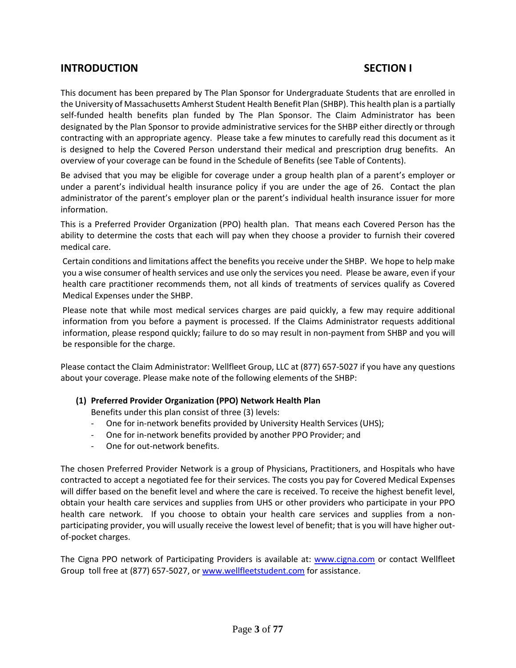### **INTRODUCTION SECTION I**

This document has been prepared by The Plan Sponsor for Undergraduate Students that are enrolled in the University of Massachusetts Amherst Student Health Benefit Plan (SHBP). This health plan is a partially self-funded health benefits plan funded by The Plan Sponsor. The Claim Administrator has been designated by the Plan Sponsor to provide administrative services for the SHBP either directly or through contracting with an appropriate agency. Please take a few minutes to carefully read this document as it is designed to help the Covered Person understand their medical and prescription drug benefits. An overview of your coverage can be found in the Schedule of Benefits (see Table of Contents).

Be advised that you may be eligible for coverage under a group health plan of a parent's employer or under a parent's individual health insurance policy if you are under the age of 26. Contact the plan administrator of the parent's employer plan or the parent's individual health insurance issuer for more information.

This is a Preferred Provider Organization (PPO) health plan. That means each Covered Person has the ability to determine the costs that each will pay when they choose a provider to furnish their covered medical care.

Certain conditions and limitations affect the benefits you receive under the SHBP. We hope to help make you a wise consumer of health services and use only the services you need. Please be aware, even if your health care practitioner recommends them, not all kinds of treatments of services qualify as Covered Medical Expenses under the SHBP.

Please note that while most medical services charges are paid quickly, a few may require additional information from you before a payment is processed. If the Claims Administrator requests additional information, please respond quickly; failure to do so may result in non-payment from SHBP and you will be responsible for the charge.

Please contact the Claim Administrator: Wellfleet Group, LLC at (877) 657-5027 if you have any questions about your coverage. Please make note of the following elements of the SHBP:

#### **(1) Preferred Provider Organization (PPO) Network Health Plan**

Benefits under this plan consist of three (3) levels:

- One for in-network benefits provided by University Health Services (UHS);
- One for in-network benefits provided by another PPO Provider; and
- One for out-network benefits.

The chosen Preferred Provider Network is a group of Physicians, Practitioners, and Hospitals who have contracted to accept a negotiated fee for their services. The costs you pay for Covered Medical Expenses will differ based on the benefit level and where the care is received. To receive the highest benefit level, obtain your health care services and supplies from UHS or other providers who participate in your PPO health care network. If you choose to obtain your health care services and supplies from a nonparticipating provider, you will usually receive the lowest level of benefit; that is you will have higher outof-pocket charges.

The Cigna PPO network of Participating Providers is available at: [www.cigna.com](http://www.cigna.com/) or contact Wellfleet Group toll free at (877) 657-5027, or [www.wellfleetstudent.com](http://www.wellfleetstudent.com/) for assistance.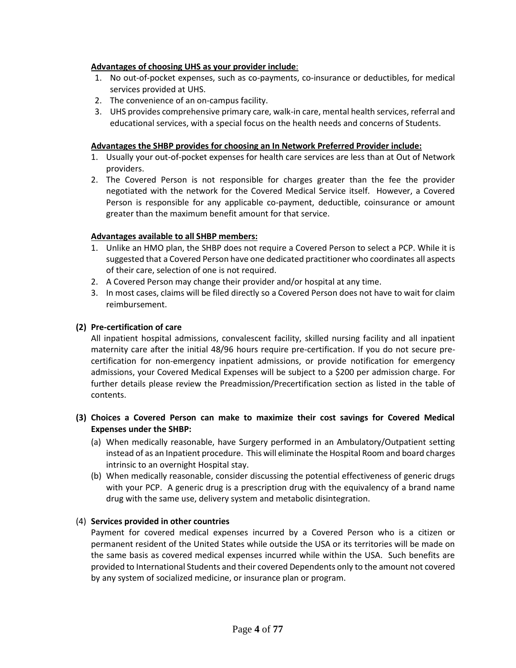#### **Advantages of choosing UHS as your provider include**:

- 1. No out-of-pocket expenses, such as co-payments, co-insurance or deductibles, for medical services provided at UHS.
- 2. The convenience of an on-campus facility.
- 3. UHS provides comprehensive primary care, walk-in care, mental health services, referral and educational services, with a special focus on the health needs and concerns of Students.

#### **Advantages the SHBP provides for choosing an In Network Preferred Provider include:**

- 1. Usually your out-of-pocket expenses for health care services are less than at Out of Network providers.
- 2. The Covered Person is not responsible for charges greater than the fee the provider negotiated with the network for the Covered Medical Service itself. However, a Covered Person is responsible for any applicable co-payment, deductible, coinsurance or amount greater than the maximum benefit amount for that service.

#### **Advantages available to all SHBP members:**

- 1. Unlike an HMO plan, the SHBP does not require a Covered Person to select a PCP. While it is suggested that a Covered Person have one dedicated practitioner who coordinates all aspects of their care, selection of one is not required.
- 2. A Covered Person may change their provider and/or hospital at any time.
- 3. In most cases, claims will be filed directly so a Covered Person does not have to wait for claim reimbursement.

#### **(2) Pre-certification of care**

All inpatient hospital admissions, convalescent facility, skilled nursing facility and all inpatient maternity care after the initial 48/96 hours require pre-certification. If you do not secure precertification for non-emergency inpatient admissions, or provide notification for emergency admissions, your Covered Medical Expenses will be subject to a \$200 per admission charge. For further details please review the Preadmission/Precertification section as listed in the table of contents.

#### **(3) Choices a Covered Person can make to maximize their cost savings for Covered Medical Expenses under the SHBP:**

- (a) When medically reasonable, have Surgery performed in an Ambulatory/Outpatient setting instead of as an Inpatient procedure. This will eliminate the Hospital Room and board charges intrinsic to an overnight Hospital stay.
- (b) When medically reasonable, consider discussing the potential effectiveness of generic drugs with your PCP. A generic drug is a prescription drug with the equivalency of a brand name drug with the same use, delivery system and metabolic disintegration.

#### (4) **Services provided in other countries**

Payment for covered medical expenses incurred by a Covered Person who is a citizen or permanent resident of the United States while outside the USA or its territories will be made on the same basis as covered medical expenses incurred while within the USA. Such benefits are provided to International Students and their covered Dependents only to the amount not covered by any system of socialized medicine, or insurance plan or program.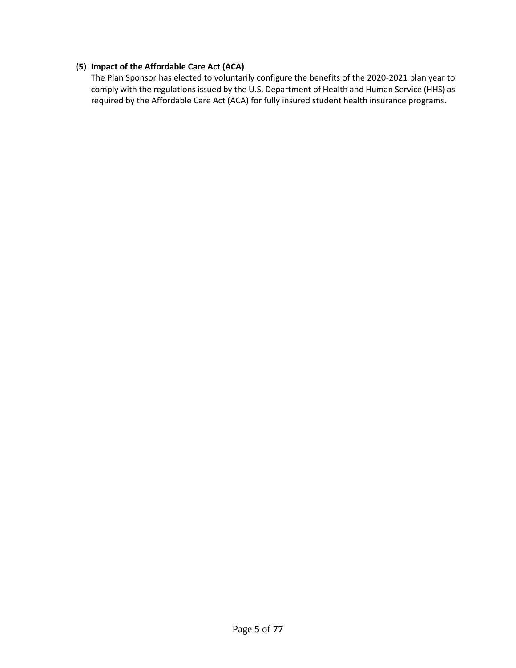#### **(5) Impact of the Affordable Care Act (ACA)**

The Plan Sponsor has elected to voluntarily configure the benefits of the 2020-2021 plan year to comply with the regulations issued by the U.S. Department of Health and Human Service (HHS) as required by the Affordable Care Act (ACA) for fully insured student health insurance programs.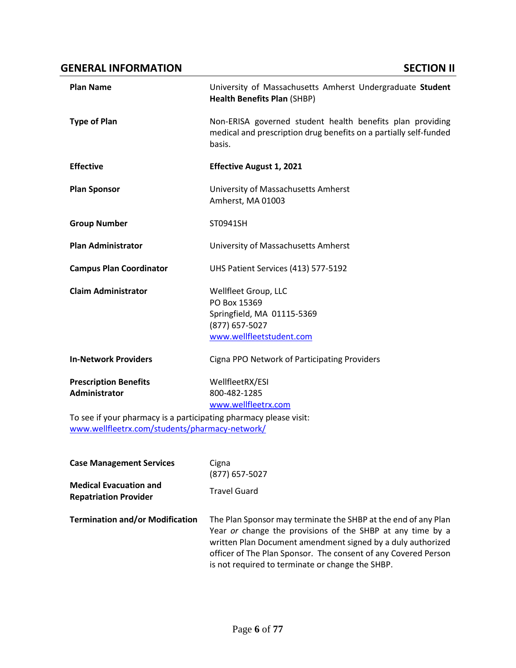#### **GENERAL INFORMATION SECTION II**

| <b>Plan Name</b>                                                                                                                                                     | University of Massachusetts Amherst Undergraduate Student<br><b>Health Benefits Plan (SHBP)</b>                                          |
|----------------------------------------------------------------------------------------------------------------------------------------------------------------------|------------------------------------------------------------------------------------------------------------------------------------------|
| <b>Type of Plan</b>                                                                                                                                                  | Non-ERISA governed student health benefits plan providing<br>medical and prescription drug benefits on a partially self-funded<br>basis. |
| <b>Effective</b>                                                                                                                                                     | <b>Effective August 1, 2021</b>                                                                                                          |
| <b>Plan Sponsor</b>                                                                                                                                                  | University of Massachusetts Amherst<br>Amherst, MA 01003                                                                                 |
| <b>Group Number</b>                                                                                                                                                  | ST0941SH                                                                                                                                 |
| <b>Plan Administrator</b>                                                                                                                                            | University of Massachusetts Amherst                                                                                                      |
| <b>Campus Plan Coordinator</b>                                                                                                                                       | UHS Patient Services (413) 577-5192                                                                                                      |
| <b>Claim Administrator</b>                                                                                                                                           | Wellfleet Group, LLC<br>PO Box 15369<br>Springfield, MA 01115-5369<br>(877) 657-5027<br>www.wellfleetstudent.com                         |
| <b>In-Network Providers</b>                                                                                                                                          | Cigna PPO Network of Participating Providers                                                                                             |
| <b>Prescription Benefits</b><br>Administrator<br>To see if your pharmacy is a participating pharmacy please visit:<br>www.wellfleetrx.com/students/pharmacy-network/ | WellfleetRX/ESI<br>800-482-1285<br>www.wellfleetrx.com                                                                                   |
|                                                                                                                                                                      |                                                                                                                                          |
| <b>Case Management Services</b>                                                                                                                                      | Cigna<br>(877) 657-5027                                                                                                                  |
| <b>Medical Evacuation and</b><br><b>Repatriation Provider</b>                                                                                                        | <b>Travel Guard</b>                                                                                                                      |

**Termination and/or Modification** The Plan Sponsor may terminate the SHBP at the end of any Plan Year *or* change the provisions of the SHBP at any time by a written Plan Document amendment signed by a duly authorized officer of The Plan Sponsor. The consent of any Covered Person is not required to terminate or change the SHBP.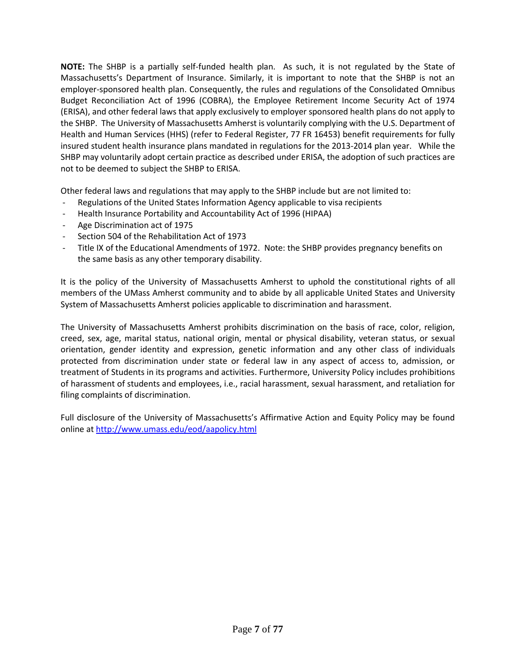**NOTE:** The SHBP is a partially self-funded health plan. As such, it is not regulated by the State of Massachusetts's Department of Insurance. Similarly, it is important to note that the SHBP is not an employer-sponsored health plan. Consequently, the rules and regulations of the Consolidated Omnibus Budget Reconciliation Act of 1996 (COBRA), the Employee Retirement Income Security Act of 1974 (ERISA), and other federal laws that apply exclusively to employer sponsored health plans do not apply to the SHBP. The University of Massachusetts Amherst is voluntarily complying with the U.S. Department of Health and Human Services (HHS) (refer to Federal Register, 77 FR 16453) benefit requirements for fully insured student health insurance plans mandated in regulations for the 2013-2014 plan year. While the SHBP may voluntarily adopt certain practice as described under ERISA, the adoption of such practices are not to be deemed to subject the SHBP to ERISA.

Other federal laws and regulations that may apply to the SHBP include but are not limited to:

- Regulations of the United States Information Agency applicable to visa recipients
- Health Insurance Portability and Accountability Act of 1996 (HIPAA)
- Age Discrimination act of 1975
- Section 504 of the Rehabilitation Act of 1973
- Title IX of the Educational Amendments of 1972. Note: the SHBP provides pregnancy benefits on the same basis as any other temporary disability.

It is the policy of the University of Massachusetts Amherst to uphold the constitutional rights of all members of the UMass Amherst community and to abide by all applicable United States and University System of Massachusetts Amherst policies applicable to discrimination and harassment.

The University of Massachusetts Amherst prohibits discrimination on the basis of race, color, religion, creed, sex, age, marital status, national origin, mental or physical disability, veteran status, or sexual orientation, gender identity and expression, genetic information and any other class of individuals protected from discrimination under state or federal law in any aspect of access to, admission, or treatment of Students in its programs and activities. Furthermore, University Policy includes prohibitions of harassment of students and employees, i.e., racial harassment, sexual harassment, and retaliation for filing complaints of discrimination.

Full disclosure of the University of Massachusetts's Affirmative Action and Equity Policy may be found online at<http://www.umass.edu/eod/aapolicy.html>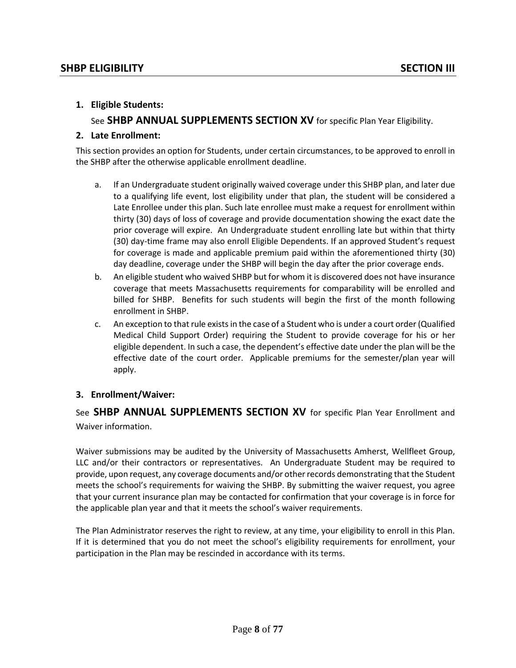#### **1. Eligible Students:**

See **SHBP ANNUAL SUPPLEMENTS SECTION XV** for specific Plan Year Eligibility.

#### **2. Late Enrollment:**

This section provides an option for Students, under certain circumstances, to be approved to enroll in the SHBP after the otherwise applicable enrollment deadline.

- a. If an Undergraduate student originally waived coverage under this SHBP plan, and later due to a qualifying life event, lost eligibility under that plan, the student will be considered a Late Enrollee under this plan. Such late enrollee must make a request for enrollment within thirty (30) days of loss of coverage and provide documentation showing the exact date the prior coverage will expire. An Undergraduate student enrolling late but within that thirty (30) day-time frame may also enroll Eligible Dependents. If an approved Student's request for coverage is made and applicable premium paid within the aforementioned thirty (30) day deadline, coverage under the SHBP will begin the day after the prior coverage ends.
- b. An eligible student who waived SHBP but for whom it is discovered does not have insurance coverage that meets Massachusetts requirements for comparability will be enrolled and billed for SHBP. Benefits for such students will begin the first of the month following enrollment in SHBP.
- c. An exception to that rule exists in the case of a Student who is under a court order (Qualified Medical Child Support Order) requiring the Student to provide coverage for his or her eligible dependent. In such a case, the dependent's effective date under the plan will be the effective date of the court order. Applicable premiums for the semester/plan year will apply.

#### **3. Enrollment/Waiver:**

See **SHBP ANNUAL SUPPLEMENTS SECTION XV** for specific Plan Year Enrollment and Waiver information.

Waiver submissions may be audited by the University of Massachusetts Amherst, Wellfleet Group, LLC and/or their contractors or representatives. An Undergraduate Student may be required to provide, upon request, any coverage documents and/or other records demonstrating that the Student meets the school's requirements for waiving the SHBP. By submitting the waiver request, you agree that your current insurance plan may be contacted for confirmation that your coverage is in force for the applicable plan year and that it meets the school's waiver requirements.

The Plan Administrator reserves the right to review, at any time, your eligibility to enroll in this Plan. If it is determined that you do not meet the school's eligibility requirements for enrollment, your participation in the Plan may be rescinded in accordance with its terms.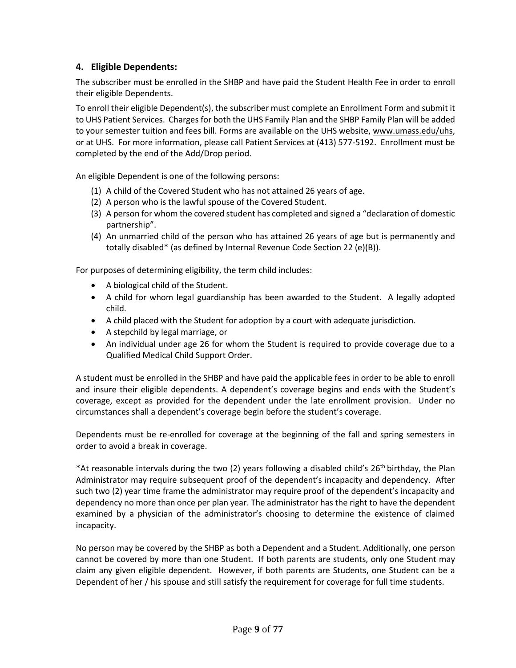#### **4. Eligible Dependents:**

The subscriber must be enrolled in the SHBP and have paid the Student Health Fee in order to enroll their eligible Dependents.

To enroll their eligible Dependent(s), the subscriber must complete an Enrollment Form and submit it to UHS Patient Services. Charges for both the UHS Family Plan and the SHBP Family Plan will be added to your semester tuition and fees bill. Forms are available on the UHS website[, www.umass.edu/uhs,](http://www.umass.edu/uhs) or at UHS. For more information, please call Patient Services at (413) 577-5192. Enrollment must be completed by the end of the Add/Drop period.

An eligible Dependent is one of the following persons:

- (1) A child of the Covered Student who has not attained 26 years of age.
- (2) A person who is the lawful spouse of the Covered Student.
- (3) A person for whom the covered student has completed and signed a "declaration of domestic partnership".
- (4) An unmarried child of the person who has attained 26 years of age but is permanently and totally disabled\* (as defined by Internal Revenue Code Section 22 (e)(B)).

For purposes of determining eligibility, the term child includes:

- A biological child of the Student.
- A child for whom legal guardianship has been awarded to the Student. A legally adopted child.
- A child placed with the Student for adoption by a court with adequate jurisdiction.
- A stepchild by legal marriage, or
- An individual under age 26 for whom the Student is required to provide coverage due to a Qualified Medical Child Support Order.

A student must be enrolled in the SHBP and have paid the applicable fees in order to be able to enroll and insure their eligible dependents. A dependent's coverage begins and ends with the Student's coverage, except as provided for the dependent under the late enrollment provision. Under no circumstances shall a dependent's coverage begin before the student's coverage.

Dependents must be re-enrolled for coverage at the beginning of the fall and spring semesters in order to avoid a break in coverage.

\*At reasonable intervals during the two (2) years following a disabled child's 26<sup>th</sup> birthday, the Plan Administrator may require subsequent proof of the dependent's incapacity and dependency. After such two (2) year time frame the administrator may require proof of the dependent's incapacity and dependency no more than once per plan year. The administrator has the right to have the dependent examined by a physician of the administrator's choosing to determine the existence of claimed incapacity.

No person may be covered by the SHBP as both a Dependent and a Student. Additionally, one person cannot be covered by more than one Student. If both parents are students, only one Student may claim any given eligible dependent. However, if both parents are Students, one Student can be a Dependent of her / his spouse and still satisfy the requirement for coverage for full time students.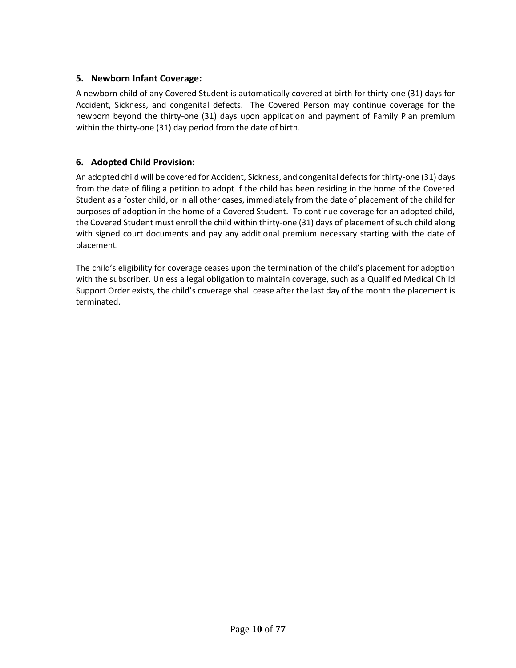#### **5. Newborn Infant Coverage:**

A newborn child of any Covered Student is automatically covered at birth for thirty-one (31) days for Accident, Sickness, and congenital defects. The Covered Person may continue coverage for the newborn beyond the thirty-one (31) days upon application and payment of Family Plan premium within the thirty-one (31) day period from the date of birth.

#### **6. Adopted Child Provision:**

An adopted child will be covered for Accident, Sickness, and congenital defects for thirty-one (31) days from the date of filing a petition to adopt if the child has been residing in the home of the Covered Student as a foster child, or in all other cases, immediately from the date of placement of the child for purposes of adoption in the home of a Covered Student. To continue coverage for an adopted child, the Covered Student must enroll the child within thirty-one (31) days of placement of such child along with signed court documents and pay any additional premium necessary starting with the date of placement.

The child's eligibility for coverage ceases upon the termination of the child's placement for adoption with the subscriber. Unless a legal obligation to maintain coverage, such as a Qualified Medical Child Support Order exists, the child's coverage shall cease after the last day of the month the placement is terminated.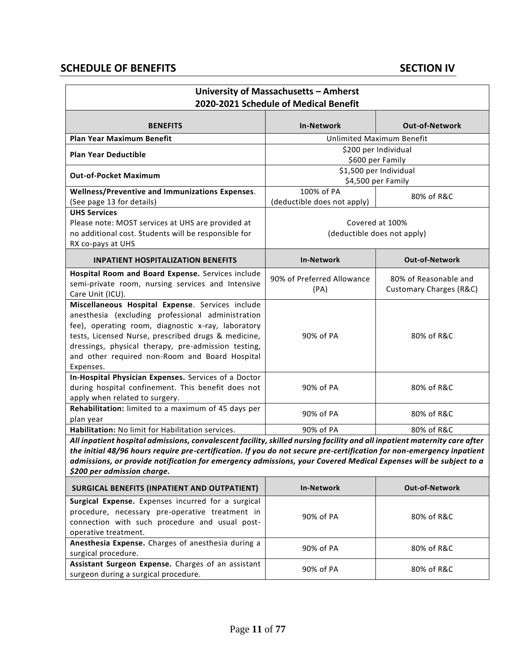## **SCHEDULE OF BENEFITS** SECTION IV

| University of Massachusetts - Amherst<br>2020-2021 Schedule of Medical Benefit                                                                                                                                                                                                                                                                                                                        |                                                |                                                  |  |
|-------------------------------------------------------------------------------------------------------------------------------------------------------------------------------------------------------------------------------------------------------------------------------------------------------------------------------------------------------------------------------------------------------|------------------------------------------------|--------------------------------------------------|--|
| <b>BENEFITS</b>                                                                                                                                                                                                                                                                                                                                                                                       | <b>In-Network</b>                              | <b>Out-of-Network</b>                            |  |
| <b>Plan Year Maximum Benefit</b>                                                                                                                                                                                                                                                                                                                                                                      |                                                | Unlimited Maximum Benefit                        |  |
| <b>Plan Year Deductible</b>                                                                                                                                                                                                                                                                                                                                                                           | \$200 per Individual<br>\$600 per Family       |                                                  |  |
| <b>Out-of-Pocket Maximum</b>                                                                                                                                                                                                                                                                                                                                                                          | \$1,500 per Individual<br>\$4,500 per Family   |                                                  |  |
| Wellness/Preventive and Immunizations Expenses.<br>(See page 13 for details)                                                                                                                                                                                                                                                                                                                          | 100% of PA<br>(deductible does not apply)      | 80% of R&C                                       |  |
| <b>UHS Services</b><br>Please note: MOST services at UHS are provided at<br>no additional cost. Students will be responsible for<br>RX co-pays at UHS                                                                                                                                                                                                                                                 | Covered at 100%<br>(deductible does not apply) |                                                  |  |
| <b>INPATIENT HOSPITALIZATION BENEFITS</b>                                                                                                                                                                                                                                                                                                                                                             | <b>In-Network</b>                              | <b>Out-of-Network</b>                            |  |
| Hospital Room and Board Expense. Services include<br>semi-private room, nursing services and Intensive<br>Care Unit (ICU).                                                                                                                                                                                                                                                                            | 90% of Preferred Allowance<br>(PA)             | 80% of Reasonable and<br>Customary Charges (R&C) |  |
| Miscellaneous Hospital Expense. Services include<br>anesthesia (excluding professional administration<br>fee), operating room, diagnostic x-ray, laboratory<br>tests, Licensed Nurse, prescribed drugs & medicine,<br>dressings, physical therapy, pre-admission testing,<br>and other required non-Room and Board Hospital<br>Expenses.                                                              | 90% of PA                                      | 80% of R&C                                       |  |
| In-Hospital Physician Expenses. Services of a Doctor<br>during hospital confinement. This benefit does not<br>apply when related to surgery.                                                                                                                                                                                                                                                          | 90% of PA                                      | 80% of R&C                                       |  |
| Rehabilitation: limited to a maximum of 45 days per<br>plan year                                                                                                                                                                                                                                                                                                                                      | 90% of PA                                      | 80% of R&C                                       |  |
| Habilitation: No limit for Habilitation services.                                                                                                                                                                                                                                                                                                                                                     | 90% of PA                                      | 80% of R&C                                       |  |
| All inpatient hospital admissions, convalescent facility, skilled nursing facility and all inpatient maternity care after<br>the initial 48/96 hours require pre-certification. If you do not secure pre-certification for non-emergency inpatient<br>admissions, or provide notification for emergency admissions, your Covered Medical Expenses will be subject to a<br>\$200 per admission charge. |                                                |                                                  |  |
| <b>SURGICAL BENEFITS (INPATIENT AND OUTPATIENT)</b>                                                                                                                                                                                                                                                                                                                                                   | <b>In-Network</b>                              | <b>Out-of-Network</b>                            |  |
| Surgical Expense. Expenses incurred for a surgical<br>procedure, necessary pre-operative treatment in<br>connection with such procedure and usual post-<br>operative treatment.                                                                                                                                                                                                                       | 90% of PA                                      | 80% of R&C                                       |  |
| Anesthesia Expense. Charges of anesthesia during a<br>surgical procedure.                                                                                                                                                                                                                                                                                                                             | 90% of PA                                      | 80% of R&C                                       |  |
| Assistant Surgeon Expense. Charges of an assistant<br>surgeon during a surgical procedure.                                                                                                                                                                                                                                                                                                            | 90% of PA                                      | 80% of R&C                                       |  |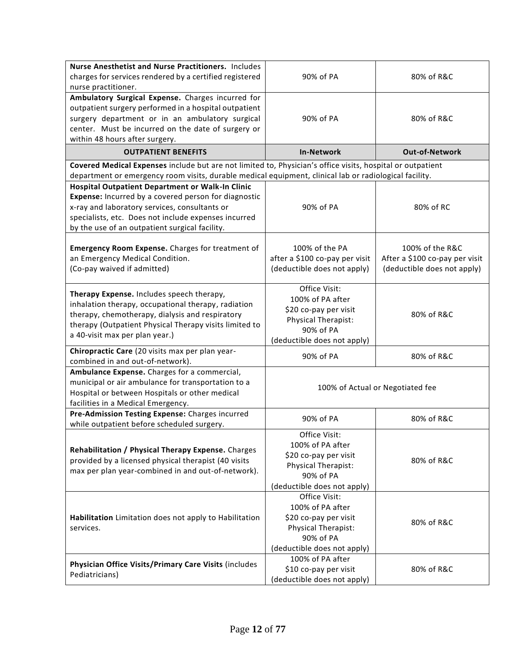| Nurse Anesthetist and Nurse Practitioners. Includes                                                        |                                   |                                  |
|------------------------------------------------------------------------------------------------------------|-----------------------------------|----------------------------------|
| charges for services rendered by a certified registered                                                    | 90% of PA                         | 80% of R&C                       |
| nurse practitioner.                                                                                        |                                   |                                  |
| Ambulatory Surgical Expense. Charges incurred for                                                          |                                   |                                  |
| outpatient surgery performed in a hospital outpatient                                                      |                                   |                                  |
| surgery department or in an ambulatory surgical                                                            | 90% of PA                         | 80% of R&C                       |
| center. Must be incurred on the date of surgery or                                                         |                                   |                                  |
| within 48 hours after surgery.                                                                             |                                   |                                  |
| <b>OUTPATIENT BENEFITS</b>                                                                                 | <b>In-Network</b>                 | <b>Out-of-Network</b>            |
| Covered Medical Expenses include but are not limited to, Physician's office visits, hospital or outpatient |                                   |                                  |
| department or emergency room visits, durable medical equipment, clinical lab or radiological facility.     |                                   |                                  |
| Hospital Outpatient Department or Walk-In Clinic                                                           |                                   |                                  |
| Expense: Incurred by a covered person for diagnostic                                                       |                                   |                                  |
| x-ray and laboratory services, consultants or                                                              | 90% of PA                         | 80% of RC                        |
| specialists, etc. Does not include expenses incurred                                                       |                                   |                                  |
| by the use of an outpatient surgical facility.                                                             |                                   |                                  |
|                                                                                                            |                                   |                                  |
| Emergency Room Expense. Charges for treatment of                                                           | 100% of the PA                    | 100% of the R&C                  |
| an Emergency Medical Condition.                                                                            | after a \$100 co-pay per visit    | After a \$100 co-pay per visit   |
| (Co-pay waived if admitted)                                                                                | (deductible does not apply)       | (deductible does not apply)      |
|                                                                                                            | Office Visit:                     |                                  |
| Therapy Expense. Includes speech therapy,                                                                  | 100% of PA after                  |                                  |
| inhalation therapy, occupational therapy, radiation                                                        | \$20 co-pay per visit             |                                  |
| therapy, chemotherapy, dialysis and respiratory                                                            | Physical Therapist:               | 80% of R&C                       |
| therapy (Outpatient Physical Therapy visits limited to                                                     | 90% of PA                         |                                  |
| a 40-visit max per plan year.)                                                                             | (deductible does not apply)       |                                  |
| Chiropractic Care (20 visits max per plan year-                                                            | 90% of PA                         | 80% of R&C                       |
| combined in and out-of-network).                                                                           |                                   |                                  |
| Ambulance Expense. Charges for a commercial,                                                               |                                   |                                  |
| municipal or air ambulance for transportation to a                                                         |                                   | 100% of Actual or Negotiated fee |
| Hospital or between Hospitals or other medical                                                             |                                   |                                  |
| facilities in a Medical Emergency.                                                                         |                                   |                                  |
| Pre-Admission Testing Expense: Charges incurred                                                            | 90% of PA                         | 80% of R&C                       |
| while outpatient before scheduled surgery.                                                                 |                                   |                                  |
|                                                                                                            | Office Visit:<br>100% of PA after |                                  |
| Rehabilitation / Physical Therapy Expense. Charges                                                         | \$20 co-pay per visit             |                                  |
| provided by a licensed physical therapist (40 visits                                                       | Physical Therapist:               | 80% of R&C                       |
| max per plan year-combined in and out-of-network).                                                         | 90% of PA                         |                                  |
|                                                                                                            | (deductible does not apply)       |                                  |
|                                                                                                            | Office Visit:                     |                                  |
|                                                                                                            | 100% of PA after                  |                                  |
| Habilitation Limitation does not apply to Habilitation                                                     | \$20 co-pay per visit             |                                  |
| services.                                                                                                  | Physical Therapist:               | 80% of R&C                       |
|                                                                                                            | 90% of PA                         |                                  |
|                                                                                                            | (deductible does not apply)       |                                  |
|                                                                                                            | 100% of PA after                  |                                  |
| Physician Office Visits/Primary Care Visits (includes                                                      | \$10 co-pay per visit             | 80% of R&C                       |
| Pediatricians)                                                                                             | (deductible does not apply)       |                                  |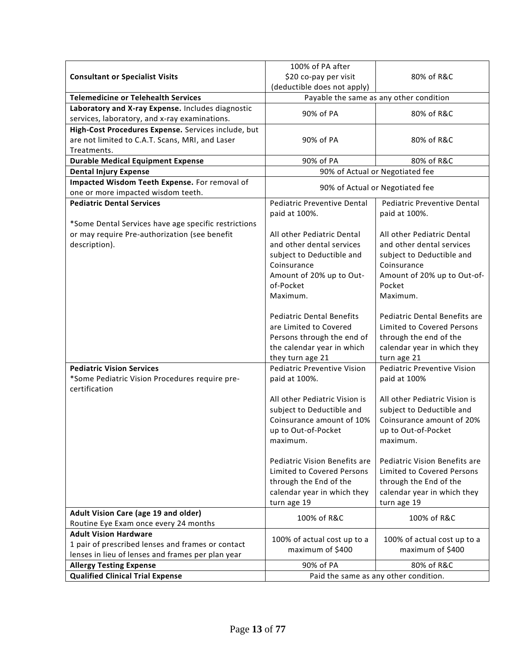|                                                                                                    | 100% of PA after                      |                                         |
|----------------------------------------------------------------------------------------------------|---------------------------------------|-----------------------------------------|
| <b>Consultant or Specialist Visits</b>                                                             | \$20 co-pay per visit                 | 80% of R&C                              |
|                                                                                                    | (deductible does not apply)           |                                         |
| <b>Telemedicine or Telehealth Services</b>                                                         |                                       | Payable the same as any other condition |
| Laboratory and X-ray Expense. Includes diagnostic<br>services, laboratory, and x-ray examinations. | 90% of PA                             | 80% of R&C                              |
| High-Cost Procedures Expense. Services include, but                                                |                                       |                                         |
| are not limited to C.A.T. Scans, MRI, and Laser                                                    | 90% of PA                             | 80% of R&C                              |
| Treatments.                                                                                        |                                       |                                         |
| <b>Durable Medical Equipment Expense</b>                                                           | 90% of PA                             | 80% of R&C                              |
| <b>Dental Injury Expense</b>                                                                       |                                       | 90% of Actual or Negotiated fee         |
| Impacted Wisdom Teeth Expense. For removal of                                                      |                                       | 90% of Actual or Negotiated fee         |
| one or more impacted wisdom teeth.                                                                 |                                       |                                         |
| <b>Pediatric Dental Services</b>                                                                   | <b>Pediatric Preventive Dental</b>    | <b>Pediatric Preventive Dental</b>      |
|                                                                                                    | paid at 100%.                         | paid at 100%.                           |
| *Some Dental Services have age specific restrictions                                               |                                       |                                         |
| or may require Pre-authorization (see benefit                                                      | All other Pediatric Dental            | All other Pediatric Dental              |
| description).                                                                                      | and other dental services             | and other dental services               |
|                                                                                                    | subject to Deductible and             | subject to Deductible and               |
|                                                                                                    | Coinsurance                           | Coinsurance                             |
|                                                                                                    | Amount of 20% up to Out-<br>of-Pocket | Amount of 20% up to Out-of-<br>Pocket   |
|                                                                                                    | Maximum.                              | Maximum.                                |
|                                                                                                    |                                       |                                         |
|                                                                                                    | <b>Pediatric Dental Benefits</b>      | Pediatric Dental Benefits are           |
|                                                                                                    | are Limited to Covered                | Limited to Covered Persons              |
|                                                                                                    | Persons through the end of            | through the end of the                  |
|                                                                                                    | the calendar year in which            | calendar year in which they             |
|                                                                                                    | they turn age 21                      | turn age 21                             |
| <b>Pediatric Vision Services</b>                                                                   | <b>Pediatric Preventive Vision</b>    | <b>Pediatric Preventive Vision</b>      |
| *Some Pediatric Vision Procedures require pre-<br>certification                                    | paid at 100%.                         | paid at 100%                            |
|                                                                                                    | All other Pediatric Vision is         | All other Pediatric Vision is           |
|                                                                                                    | subject to Deductible and             | subject to Deductible and               |
|                                                                                                    | Coinsurance amount of 10%             | Coinsurance amount of 20%               |
|                                                                                                    | up to Out-of-Pocket                   | up to Out-of-Pocket                     |
|                                                                                                    | maximum.                              | maximum.                                |
|                                                                                                    | <b>Pediatric Vision Benefits are</b>  | Pediatric Vision Benefits are           |
|                                                                                                    | Limited to Covered Persons            | Limited to Covered Persons              |
|                                                                                                    | through the End of the                | through the End of the                  |
|                                                                                                    | calendar year in which they           | calendar year in which they             |
|                                                                                                    | turn age 19                           | turn age 19                             |
| Adult Vision Care (age 19 and older)                                                               |                                       |                                         |
| Routine Eye Exam once every 24 months                                                              | 100% of R&C                           | 100% of R&C                             |
| <b>Adult Vision Hardware</b>                                                                       |                                       |                                         |
| 1 pair of prescribed lenses and frames or contact                                                  | 100% of actual cost up to a           | 100% of actual cost up to a             |
| lenses in lieu of lenses and frames per plan year                                                  | maximum of \$400                      | maximum of \$400                        |
| <b>Allergy Testing Expense</b>                                                                     | 90% of PA                             | 80% of R&C                              |
| <b>Qualified Clinical Trial Expense</b>                                                            | Paid the same as any other condition. |                                         |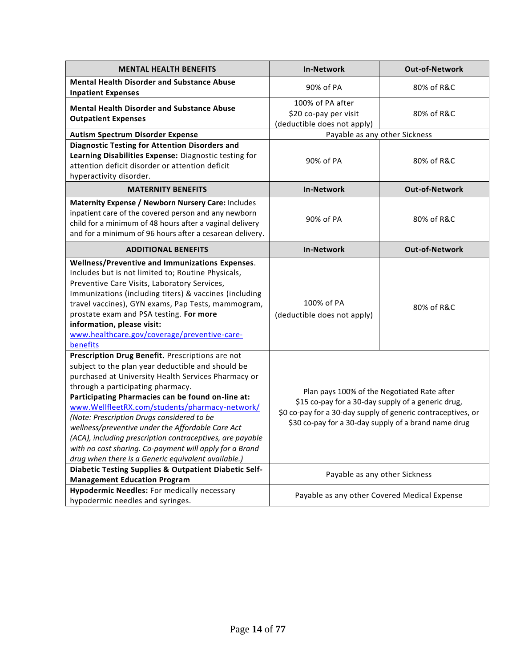| <b>MENTAL HEALTH BENEFITS</b>                                                                                                                                                                                                                                                                                                                                                                                                                                                                                                                                                              | <b>In-Network</b>                                                                                                                                                                                                         | <b>Out-of-Network</b> |
|--------------------------------------------------------------------------------------------------------------------------------------------------------------------------------------------------------------------------------------------------------------------------------------------------------------------------------------------------------------------------------------------------------------------------------------------------------------------------------------------------------------------------------------------------------------------------------------------|---------------------------------------------------------------------------------------------------------------------------------------------------------------------------------------------------------------------------|-----------------------|
| <b>Mental Health Disorder and Substance Abuse</b><br><b>Inpatient Expenses</b>                                                                                                                                                                                                                                                                                                                                                                                                                                                                                                             | 90% of PA                                                                                                                                                                                                                 | 80% of R&C            |
| <b>Mental Health Disorder and Substance Abuse</b><br><b>Outpatient Expenses</b>                                                                                                                                                                                                                                                                                                                                                                                                                                                                                                            | 100% of PA after<br>\$20 co-pay per visit<br>(deductible does not apply)                                                                                                                                                  | 80% of R&C            |
| <b>Autism Spectrum Disorder Expense</b>                                                                                                                                                                                                                                                                                                                                                                                                                                                                                                                                                    | Payable as any other Sickness                                                                                                                                                                                             |                       |
| <b>Diagnostic Testing for Attention Disorders and</b><br>Learning Disabilities Expense: Diagnostic testing for<br>attention deficit disorder or attention deficit<br>hyperactivity disorder.                                                                                                                                                                                                                                                                                                                                                                                               | 90% of PA                                                                                                                                                                                                                 | 80% of R&C            |
| <b>MATERNITY BENEFITS</b>                                                                                                                                                                                                                                                                                                                                                                                                                                                                                                                                                                  | <b>In-Network</b>                                                                                                                                                                                                         | <b>Out-of-Network</b> |
| Maternity Expense / Newborn Nursery Care: Includes<br>inpatient care of the covered person and any newborn<br>child for a minimum of 48 hours after a vaginal delivery<br>and for a minimum of 96 hours after a cesarean delivery.                                                                                                                                                                                                                                                                                                                                                         | 90% of PA                                                                                                                                                                                                                 | 80% of R&C            |
| <b>ADDITIONAL BENEFITS</b>                                                                                                                                                                                                                                                                                                                                                                                                                                                                                                                                                                 | <b>In-Network</b>                                                                                                                                                                                                         | Out-of-Network        |
| Wellness/Preventive and Immunizations Expenses.<br>Includes but is not limited to; Routine Physicals,<br>Preventive Care Visits, Laboratory Services,<br>Immunizations (including titers) & vaccines (including<br>travel vaccines), GYN exams, Pap Tests, mammogram,<br>prostate exam and PSA testing. For more<br>information, please visit:<br>www.healthcare.gov/coverage/preventive-care-<br>benefits                                                                                                                                                                                 | 100% of PA<br>(deductible does not apply)                                                                                                                                                                                 | 80% of R&C            |
| Prescription Drug Benefit. Prescriptions are not<br>subject to the plan year deductible and should be<br>purchased at University Health Services Pharmacy or<br>through a participating pharmacy.<br>Participating Pharmacies can be found on-line at:<br>www.WellfleetRX.com/students/pharmacy-network/<br>(Note: Prescription Drugs considered to be<br>wellness/preventive under the Affordable Care Act<br>(ACA), including prescription contraceptives, are payable<br>with no cost sharing. Co-payment will apply for a Brand<br>drug when there is a Generic equivalent available.) | Plan pays 100% of the Negotiated Rate after<br>\$15 co-pay for a 30-day supply of a generic drug,<br>\$0 co-pay for a 30-day supply of generic contraceptives, or<br>\$30 co-pay for a 30-day supply of a brand name drug |                       |
| Diabetic Testing Supplies & Outpatient Diabetic Self-<br><b>Management Education Program</b>                                                                                                                                                                                                                                                                                                                                                                                                                                                                                               | Payable as any other Sickness                                                                                                                                                                                             |                       |
| <b>Hypodermic Needles: For medically necessary</b><br>hypodermic needles and syringes.                                                                                                                                                                                                                                                                                                                                                                                                                                                                                                     | Payable as any other Covered Medical Expense                                                                                                                                                                              |                       |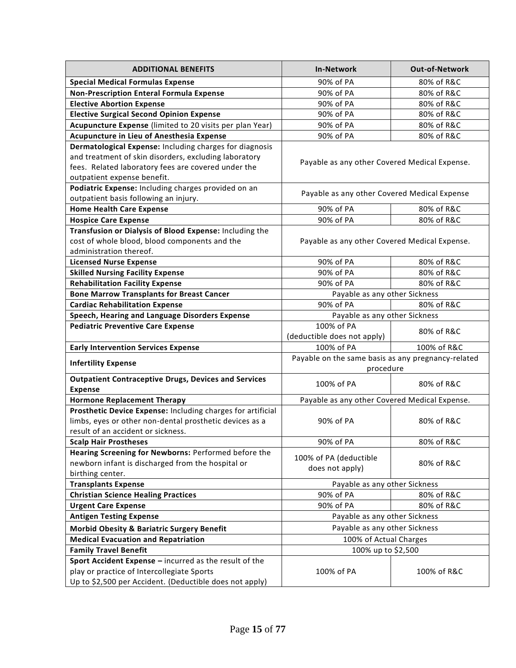| <b>ADDITIONAL BENEFITS</b>                                  | <b>In-Network</b>                                  | Out-of-Network |
|-------------------------------------------------------------|----------------------------------------------------|----------------|
| <b>Special Medical Formulas Expense</b>                     | 90% of PA                                          | 80% of R&C     |
| <b>Non-Prescription Enteral Formula Expense</b>             | 90% of PA                                          | 80% of R&C     |
| <b>Elective Abortion Expense</b>                            | 90% of PA                                          | 80% of R&C     |
| <b>Elective Surgical Second Opinion Expense</b>             | 90% of PA                                          | 80% of R&C     |
| Acupuncture Expense (limited to 20 visits per plan Year)    | 90% of PA                                          | 80% of R&C     |
| Acupuncture in Lieu of Anesthesia Expense                   | 90% of PA                                          | 80% of R&C     |
| Dermatological Expense: Including charges for diagnosis     |                                                    |                |
| and treatment of skin disorders, excluding laboratory       | Payable as any other Covered Medical Expense.      |                |
| fees. Related laboratory fees are covered under the         |                                                    |                |
| outpatient expense benefit.                                 |                                                    |                |
| Podiatric Expense: Including charges provided on an         |                                                    |                |
| outpatient basis following an injury.                       | Payable as any other Covered Medical Expense       |                |
| <b>Home Health Care Expense</b>                             | 90% of PA                                          | 80% of R&C     |
| <b>Hospice Care Expense</b>                                 | 90% of PA                                          | 80% of R&C     |
| Transfusion or Dialysis of Blood Expense: Including the     |                                                    |                |
| cost of whole blood, blood components and the               | Payable as any other Covered Medical Expense.      |                |
| administration thereof.                                     |                                                    |                |
| <b>Licensed Nurse Expense</b>                               | 90% of PA                                          | 80% of R&C     |
| <b>Skilled Nursing Facility Expense</b>                     | 90% of PA                                          | 80% of R&C     |
| <b>Rehabilitation Facility Expense</b>                      | 90% of PA                                          | 80% of R&C     |
| <b>Bone Marrow Transplants for Breast Cancer</b>            | Payable as any other Sickness                      |                |
| <b>Cardiac Rehabilitation Expense</b>                       | 90% of PA                                          | 80% of R&C     |
| Speech, Hearing and Language Disorders Expense              | Payable as any other Sickness                      |                |
| <b>Pediatric Preventive Care Expense</b>                    | 100% of PA                                         |                |
|                                                             | (deductible does not apply)                        | 80% of R&C     |
| <b>Early Intervention Services Expense</b>                  | 100% of PA                                         | 100% of R&C    |
|                                                             | Payable on the same basis as any pregnancy-related |                |
| <b>Infertility Expense</b>                                  | procedure                                          |                |
| <b>Outpatient Contraceptive Drugs, Devices and Services</b> | 100% of PA                                         | 80% of R&C     |
| <b>Expense</b>                                              |                                                    |                |
| <b>Hormone Replacement Therapy</b>                          | Payable as any other Covered Medical Expense.      |                |
| Prosthetic Device Expense: Including charges for artificial |                                                    |                |
| limbs, eyes or other non-dental prosthetic devices as a     | 90% of PA                                          | 80% of R&C     |
| result of an accident or sickness.                          |                                                    |                |
| <b>Scalp Hair Prostheses</b>                                | 90% of PA                                          | 80% of R&C     |
| Hearing Screening for Newborns: Performed before the        | 100% of PA (deductible                             |                |
| newborn infant is discharged from the hospital or           | does not apply)                                    | 80% of R&C     |
| birthing center.                                            |                                                    |                |
| <b>Transplants Expense</b>                                  | Payable as any other Sickness                      |                |
| <b>Christian Science Healing Practices</b>                  | 90% of PA                                          | 80% of R&C     |
| <b>Urgent Care Expense</b>                                  | 90% of PA                                          | 80% of R&C     |
| <b>Antigen Testing Expense</b>                              | Payable as any other Sickness                      |                |
| <b>Morbid Obesity &amp; Bariatric Surgery Benefit</b>       | Payable as any other Sickness                      |                |
| <b>Medical Evacuation and Repatriation</b>                  | 100% of Actual Charges                             |                |
| <b>Family Travel Benefit</b>                                | 100% up to \$2,500                                 |                |
| Sport Accident Expense - incurred as the result of the      |                                                    |                |
| play or practice of Intercollegiate Sports                  | 100% of PA                                         | 100% of R&C    |
| Up to \$2,500 per Accident. (Deductible does not apply)     |                                                    |                |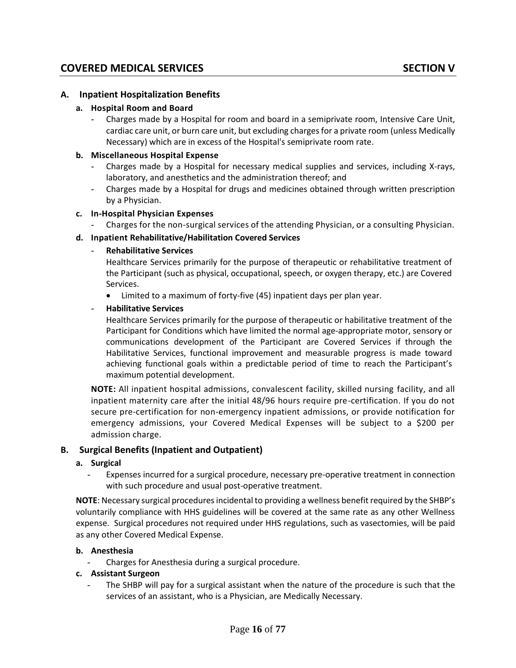#### **A. Inpatient Hospitalization Benefits**

#### **a. Hospital Room and Board**

- Charges made by a Hospital for room and board in a semiprivate room, Intensive Care Unit, cardiac care unit, or burn care unit, but excluding charges for a private room (unless Medically Necessary) which are in excess of the Hospital's semiprivate room rate.

#### **b. Miscellaneous Hospital Expense**

- Charges made by a Hospital for necessary medical supplies and services, including X-rays, laboratory, and anesthetics and the administration thereof; and
- Charges made by a Hospital for drugs and medicines obtained through written prescription by a Physician.

#### **c. In-Hospital Physician Expenses**

- Charges for the non-surgical services of the attending Physician, or a consulting Physician.

#### **d. Inpatient Rehabilitative/Habilitation Covered Services**

#### - **Rehabilitative Services**

Healthcare Services primarily for the purpose of therapeutic or rehabilitative treatment of the Participant (such as physical, occupational, speech, or oxygen therapy, etc.) are Covered Services.

• Limited to a maximum of forty-five (45) inpatient days per plan year.

#### - **Habilitative Services**

Healthcare Services primarily for the purpose of therapeutic or habilitative treatment of the Participant for Conditions which have limited the normal age-appropriate motor, sensory or communications development of the Participant are Covered Services if through the Habilitative Services, functional improvement and measurable progress is made toward achieving functional goals within a predictable period of time to reach the Participant's maximum potential development.

**NOTE:** All inpatient hospital admissions, convalescent facility, skilled nursing facility, and all inpatient maternity care after the initial 48/96 hours require pre-certification. If you do not secure pre-certification for non-emergency inpatient admissions, or provide notification for emergency admissions, your Covered Medical Expenses will be subject to a \$200 per admission charge.

#### **B. Surgical Benefits (Inpatient and Outpatient)**

#### **a. Surgical**

- Expenses incurred for a surgical procedure, necessary pre-operative treatment in connection with such procedure and usual post-operative treatment.

**NOTE**: Necessary surgical procedures incidental to providing a wellness benefit required by the SHBP's voluntarily compliance with HHS guidelines will be covered at the same rate as any other Wellness expense. Surgical procedures not required under HHS regulations, such as vasectomies, will be paid as any other Covered Medical Expense.

#### **b. Anesthesia**

- Charges for Anesthesia during a surgical procedure.

#### **c. Assistant Surgeon**

The SHBP will pay for a surgical assistant when the nature of the procedure is such that the services of an assistant, who is a Physician, are Medically Necessary.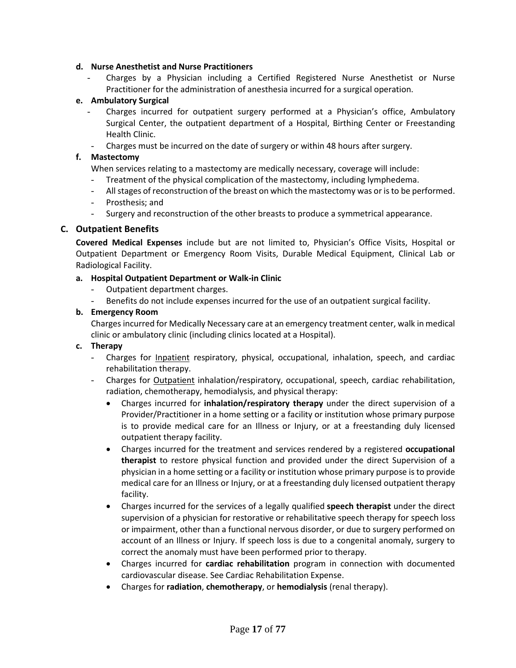#### **d. Nurse Anesthetist and Nurse Practitioners**

Charges by a Physician including a Certified Registered Nurse Anesthetist or Nurse Practitioner for the administration of anesthesia incurred for a surgical operation.

#### **e. Ambulatory Surgical**

- Charges incurred for outpatient surgery performed at a Physician's office, Ambulatory Surgical Center, the outpatient department of a Hospital, Birthing Center or Freestanding Health Clinic.
- Charges must be incurred on the date of surgery or within 48 hours after surgery.

#### **f. Mastectomy**

When services relating to a mastectomy are medically necessary, coverage will include:

- Treatment of the physical complication of the mastectomy, including lymphedema.
- All stages of reconstruction of the breast on which the mastectomy was or is to be performed.
- Prosthesis; and
- Surgery and reconstruction of the other breasts to produce a symmetrical appearance.

#### **C. Outpatient Benefits**

**Covered Medical Expenses** include but are not limited to, Physician's Office Visits, Hospital or Outpatient Department or Emergency Room Visits, Durable Medical Equipment, Clinical Lab or Radiological Facility.

#### **a. Hospital Outpatient Department or Walk-in Clinic**

- Outpatient department charges.
- Benefits do not include expenses incurred for the use of an outpatient surgical facility.

#### **b. Emergency Room**

Charges incurred for Medically Necessary care at an emergency treatment center, walk in medical clinic or ambulatory clinic (including clinics located at a Hospital).

#### **c. Therapy**

- Charges for *Inpatient* respiratory, physical, occupational, inhalation, speech, and cardiac rehabilitation therapy.
- Charges for Outpatient inhalation/respiratory, occupational, speech, cardiac rehabilitation, radiation, chemotherapy, hemodialysis, and physical therapy:
	- Charges incurred for **inhalation/respiratory therapy** under the direct supervision of a Provider/Practitioner in a home setting or a facility or institution whose primary purpose is to provide medical care for an Illness or Injury, or at a freestanding duly licensed outpatient therapy facility.
	- Charges incurred for the treatment and services rendered by a registered **occupational therapist** to restore physical function and provided under the direct Supervision of a physician in a home setting or a facility or institution whose primary purpose is to provide medical care for an Illness or Injury, or at a freestanding duly licensed outpatient therapy facility.
	- Charges incurred for the services of a legally qualified **speech therapist** under the direct supervision of a physician for restorative or rehabilitative speech therapy for speech loss or impairment, other than a functional nervous disorder, or due to surgery performed on account of an Illness or Injury. If speech loss is due to a congenital anomaly, surgery to correct the anomaly must have been performed prior to therapy.
	- Charges incurred for **cardiac rehabilitation** program in connection with documented cardiovascular disease. See Cardiac Rehabilitation Expense.
	- Charges for **radiation**, **chemotherapy**, or **hemodialysis** (renal therapy).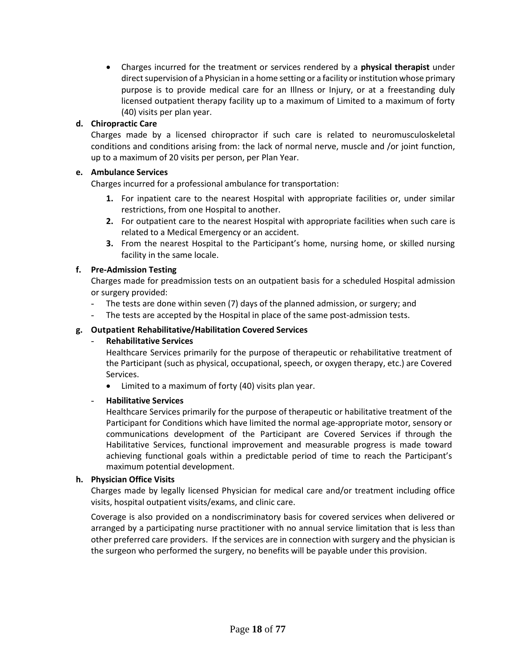• Charges incurred for the treatment or services rendered by a **physical therapist** under direct supervision of a Physician in a home setting or a facility or institution whose primary purpose is to provide medical care for an Illness or Injury, or at a freestanding duly licensed outpatient therapy facility up to a maximum of Limited to a maximum of forty (40) visits per plan year.

#### **d. Chiropractic Care**

Charges made by a licensed chiropractor if such care is related to neuromusculoskeletal conditions and conditions arising from: the lack of normal nerve, muscle and /or joint function, up to a maximum of 20 visits per person, per Plan Year.

#### **e. Ambulance Services**

Charges incurred for a professional ambulance for transportation:

- **1.** For inpatient care to the nearest Hospital with appropriate facilities or, under similar restrictions, from one Hospital to another.
- **2.** For outpatient care to the nearest Hospital with appropriate facilities when such care is related to a Medical Emergency or an accident.
- **3.** From the nearest Hospital to the Participant's home, nursing home, or skilled nursing facility in the same locale.

#### **f. Pre-Admission Testing**

Charges made for preadmission tests on an outpatient basis for a scheduled Hospital admission or surgery provided:

- The tests are done within seven (7) days of the planned admission, or surgery; and
- The tests are accepted by the Hospital in place of the same post-admission tests.

#### **g. Outpatient Rehabilitative/Habilitation Covered Services**

#### - **Rehabilitative Services**

Healthcare Services primarily for the purpose of therapeutic or rehabilitative treatment of the Participant (such as physical, occupational, speech, or oxygen therapy, etc.) are Covered Services.

• Limited to a maximum of forty (40) visits plan year.

#### - **Habilitative Services**

Healthcare Services primarily for the purpose of therapeutic or habilitative treatment of the Participant for Conditions which have limited the normal age-appropriate motor, sensory or communications development of the Participant are Covered Services if through the Habilitative Services, functional improvement and measurable progress is made toward achieving functional goals within a predictable period of time to reach the Participant's maximum potential development.

#### **h. Physician Office Visits**

Charges made by legally licensed Physician for medical care and/or treatment including office visits, hospital outpatient visits/exams, and clinic care.

Coverage is also provided on a nondiscriminatory basis for covered services when delivered or arranged by a participating nurse practitioner with no annual service limitation that is less than other preferred care providers. If the services are in connection with surgery and the physician is the surgeon who performed the surgery, no benefits will be payable under this provision.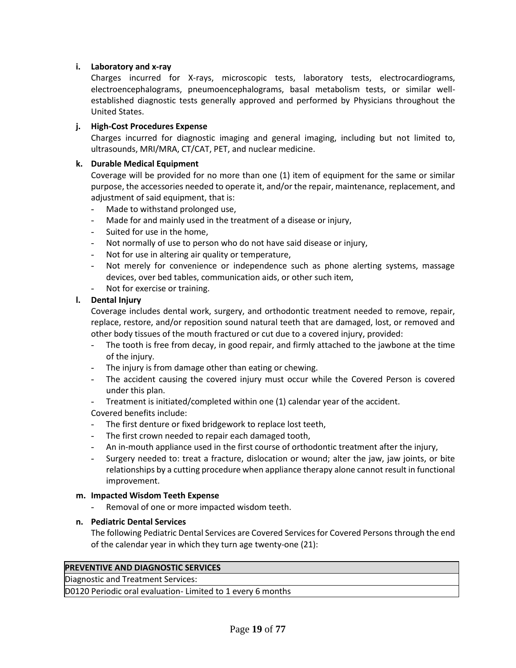#### **i. Laboratory and x-ray**

Charges incurred for X-rays, microscopic tests, laboratory tests, electrocardiograms, electroencephalograms, pneumoencephalograms, basal metabolism tests, or similar wellestablished diagnostic tests generally approved and performed by Physicians throughout the United States.

#### **j. High-Cost Procedures Expense**

Charges incurred for diagnostic imaging and general imaging, including but not limited to, ultrasounds, MRI/MRA, CT/CAT, PET, and nuclear medicine.

#### **k. Durable Medical Equipment**

Coverage will be provided for no more than one (1) item of equipment for the same or similar purpose, the accessories needed to operate it, and/or the repair, maintenance, replacement, and adjustment of said equipment, that is:

- Made to withstand prolonged use,
- Made for and mainly used in the treatment of a disease or injury,
- Suited for use in the home,
- Not normally of use to person who do not have said disease or injury,
- Not for use in altering air quality or temperature,
- Not merely for convenience or independence such as phone alerting systems, massage devices, over bed tables, communication aids, or other such item,
- Not for exercise or training.

#### **l. Dental Injury**

Coverage includes dental work, surgery, and orthodontic treatment needed to remove, repair, replace, restore, and/or reposition sound natural teeth that are damaged, lost, or removed and other body tissues of the mouth fractured or cut due to a covered injury, provided:

- The tooth is free from decay, in good repair, and firmly attached to the jawbone at the time of the injury.
- The injury is from damage other than eating or chewing.
- The accident causing the covered injury must occur while the Covered Person is covered under this plan.
- Treatment is initiated/completed within one (1) calendar year of the accident.

Covered benefits include:

- The first denture or fixed bridgework to replace lost teeth,
- The first crown needed to repair each damaged tooth,
- An in-mouth appliance used in the first course of orthodontic treatment after the injury,
- Surgery needed to: treat a fracture, dislocation or wound; alter the jaw, jaw joints, or bite relationships by a cutting procedure when appliance therapy alone cannot result in functional improvement.

#### **m. Impacted Wisdom Teeth Expense**

Removal of one or more impacted wisdom teeth.

#### **n. Pediatric Dental Services**

The following Pediatric Dental Services are Covered Services for Covered Persons through the end of the calendar year in which they turn age twenty-one (21):

#### **PREVENTIVE AND DIAGNOSTIC SERVICES**

Diagnostic and Treatment Services:

D0120 Periodic oral evaluation- Limited to 1 every 6 months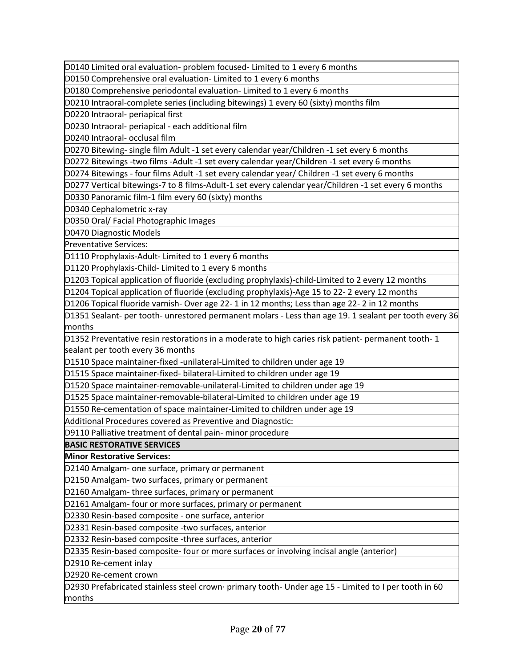D0140 Limited oral evaluation- problem focused- Limited to 1 every 6 months

D0150 Comprehensive oral evaluation- Limited to 1 every 6 months

D0180 Comprehensive periodontal evaluation- Limited to 1 every 6 months

D0210 Intraoral-complete series (including bitewings) 1 every 60 (sixty) months film

D0220 Intraoral- periapical first

D0230 Intraoral- periapical - each additional film

D0240 Intraoral- occlusal film

D0270 Bitewing- single film Adult -1 set every calendar year/Children -1 set every 6 months

D0272 Bitewings -two films -Adult -1 set every calendar year/Children -1 set every 6 months

D0274 Bitewings - four films Adult -1 set every calendar year/ Children -1 set every 6 months

D0277 Vertical bitewings-7 to 8 films-Adult-1 set every calendar year/Children -1 set every 6 months

D0330 Panoramic film-1 film every 60 (sixty) months

D0340 Cephalometric x-ray

D0350 Oral/ Facial Photographic Images

D0470 Diagnostic Models

Preventative Services:

D1110 Prophylaxis-Adult- Limited to 1 every 6 months

D1120 Prophylaxis-Child- Limited to 1 every 6 months

D1203 Topical application of fluoride (excluding prophylaxis)-child-Limited to 2 every 12 months

D1204 Topical application of fluoride (excluding prophylaxis)-Age 15 to 22- 2 every 12 months

D1206 Topical fluoride varnish- Over age 22- 1 in 12 months; Less than age 22- 2 in 12 months

D1351 Sealant- per tooth- unrestored permanent molars - Less than age 19. 1 sealant per tooth every 36 months

D1352 Preventative resin restorations in a moderate to high caries risk patient- permanent tooth- 1 sealant per tooth every 36 months

D1510 Space maintainer-fixed -unilateral-Limited to children under age 19

D1515 Space maintainer-fixed- bilateral-Limited to children under age 19

D1520 Space maintainer-removable-unilateral-Limited to children under age 19

D1525 Space maintainer-removable-bilateral-Limited to children under age 19

D1550 Re-cementation of space maintainer-Limited to children under age 19

Additional Procedures covered as Preventive and Diagnostic:

D9110 Palliative treatment of dental pain- minor procedure

**BASIC RESTORATIVE SERVICES**

**Minor Restorative Services:**

D2140 Amalgam- one surface, primary or permanent

D2150 Amalgam- two surfaces, primary or permanent

D2160 Amalgam- three surfaces, primary or permanent

D2161 Amalgam- four or more surfaces, primary or permanent

D2330 Resin-based composite - one surface, anterior

D2331 Resin-based composite -two surfaces, anterior

D2332 Resin-based composite -three surfaces, anterior

D2335 Resin-based composite- four or more surfaces or involving incisal angle (anterior)

D2910 Re-cement inlay

D2920 Re-cement crown

D2930 Prefabricated stainless steel crown· primary tooth- Under age 15 - Limited to I per tooth in 60 months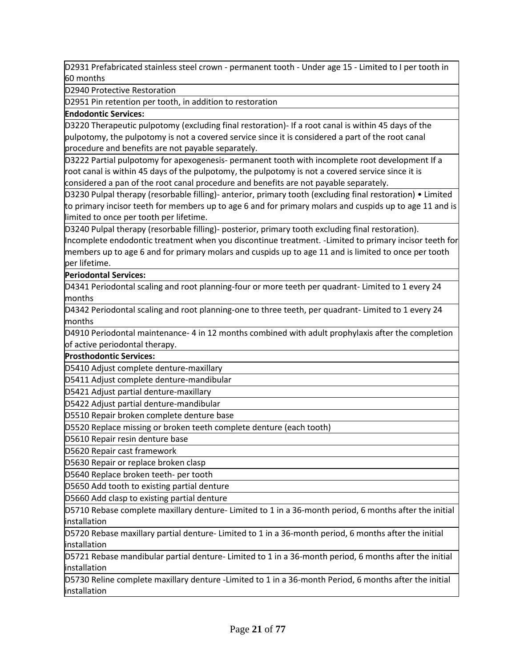D2931 Prefabricated stainless steel crown - permanent tooth - Under age 15 - Limited to I per tooth in 60 months

D2940 Protective Restoration

D2951 Pin retention per tooth, in addition to restoration

#### **Endodontic Services:**

D3220 Therapeutic pulpotomy (excluding final restoration)- If a root canal is within 45 days of the pulpotomy, the pulpotomy is not a covered service since it is considered a part of the root canal procedure and benefits are not payable separately.

D3222 Partial pulpotomy for apexogenesis- permanent tooth with incomplete root development If a root canal is within 45 days of the pulpotomy, the pulpotomy is not a covered service since it is considered a pan of the root canal procedure and benefits are not payable separately.

D3230 Pulpal therapy (resorbable filling)- anterior, primary tooth (excluding final restoration) • Limited to primary incisor teeth for members up to age 6 and for primary molars and cuspids up to age 11 and is limited to once per tooth per lifetime.

D3240 Pulpal therapy (resorbable filling)- posterior, primary tooth excluding final restoration).

Incomplete endodontic treatment when you discontinue treatment. -Limited to primary incisor teeth for members up to age 6 and for primary molars and cuspids up to age 11 and is limited to once per tooth per lifetime.

#### **Periodontal Services:**

D4341 Periodontal scaling and root planning-four or more teeth per quadrant- Limited to 1 every 24 months

D4342 Periodontal scaling and root planning-one to three teeth, per quadrant- Limited to 1 every 24 months

D4910 Periodontal maintenance- 4 in 12 months combined with adult prophylaxis after the completion of active periodontal therapy.

**Prosthodontic Services:**

D5410 Adjust complete denture-maxillary

D5411 Adjust complete denture-mandibular

D5421 Adjust partial denture-maxillary

D5422 Adjust partial denture-mandibular

D5510 Repair broken complete denture base

D5520 Replace missing or broken teeth complete denture (each tooth)

D5610 Repair resin denture base

D5620 Repair cast framework

D5630 Repair or replace broken clasp

D5640 Replace broken teeth- per tooth

D5650 Add tooth to existing partial denture

D5660 Add clasp to existing partial denture

D5710 Rebase complete maxillary denture- Limited to 1 in a 36-month period, 6 months after the initial installation

D5720 Rebase maxillary partial denture- Limited to 1 in a 36-month period, 6 months after the initial installation

D5721 Rebase mandibular partial denture- Limited to 1 in a 36-month period, 6 months after the initial installation

D5730 Reline complete maxillary denture -Limited to 1 in a 36-month Period, 6 months after the initial installation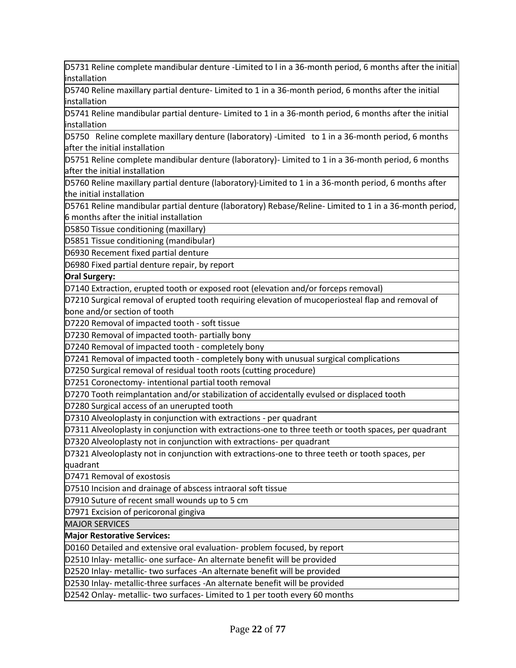D5731 Reline complete mandibular denture -Limited to l in a 36-month period, 6 months after the initial installation

D5740 Reline maxillary partial denture- Limited to 1 in a 36-month period, 6 months after the initial installation

D5741 Reline mandibular partial denture- Limited to 1 in a 36-month period, 6 months after the initial installation

D5750 Reline complete maxillary denture (laboratory) -Limited to 1 in a 36-month period, 6 months after the initial installation

D5751 Reline complete mandibular denture (laboratory)- Limited to 1 in a 36-month period, 6 months after the initial installation

D5760 Reline maxillary partial denture (laboratory)·Limited to 1 in a 36-month period, 6 months after the initial installation

D5761 Reline mandibular partial denture (laboratory) Rebase/Reline- Limited to 1 in a 36-month period, 6 months after the initial installation

D5850 Tissue conditioning (maxillary)

D5851 Tissue conditioning (mandibular)

D6930 Recement fixed partial denture

D6980 Fixed partial denture repair, by report

**Oral Surgery:**

D7140 Extraction, erupted tooth or exposed root (elevation and/or forceps removal)

D7210 Surgical removal of erupted tooth requiring elevation of mucoperiosteal flap and removal of bone and/or section of tooth

D7220 Removal of impacted tooth - soft tissue

D7230 Removal of impacted tooth- partially bony

D7240 Removal of impacted tooth - completely bony

D7241 Removal of impacted tooth - completely bony with unusual surgical complications

D7250 Surgical removal of residual tooth roots (cutting procedure)

D7251 Coronectomy- intentional partial tooth removal

D7270 Tooth reimplantation and/or stabilization of accidentally evulsed or displaced tooth

D7280 Surgical access of an unerupted tooth

D7310 Alveoloplasty in conjunction with extractions - per quadrant

D7311 Alveoloplasty in conjunction with extractions-one to three teeth or tooth spaces, per quadrant

D7320 Alveoloplasty not in conjunction with extractions- per quadrant

D7321 Alveoloplasty not in conjunction with extractions-one to three teeth or tooth spaces, per quadrant

D7471 Removal of exostosis

D7510 Incision and drainage of abscess intraoral soft tissue

D7910 Suture of recent small wounds up to 5 cm

D7971 Excision of pericoronal gingiva

MAJOR SERVICES

**Major Restorative Services:**

D0160 Detailed and extensive oral evaluation- problem focused, by report

D2510 Inlay- metallic- one surface- An alternate benefit will be provided

D2520 Inlay- metallic- two surfaces -An alternate benefit will be provided

D2530 Inlay- metallic-three surfaces -An alternate benefit will be provided

D2542 Onlay- metallic- two surfaces- Limited to 1 per tooth every 60 months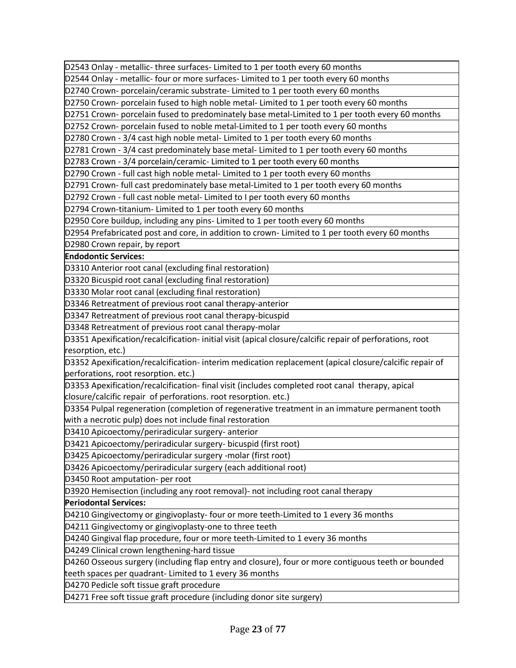D2543 Onlay - metallic- three surfaces- Limited to 1 per tooth every 60 months

D2544 Onlay - metallic- four or more surfaces- Limited to 1 per tooth every 60 months

D2740 Crown- porcelain/ceramic substrate- Limited to 1 per tooth every 60 months

D2750 Crown- porcelain fused to high noble metal- Limited to 1 per tooth every 60 months

D2751 Crown- porcelain fused to predominately base metal-Limited to 1 per tooth every 60 months

D2752 Crown- porcelain fused to noble metal-Limited to 1 per tooth every 60 months

D2780 Crown - 3/4 cast high noble metal- Limited to 1 per tooth every 60 months

D2781 Crown - 3/4 cast predominately base metal- Limited to 1 per tooth every 60 months

D2783 Crown - 3/4 porcelain/ceramic- Limited to 1 per tooth every 60 months

D2790 Crown - full cast high noble metal- Limited to 1 per tooth every 60 months

D2791 Crown- full cast predominately base metal-Limited to 1 per tooth every 60 months

D2792 Crown - full cast noble metal- Limited to I per tooth every 60 months

D2794 Crown-titanium- Limited to 1 per tooth every 60 months

D2950 Core buildup, including any pins- Limited to 1 per tooth every 60 months

D2954 Prefabricated post and core, in addition to crown- Limited to 1 per tooth every 60 months

D2980 Crown repair, by report

**Endodontic Services:**

D3310 Anterior root canal (excluding final restoration)

D3320 Bicuspid root canal (excluding final restoration)

D3330 Molar root canal (excluding final restoration)

D3346 Retreatment of previous root canal therapy-anterior

D3347 Retreatment of previous root canal therapy-bicuspid

D3348 Retreatment of previous root canal therapy-molar

D3351 Apexification/recalcification- initial visit (apical closure/calcific repair of perforations, root resorption, etc.)

D3352 Apexification/recalcification- interim medication replacement (apical closure/calcific repair of perforations, root resorption. etc.)

D3353 Apexification/recalcification- final visit (includes completed root canal therapy, apical closure/calcific repair of perforations. root resorption. etc.)

D3354 Pulpal regeneration (completion of regenerative treatment in an immature permanent tooth with a necrotic pulp) does not include final restoration

D3410 Apicoectomy/periradicular surgery- anterior

D3421 Apicoectomy/periradicular surgery- bicuspid (first root)

D3425 Apicoectomy/periradicular surgery -molar (first root)

D3426 Apicoectomy/periradicular surgery (each additional root)

D3450 Root amputation- per root

D3920 Hemisection (including any root removal)- not including root canal therapy

**Periodontal Services:**

D4210 Gingivectomy or gingivoplasty- four or more teeth-Limited to 1 every 36 months

D4211 Gingivectomy or gingivoplasty-one to three teeth

D4240 Gingival flap procedure, four or more teeth-Limited to 1 every 36 months

D4249 Clinical crown lengthening-hard tissue

D4260 Osseous surgery (including flap entry and closure), four or more contiguous teeth or bounded teeth spaces per quadrant- Limited to 1 every 36 months

D4270 Pedicle soft tissue graft procedure

D4271 Free soft tissue graft procedure (including donor site surgery)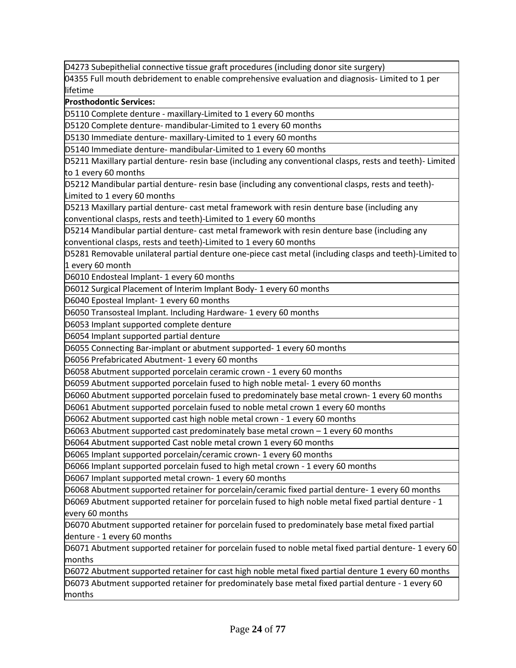D4273 Subepithelial connective tissue graft procedures (including donor site surgery)

04355 Full mouth debridement to enable comprehensive evaluation and diagnosis- Limited to 1 per lifetime

**Prosthodontic Services:**

D5110 Complete denture - maxillary-Limited to 1 every 60 months

D5120 Complete denture- mandibular-Limited to 1 every 60 months

D5130 Immediate denture- maxillary-Limited to 1 every 60 months

D5140 Immediate denture- mandibular-Limited to 1 every 60 months

D5211 Maxillary partial denture- resin base (including any conventional clasps, rests and teeth)- Limited to 1 every 60 months

D5212 Mandibular partial denture- resin base (including any conventional clasps, rests and teeth)- Limited to 1 every 60 months

D5213 Maxillary partial denture- cast metal framework with resin denture base (including any conventional clasps, rests and teeth)-Limited to 1 every 60 months

D5214 Mandibular partial denture- cast metal framework with resin denture base (including any conventional clasps, rests and teeth)-Limited to 1 every 60 months

D5281 Removable unilateral partial denture one-piece cast metal (including clasps and teeth)-Limited to 1 every 60 month

D6010 Endosteal Implant- 1 every 60 months

D6012 Surgical Placement of lnterim Implant Body- 1 every 60 months

D6040 Eposteal Implant- 1 every 60 months

D6050 Transosteal Implant. Including Hardware- 1 every 60 months

D6053 Implant supported complete denture

D6054 Implant supported partial denture

D6055 Connecting Bar-implant or abutment supported- 1 every 60 months

D6056 Prefabricated Abutment- 1 every 60 months

D6058 Abutment supported porcelain ceramic crown - 1 every 60 months

D6059 Abutment supported porcelain fused to high noble metal- 1 every 60 months

D6060 Abutment supported porcelain fused to predominately base metal crown- 1 every 60 months

D6061 Abutment supported porcelain fused to noble metal crown 1 every 60 months

D6062 Abutment supported cast high noble metal crown - 1 every 60 months

D6063 Abutment supported cast predominately base metal crown – 1 every 60 months

D6064 Abutment supported Cast noble metal crown 1 every 60 months

D6065 Implant supported porcelain/ceramic crown- 1 every 60 months

D6066 Implant supported porcelain fused to high metal crown - 1 every 60 months

D6067 Implant supported metal crown- 1 every 60 months

D6068 Abutment supported retainer for porcelain/ceramic fixed partial denture- 1 every 60 months

D6069 Abutment supported retainer for porcelain fused to high noble metal fixed partial denture - 1 every 60 months

D6070 Abutment supported retainer for porcelain fused to predominately base metal fixed partial denture - 1 every 60 months

D6071 Abutment supported retainer for porcelain fused to noble metal fixed partial denture- 1 every 60 months

D6072 Abutment supported retainer for cast high noble metal fixed partial denture 1 every 60 months

D6073 Abutment supported retainer for predominately base metal fixed partial denture - 1 every 60 months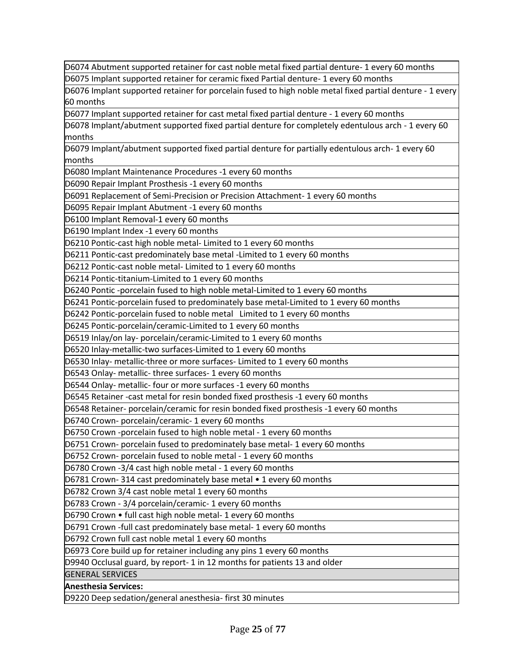D6074 Abutment supported retainer for cast noble metal fixed partial denture- 1 every 60 months D6075 Implant supported retainer for ceramic fixed Partial denture- 1 every 60 months

D6076 Implant supported retainer for porcelain fused to high noble metal fixed partial denture - 1 every 60 months

D6077 Implant supported retainer for cast metal fixed partial denture - 1 every 60 months

D6078 Implant/abutment supported fixed partial denture for completely edentulous arch - 1 every 60 months

D6079 Implant/abutment supported fixed partial denture for partially edentulous arch- 1 every 60 months

D6080 Implant Maintenance Procedures -1 every 60 months

D6090 Repair Implant Prosthesis -1 every 60 months

D6091 Replacement of Semi-Precision or Precision Attachment- 1 every 60 months

D6095 Repair Implant Abutment -1 every 60 months

D6100 Implant Removal-1 every 60 months

D6190 Implant Index -1 every 60 months

D6210 Pontic-cast high noble metal- Limited to 1 every 60 months

D6211 Pontic-cast predominately base metal -Limited to 1 every 60 months

D6212 Pontic-cast noble metal- Limited to 1 every 60 months

D6214 Pontic-titanium-Limited to 1 every 60 months

D6240 Pontic -porcelain fused to high noble metal-Limited to 1 every 60 months

D6241 Pontic-porcelain fused to predominately base metal-Limited to 1 every 60 months

D6242 Pontic-porcelain fused to noble metal Limited to 1 every 60 months

D6245 Pontic-porcelain/ceramic-Limited to 1 every 60 months

D6519 Inlay/on lay- porcelain/ceramic-Limited to 1 every 60 months

D6520 Inlay-metallic-two surfaces-Limited to 1 every 60 months

D6530 Inlay- metallic-three or more surfaces- Limited to 1 every 60 months

D6543 Onlay- metallic- three surfaces- 1 every 60 months

D6544 Onlay- metallic- four or more surfaces -1 every 60 months

D6545 Retainer -cast metal for resin bonded fixed prosthesis -1 every 60 months

D6548 Retainer- porcelain/ceramic for resin bonded fixed prosthesis -1 every 60 months

D6740 Crown- porcelain/ceramic- 1 every 60 months

D6750 Crown -porcelain fused to high noble metal - 1 every 60 months

D6751 Crown- porcelain fused to predominately base metal- 1 every 60 months

D6752 Crown- porcelain fused to noble metal - 1 every 60 months

D6780 Crown -3/4 cast high noble metal - 1 every 60 months

D6781 Crown- 314 cast predominately base metal • 1 every 60 months

D6782 Crown 3/4 cast noble metal 1 every 60 months

D6783 Crown - 3/4 porcelain/ceramic- 1 every 60 months

D6790 Crown • full cast high noble metal- 1 every 60 months

D6791 Crown -full cast predominately base metal- 1 every 60 months

D6792 Crown full cast noble metal 1 every 60 months

D6973 Core build up for retainer including any pins 1 every 60 months

D9940 Occlusal guard, by report- 1 in 12 months for patients 13 and older

GENERAL SERVICES

**Anesthesia Services:**

D9220 Deep sedation/general anesthesia- first 30 minutes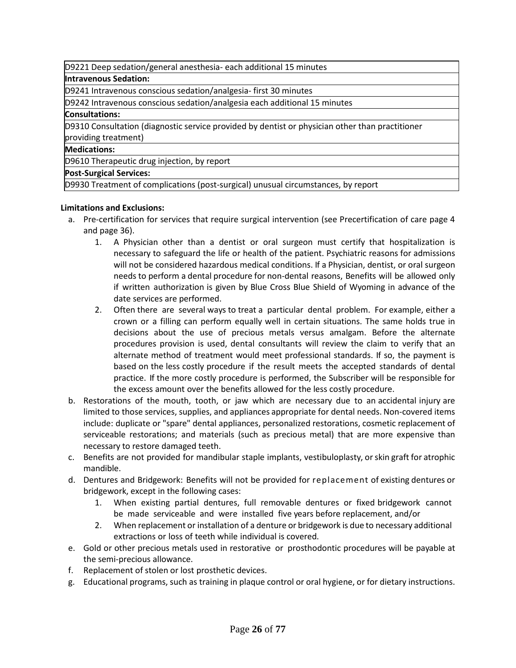D9221 Deep sedation/general anesthesia- each additional 15 minutes

#### **Intravenous Sedation:**

D9241 Intravenous conscious sedation/analgesia- first 30 minutes

D9242 Intravenous conscious sedation/analgesia each additional 15 minutes

#### **Consultations:**

D9310 Consultation (diagnostic service provided by dentist or physician other than practitioner providing treatment)

#### **Medications:**

D9610 Therapeutic drug injection, by report

#### **Post-Surgical Services:**

D9930 Treatment of complications (post-surgical) unusual circumstances, by report

#### **Limitations and Exclusions:**

- a. Pre-certification for services that require surgical intervention (see Precertification of care page 4 and page 36).
	- 1. A Physician other than a dentist or oral surgeon must certify that hospitalization is necessary to safeguard the life or health of the patient. Psychiatric reasons for admissions will not be considered hazardous medical conditions. If a Physician, dentist, or oral surgeon needs to perform a dental procedure for non-dental reasons, Benefits will be allowed only if written authorization is given by Blue Cross Blue Shield of Wyoming in advance of the date services are performed.
	- 2. Often there are several ways to treat a particular dental problem. For example, either a crown or a filling can perform equally well in certain situations. The same holds true in decisions about the use of precious metals versus amalgam. Before the alternate procedures provision is used, dental consultants will review the claim to verify that an alternate method of treatment would meet professional standards. If so, the payment is based on the less costly procedure if the result meets the accepted standards of dental practice. If the more costly procedure is performed, the Subscriber will be responsible for the excess amount over the benefits allowed for the less costly procedure.
- b. Restorations of the mouth, tooth, or jaw which are necessary due to an accidental injury are limited to those services, supplies, and appliances appropriate for dental needs. Non-covered items include: duplicate or "spare" dental appliances, personalized restorations, cosmetic replacement of serviceable restorations; and materials (such as precious metal) that are more expensive than necessary to restore damaged teeth.
- c. Benefits are not provided for mandibular staple implants, vestibuloplasty, orskin graft for atrophic mandible.
- d. Dentures and Bridgework: Benefits will not be provided for replacement of existing dentures or bridgework, except in the following cases:
	- 1. When existing partial dentures, full removable dentures or fixed bridgework cannot be made serviceable and were installed five years before replacement, and/or
	- 2. When replacement or installation of a denture or bridgework is due to necessary additional extractions or loss of teeth while individual is covered.
- e. Gold or other precious metals used in restorative or prosthodontic procedures will be payable at the semi-precious allowance.
- f. Replacement of stolen or lost prosthetic devices.
- g. Educational programs, such as training in plaque control or oral hygiene, or for dietary instructions.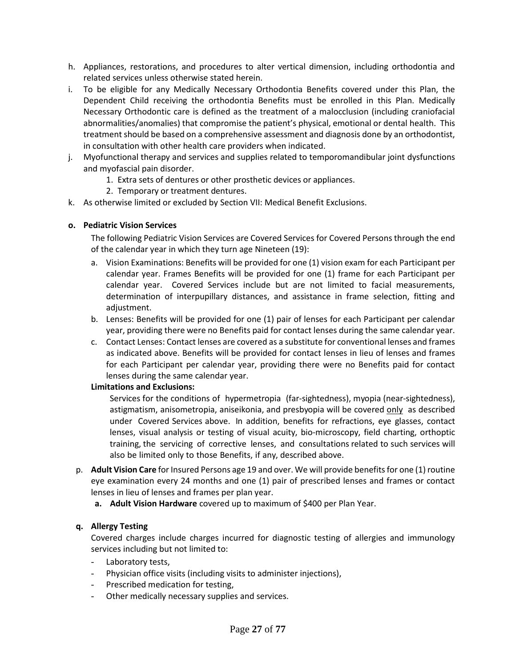- h. Appliances, restorations, and procedures to alter vertical dimension, including orthodontia and related services unless otherwise stated herein.
- i. To be eligible for any Medically Necessary Orthodontia Benefits covered under this Plan, the Dependent Child receiving the orthodontia Benefits must be enrolled in this Plan. Medically Necessary Orthodontic care is defined as the treatment of a malocclusion (including craniofacial abnormalities/anomalies) that compromise the patient's physical, emotional or dental health. This treatment should be based on a comprehensive assessment and diagnosis done by an orthodontist, in consultation with other health care providers when indicated.
- j. Myofunctional therapy and services and supplies related to temporomandibular joint dysfunctions and myofascial pain disorder.
	- 1. Extra sets of dentures or other prosthetic devices or appliances.
	- 2. Temporary or treatment dentures.
- k. As otherwise limited or excluded by Section VII: Medical Benefit Exclusions.

#### **o. Pediatric Vision Services**

The following Pediatric Vision Services are Covered Services for Covered Persons through the end of the calendar year in which they turn age Nineteen (19):

- a. Vision Examinations: Benefits will be provided for one (1) vision exam for each Participant per calendar year. Frames Benefits will be provided for one (1) frame for each Participant per calendar year. Covered Services include but are not limited to facial measurements, determination of interpupillary distances, and assistance in frame selection, fitting and adjustment.
- b. Lenses: Benefits will be provided for one (1) pair of lenses for each Participant per calendar year, providing there were no Benefits paid for contact lenses during the same calendar year.
- c. Contact Lenses: Contact lenses are covered as a substitute for conventional lenses and frames as indicated above. Benefits will be provided for contact lenses in lieu of lenses and frames for each Participant per calendar year, providing there were no Benefits paid for contact lenses during the same calendar year.

#### **Limitations and Exclusions:**

Services for the conditions of hypermetropia (far-sightedness), myopia (near-sightedness), astigmatism, anisometropia, aniseikonia, and presbyopia will be covered only as described under Covered Services above. In addition, benefits for refractions, eye glasses, contact lenses, visual analysis or testing of visual acuity, bio-microscopy, field charting, orthoptic training, the servicing of corrective lenses, and consultations related to such services will also be limited only to those Benefits, if any, described above.

- p. **Adult Vision Care** for Insured Persons age 19 and over. We will provide benefits for one (1) routine eye examination every 24 months and one (1) pair of prescribed lenses and frames or contact lenses in lieu of lenses and frames per plan year.
	- **a. Adult Vision Hardware** covered up to maximum of \$400 per Plan Year.

#### **q. Allergy Testing**

Covered charges include charges incurred for diagnostic testing of allergies and immunology services including but not limited to:

- Laboratory tests,
- Physician office visits (including visits to administer injections),
- Prescribed medication for testing,
- Other medically necessary supplies and services.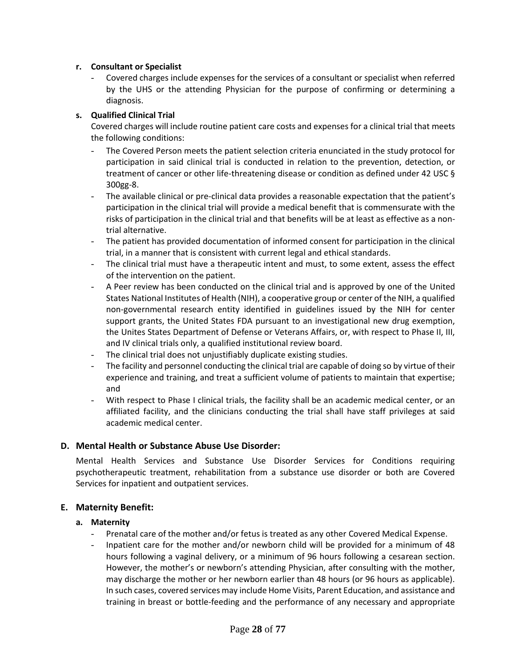#### **r. Consultant or Specialist**

Covered charges include expenses for the services of a consultant or specialist when referred by the UHS or the attending Physician for the purpose of confirming or determining a diagnosis.

#### **s. Qualified Clinical Trial**

Covered charges will include routine patient care costs and expenses for a clinical trial that meets the following conditions:

- The Covered Person meets the patient selection criteria enunciated in the study protocol for participation in said clinical trial is conducted in relation to the prevention, detection, or treatment of cancer or other life-threatening disease or condition as defined under 42 USC § 300gg-8.
- The available clinical or pre-clinical data provides a reasonable expectation that the patient's participation in the clinical trial will provide a medical benefit that is commensurate with the risks of participation in the clinical trial and that benefits will be at least as effective as a nontrial alternative.
- The patient has provided documentation of informed consent for participation in the clinical trial, in a manner that is consistent with current legal and ethical standards.
- The clinical trial must have a therapeutic intent and must, to some extent, assess the effect of the intervention on the patient.
- A Peer review has been conducted on the clinical trial and is approved by one of the United States National Institutes of Health (NIH), a cooperative group or center of the NIH, a qualified non-governmental research entity identified in guidelines issued by the NIH for center support grants, the United States FDA pursuant to an investigational new drug exemption, the Unites States Department of Defense or Veterans Affairs, or, with respect to Phase II, III, and IV clinical trials only, a qualified institutional review board.
- The clinical trial does not unjustifiably duplicate existing studies.
- The facility and personnel conducting the clinical trial are capable of doing so by virtue of their experience and training, and treat a sufficient volume of patients to maintain that expertise; and
- With respect to Phase I clinical trials, the facility shall be an academic medical center, or an affiliated facility, and the clinicians conducting the trial shall have staff privileges at said academic medical center.

#### **D. Mental Health or Substance Abuse Use Disorder:**

Mental Health Services and Substance Use Disorder Services for Conditions requiring psychotherapeutic treatment, rehabilitation from a substance use disorder or both are Covered Services for inpatient and outpatient services.

#### **E. Maternity Benefit:**

#### **a. Maternity**

- Prenatal care of the mother and/or fetus is treated as any other Covered Medical Expense.
- Inpatient care for the mother and/or newborn child will be provided for a minimum of 48 hours following a vaginal delivery, or a minimum of 96 hours following a cesarean section. However, the mother's or newborn's attending Physician, after consulting with the mother, may discharge the mother or her newborn earlier than 48 hours (or 96 hours as applicable). In such cases, covered services may include Home Visits, Parent Education, and assistance and training in breast or bottle-feeding and the performance of any necessary and appropriate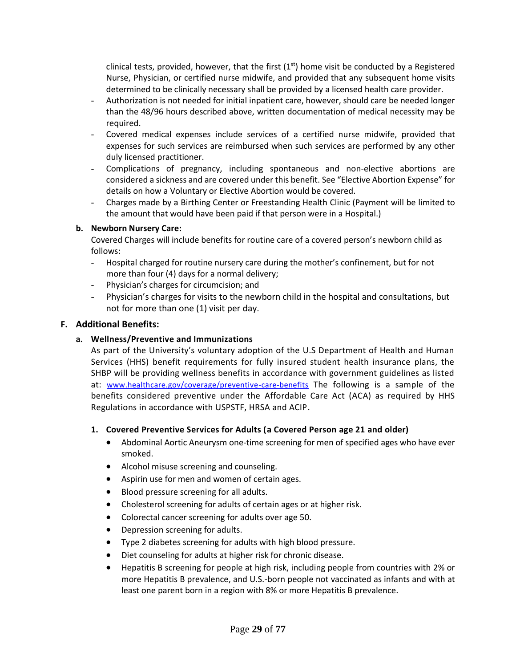clinical tests, provided, however, that the first  $(1<sup>st</sup>)$  home visit be conducted by a Registered Nurse, Physician, or certified nurse midwife, and provided that any subsequent home visits determined to be clinically necessary shall be provided by a licensed health care provider.

- Authorization is not needed for initial inpatient care, however, should care be needed longer than the 48/96 hours described above, written documentation of medical necessity may be required.
- Covered medical expenses include services of a certified nurse midwife, provided that expenses for such services are reimbursed when such services are performed by any other duly licensed practitioner.
- Complications of pregnancy, including spontaneous and non-elective abortions are considered a sickness and are covered under this benefit. See "Elective Abortion Expense" for details on how a Voluntary or Elective Abortion would be covered.
- Charges made by a Birthing Center or Freestanding Health Clinic (Payment will be limited to the amount that would have been paid if that person were in a Hospital.)

#### **b. Newborn Nursery Care:**

Covered Charges will include benefits for routine care of a covered person's newborn child as follows:

- Hospital charged for routine nursery care during the mother's confinement, but for not more than four (4) days for a normal delivery;
- Physician's charges for circumcision; and
- Physician's charges for visits to the newborn child in the hospital and consultations, but not for more than one (1) visit per day.

#### **F. Additional Benefits:**

#### **a. Wellness/Preventive and Immunizations**

As part of the University's voluntary adoption of the U.S Department of Health and Human Services (HHS) benefit requirements for fully insured student health insurance plans, the SHBP will be providing wellness benefits in accordance with government guidelines as listed at: [www.healthcare.gov/coverage/preventive-care-benefits](http://www.healthcare.gov/coverage/preventive-care-benefits) The following is a sample of the benefits considered preventive under the Affordable Care Act (ACA) as required by HHS Regulations in accordance with USPSTF, HRSA and ACIP.

#### **1. Covered Preventive Services for Adults (a Covered Person age 21 and older)**

- [Abdominal Aortic Aneurysm](http://healthfinder.gov/prevention/ViewTopic.aspx?topicId=52) one-time screening for men of specified ages who have ever smoked.
- [Alcohol misuse](http://healthfinder.gov/prevention/ViewTopic.aspx?topicId=16) screening and counseling.
- [Aspirin](http://healthfinder.gov/prevention/ViewTopic.aspx?topicId=10) use for men and women of certain ages.
- [Blood pressure](http://healthfinder.gov/prevention/ViewTopic.aspx?topicId=11) screening for all adults.
- [Cholesterol](http://healthfinder.gov/prevention/ViewTopic.aspx?topicId=14) screening for adults of certain ages or at higher risk.
- [Colorectal cancer](http://healthfinder.gov/prevention/ViewTopic.aspx?topicId=15) screening for adults over age 50.
- [Depression](http://healthfinder.gov/prevention/ViewTopic.aspx?topicId=33) screening for adults.
- [Type 2 diabetes](http://healthfinder.gov/prevention/ViewTopic.aspx?topicId=73) screening for adults with high blood pressure.
- [Diet](http://healthfinder.gov/prevention/ViewTopic.aspx?topicId=21) counseling for adults at higher risk for chronic disease.
- [Hepatitis B screening](http://www.uspreventiveservicestaskforce.org/Page/Topic/recommendation-summary/hepatitis-b-virus-infection-screening-2014?ds=1&s=hepatitis%20b) for people at high risk, including people from countries with 2% or more Hepatitis B prevalence, and U.S.-born people not vaccinated as infants and with at least one parent born in a region with 8% or more Hepatitis B prevalence.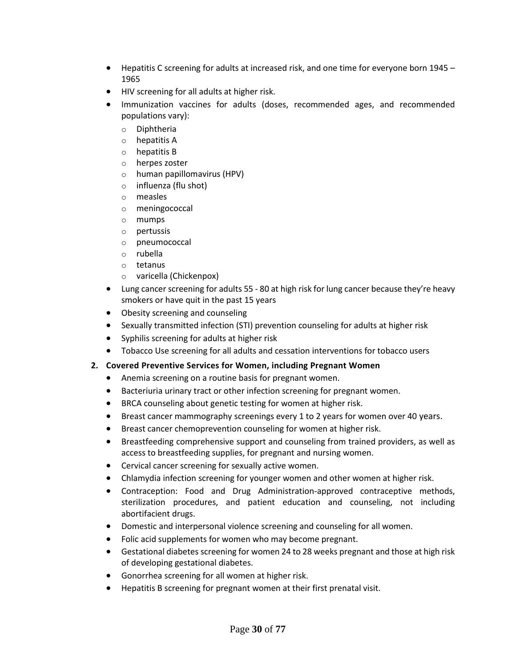- [Hepatitis C screening](http://healthfinder.gov/HealthTopics/Category/doctor-visits/talking-with-the-doctor/hepatitis-c-screening) for adults at increased risk, and one time for everyone born 1945 1965
- [HIV](http://healthfinder.gov/prevention/ViewTopic.aspx?topicId=49) screening for all adults at higher risk.
- [Immunization](http://healthfinder.gov/prevention/ViewTopic.aspx?topicId=58) vaccines for adults (doses, recommended ages, and recommended populations vary):
	- o Diphtheria
	- o hepatitis A
	- o hepatitis B
	- o herpes zoster
	- o human papillomavirus (HPV)
	- o influenza (flu shot)
	- o measles
	- o meningococcal
	- o mumps
	- o pertussis
	- o pneumococcal
	- o rubella
	- o tetanus
	- o varicella (Chickenpox)
- [Lung cancer screening](http://www.uspreventiveservicestaskforce.org/Page/Topic/recommendation-summary/lung-cancer-screening) for adults 55 80 at high risk for lung cancer because they're heavy smokers or have quit in the past 15 years
- [Obesity screening and counseling](http://healthfinder.gov/HealthTopics/Category/health-conditions-and-diseases/diabetes/watch-your-weight)
- [Sexually transmitted infection \(STI\) prevention counseling](http://healthfinder.gov/healthtopics/category/health-conditions-and-diseases/hiv-and-other-stds) for adults at higher risk
- [Syphilis screening](http://healthfinder.gov/HealthTopics/Category/health-conditions-and-diseases/hiv-and-other-stds/syphilis-testing-questions-for-the-doctor) for adults at higher risk
- [Tobacco Use screening](http://healthfinder.gov/HealthTopics/Category/health-conditions-and-diseases/diabetes/quit-smoking) for all adults and cessation interventions for tobacco users
- **2. Covered Preventive Services for Women, including Pregnant Women**
	- Anemia screening on a routine basis for pregnant women.
	- [Bacteriuria](http://healthfinder.gov/prevention/ViewTopic.aspx?topicId=48) urinary tract or other infection screening for pregnant women.
	- [BRCA](http://healthfinder.gov/prevention/ViewTopic.aspx?topicId=51) counseling about genetic testing for women at higher risk.
	- [Breast cancer mammography](http://healthfinder.gov/prevention/ViewTopic.aspx?topicId=9) screenings every 1 to 2 years for women over 40 years.
	- [Breast cancer chemoprevention](http://healthfinder.gov/prevention/ViewTopic.aspx?topicId=51) counseling for women at higher risk.
	- [Breastfeeding](http://healthfinder.gov/prevention/ViewTopic.aspx?topicId=50) comprehensive support and counseling from trained providers, as well as access to breastfeeding supplies, for pregnant and nursing women.
	- [Cervical cancer](http://healthfinder.gov/prevention/ViewTopic.aspx?topicId=13) screening for sexually active women.
	- [Chlamydia infection](http://healthfinder.gov/prevention/ViewTopic.aspx?topicId=32) screening for younger women and other women at higher risk.
	- [Contraception:](http://www.hrsa.gov/womensguidelines/) Food and Drug Administration-approved contraceptive methods, sterilization procedures, and patient education and counseling, not including abortifacient drugs.
	- [Domestic and interpersonal violence](http://www.hrsa.gov/womensguidelines/) screening and counseling for all women.
	- [Folic acid](http://healthfinder.gov/prevention/ViewTopic.aspx?topicId=19) supplements for women who may become pregnant.
	- [Gestational diabetes](http://www.hrsa.gov/womensguidelines/) screening for women 24 to 28 weeks pregnant and those at high risk of developing gestational diabetes.
	- [Gonorrhea](http://healthfinder.gov/prevention/ViewTopic.aspx?topicId=32) screening for all women at higher risk.
	- [Hepatitis B](http://healthfinder.gov/prevention/ViewTopic.aspx?topicId=48) screening for pregnant women at their first prenatal visit.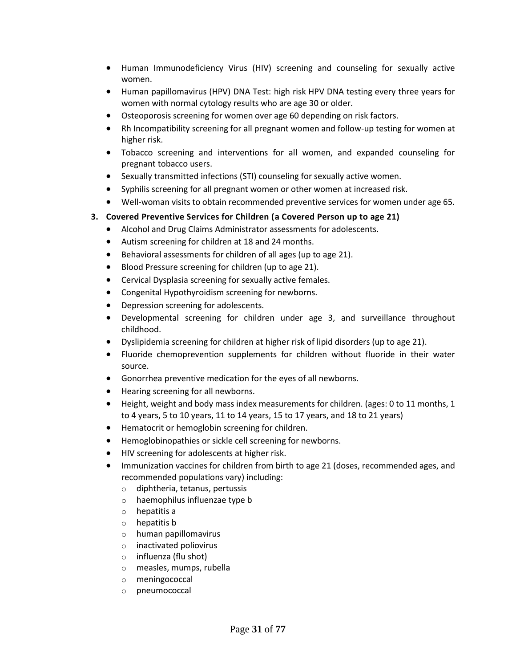- [Human Immunodeficiency Virus \(HIV\)](http://www.hrsa.gov/womensguidelines/) screening and counseling for sexually active women.
- [Human papillomavirus \(HPV\) DNA Test:](http://www.hrsa.gov/womensguidelines/) high risk HPV DNA testing every three years for women with normal cytology results who are age 30 or older.
- [Osteoporosis](http://healthfinder.gov/prevention/ViewTopic.aspx?topicId=12) screening for women over age 60 depending on risk factors.
- [Rh Incompatibility](http://healthfinder.gov/prevention/ViewTopic.aspx?topicId=48) screening for all pregnant women and follow-up testing for women at higher risk.
- [Tobacco s](http://healthfinder.gov/prevention/ViewTopic.aspx?topicId=24)creening and interventions for all women, and expanded counseling for pregnant tobacco users.
- [Sexually transmitted infections \(STI\)](http://www.hrsa.gov/womensguidelines/) counseling for sexually active women.
- [Syphilis](http://healthfinder.gov/prevention/ViewTopic.aspx?topicId=32) screening for all pregnant women or other women at increased risk.
- [Well-woman](http://www.hrsa.gov/womensguidelines/) visits to obtain recommended preventive services for women under age 65.

#### **3. Covered Preventive Services for Children (a Covered Person up to age 21)**

- [Alcohol and Drug Claims Administrator](http://healthfinder.gov/prevention/ViewTopic.aspx?topicID=65) assessments for adolescents.
- [Autism](http://healthfinder.gov/prevention/ViewTopic.aspx?topicId=90) screening for children at 18 and 24 months.
- Behavioral assessments for children of all ages (up to age 21).
- Blood Pressure screening for children (up to age 21).
- [Cervical Dysplasia](http://healthfinder.gov/prevention/ViewTopic.aspx?topicId=13) screening for sexually active females.
- [Congenital Hypothyroidism](http://healthfinder.gov/prevention/ViewTopic.aspx?topicId=57) screening for newborns.
- [Depression](http://healthfinder.gov/prevention/ViewTopic.aspx?topicId=85) screening for adolescents.
- [Developmental](http://healthfinder.gov/prevention/ViewTopic.aspx?topicId=79) screening for children under age 3, and surveillance throughout childhood.
- Dyslipidemia screening for children at higher risk of lipid disorders (up to age 21).
- [Fluoride chemoprevention](http://healthfinder.gov/prevention/ViewTopic.aspx?topicId=64) supplements for children without fluoride in their water source.
- [Gonorrhea](http://healthfinder.gov/prevention/ViewTopic.aspx?topicId=57) preventive medication for the eyes of all newborns.
- [Hearing](http://healthfinder.gov/prevention/ViewTopic.aspx?topicId=57) screening for all newborns.
- Height, weight and body mass index measurements for children. (ages: [0 to 11 months,](http://healthfinder.gov/prevention/ViewTopic.aspx?topicId=89) 1 [to 4 years,](http://healthfinder.gov/prevention/ViewTopic.aspx?topicId=90) [5 to 10 years,](http://healthfinder.gov/prevention/ViewTopic.aspx?topicId=91) [11 to 14 years,](http://healthfinder.gov/prevention/ViewTopic.aspx?topicId=92) [15 to 17 years,](http://healthfinder.gov/prevention/ViewTopic.aspx?topicId=93) and 18 to 21 years)
- [Hematocrit or hemoglobin](http://healthfinder.gov/prevention/ViewTopic.aspx?topicId=90) screening for children.
- [Hemoglobinopathies](http://healthfinder.gov/prevention/ViewTopic.aspx?topicId=57) or sickle cell screening for newborns.
- [HIV](http://healthfinder.gov/prevention/ViewTopic.aspx?topicId=49) screening for adolescents at higher risk.
- [Immunization](http://healthfinder.gov/prevention/ViewTopic.aspx?topicId=59) vaccines for children from birth to age 21 (doses, recommended ages, and recommended populations vary) including:
	- o diphtheria, tetanus, pertussis
	- o haemophilus influenzae type b
	- o hepatitis a
	- o hepatitis b
	- o human papillomavirus
	- o inactivated poliovirus
	- o influenza (flu shot)
	- o measles, mumps, rubella
	- o meningococcal
	- o pneumococcal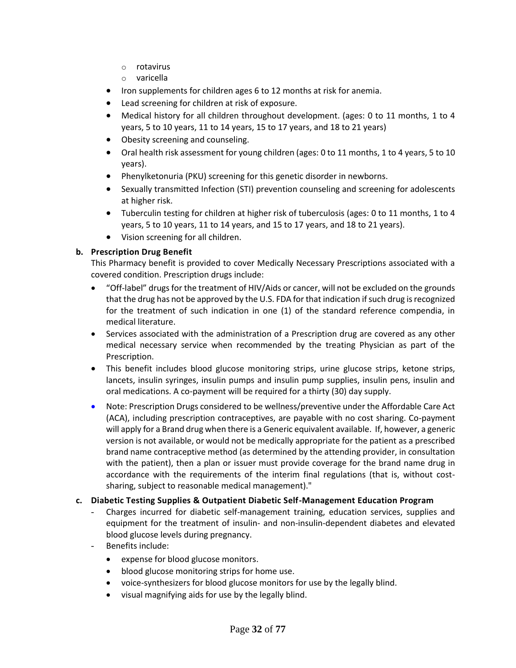- o rotavirus
- o varicella
- [Iron](http://healthfinder.gov/prevention/ViewTopic.aspx?topicId=89) supplements for children ages 6 to 12 months at risk for anemia.
- [Lead](http://healthfinder.gov/prevention/ViewTopic.aspx?topicId=63) screening for children at risk of exposure.
- Medical history for all children throughout development. (ages: [0 to 11 months,](http://healthfinder.gov/prevention/ViewTopic.aspx?topicId=89) 1 to 4 [years,](http://healthfinder.gov/prevention/ViewTopic.aspx?topicId=90) [5 to 10 years,](http://healthfinder.gov/prevention/ViewTopic.aspx?topicId=91) [11 to 14 years,](http://healthfinder.gov/prevention/ViewTopic.aspx?topicId=92) [15 to 17 years,](http://healthfinder.gov/prevention/ViewTopic.aspx?topicId=93) and 18 to 21 years)
- [Obesity](http://healthfinder.gov/prevention/ViewTopic.aspx?topicId=62) screening and counseling.
- Oral health risk assessment for young children (ages[: 0 to 11 months,](http://healthfinder.gov/prevention/ViewTopic.aspx?topicId=89) [1 to 4 years,](http://healthfinder.gov/prevention/ViewTopic.aspx?topicId=90) [5 to 10](http://healthfinder.gov/prevention/ViewTopic.aspx?topicId=91)  [years\)](http://healthfinder.gov/prevention/ViewTopic.aspx?topicId=91).
- [Phenylketonuria \(PKU\)](http://healthfinder.gov/prevention/ViewTopic.aspx?topicId=57) screening for this genetic disorder in newborns.
- [Sexually transmitted Infection \(STI\)](http://healthfinder.gov/prevention/ViewTopic.aspx?topicId=32) prevention counseling and screening for adolescents at higher risk.
- Tuberculin testing for children at higher risk of tuberculosis (ages[: 0 to 11 months,](http://healthfinder.gov/prevention/ViewTopic.aspx?topicId=89) [1 to 4](http://healthfinder.gov/prevention/ViewTopic.aspx?topicId=90)  [years,](http://healthfinder.gov/prevention/ViewTopic.aspx?topicId=90) [5 to 10 years,](http://healthfinder.gov/prevention/ViewTopic.aspx?topicId=91) [11 to 14 years,](http://healthfinder.gov/prevention/ViewTopic.aspx?topicId=92) an[d 15 to 17 years,](http://healthfinder.gov/prevention/ViewTopic.aspx?topicId=93) and 18 to 21 years).
- [Vision](http://healthfinder.gov/prevention/ViewTopic.aspx?topicId=67) screening for all children.

#### **b. Prescription Drug Benefit**

This Pharmacy benefit is provided to cover Medically Necessary Prescriptions associated with a covered condition. Prescription drugs include:

- "Off-label" drugs for the treatment of HIV/Aids or cancer, will not be excluded on the grounds that the drug has not be approved by the U.S. FDA for that indication if such drug is recognized for the treatment of such indication in one (1) of the standard reference compendia, in medical literature.
- Services associated with the administration of a Prescription drug are covered as any other medical necessary service when recommended by the treating Physician as part of the Prescription.
- This benefit includes blood glucose monitoring strips, urine glucose strips, ketone strips, lancets, insulin syringes, insulin pumps and insulin pump supplies, insulin pens, insulin and oral medications. A co-payment will be required for a thirty (30) day supply.
- Note: Prescription Drugs considered to be wellness/preventive under the Affordable Care Act (ACA), including prescription contraceptives, are payable with no cost sharing. Co-payment will apply for a Brand drug when there is a Generic equivalent available. If, however, a generic version is not available, or would not be medically appropriate for the patient as a prescribed brand name contraceptive method (as determined by the attending provider, in consultation with the patient), then a plan or issuer must provide coverage for the brand name drug in accordance with the requirements of the interim final regulations (that is, without costsharing, subject to reasonable medical management)."

#### **c. Diabetic Testing Supplies & Outpatient Diabetic Self-Management Education Program**

- Charges incurred for diabetic self-management training, education services, supplies and equipment for the treatment of insulin- and non-insulin-dependent diabetes and elevated blood glucose levels during pregnancy.
- Benefits include:
	- expense for blood glucose monitors.
	- blood glucose monitoring strips for home use.
	- voice-synthesizers for blood glucose monitors for use by the legally blind.
	- visual magnifying aids for use by the legally blind.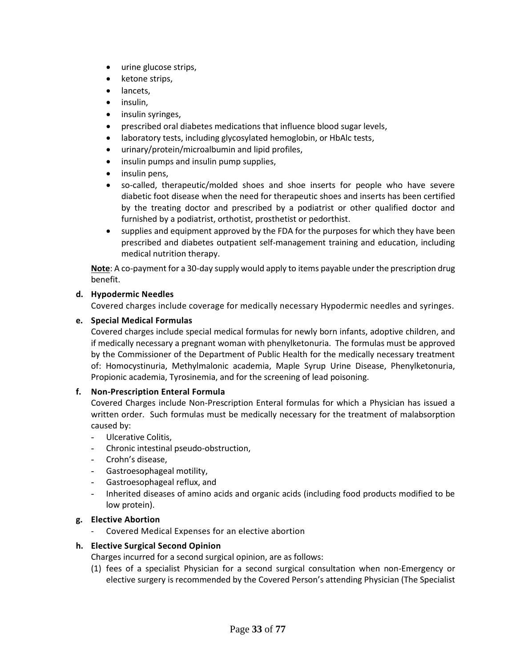- urine glucose strips,
- ketone strips,
- lancets,
- insulin,
- insulin syringes,
- prescribed oral diabetes medications that influence blood sugar levels,
- laboratory tests, including glycosylated hemoglobin, or HbAlc tests,
- urinary/protein/microalbumin and lipid profiles,
- insulin pumps and insulin pump supplies,
- insulin pens,
- so-called, therapeutic/molded shoes and shoe inserts for people who have severe diabetic foot disease when the need for therapeutic shoes and inserts has been certified by the treating doctor and prescribed by a podiatrist or other qualified doctor and furnished by a podiatrist, orthotist, prosthetist or pedorthist.
- supplies and equipment approved by the FDA for the purposes for which they have been prescribed and diabetes outpatient self-management training and education, including medical nutrition therapy.

**Note**: A co-payment for a 30-day supply would apply to items payable under the prescription drug benefit.

#### **d. Hypodermic Needles**

Covered charges include coverage for medically necessary Hypodermic needles and syringes.

#### **e. Special Medical Formulas**

Covered charges include special medical formulas for newly born infants, adoptive children, and if medically necessary a pregnant woman with phenylketonuria. The formulas must be approved by the Commissioner of the Department of Public Health for the medically necessary treatment of: Homocystinuria, Methylmalonic academia, Maple Syrup Urine Disease, Phenylketonuria, Propionic academia, Tyrosinemia, and for the screening of lead poisoning.

#### **f. Non-Prescription Enteral Formula**

Covered Charges include Non-Prescription Enteral formulas for which a Physician has issued a written order. Such formulas must be medically necessary for the treatment of malabsorption caused by:

- Ulcerative Colitis,
- Chronic intestinal pseudo-obstruction,
- Crohn's disease,
- Gastroesophageal motility,
- Gastroesophageal reflux, and
- Inherited diseases of amino acids and organic acids (including food products modified to be low protein).

#### **g. Elective Abortion**

Covered Medical Expenses for an elective abortion

#### **h. Elective Surgical Second Opinion**

Charges incurred for a second surgical opinion, are as follows:

(1) fees of a specialist Physician for a second surgical consultation when non-Emergency or elective surgery is recommended by the Covered Person's attending Physician (The Specialist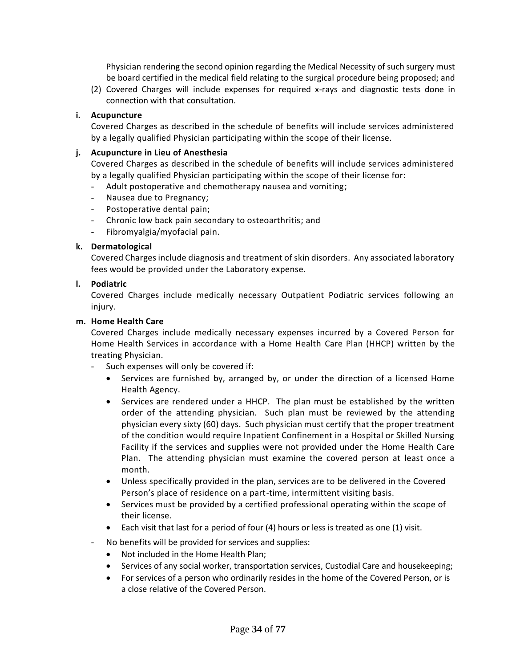Physician rendering the second opinion regarding the Medical Necessity of such surgery must be board certified in the medical field relating to the surgical procedure being proposed; and

(2) Covered Charges will include expenses for required x-rays and diagnostic tests done in connection with that consultation.

#### **i. Acupuncture**

Covered Charges as described in the schedule of benefits will include services administered by a legally qualified Physician participating within the scope of their license.

#### **j. Acupuncture in Lieu of Anesthesia**

Covered Charges as described in the schedule of benefits will include services administered by a legally qualified Physician participating within the scope of their license for:

- Adult postoperative and chemotherapy nausea and vomiting;
- Nausea due to Pregnancy;
- Postoperative dental pain;
- Chronic low back pain secondary to osteoarthritis; and
- Fibromyalgia/myofacial pain.

#### **k. Dermatological**

Covered Charges include diagnosis and treatment of skin disorders. Any associated laboratory fees would be provided under the Laboratory expense.

#### **l. Podiatric**

Covered Charges include medically necessary Outpatient Podiatric services following an injury.

#### **m. Home Health Care**

Covered Charges include medically necessary expenses incurred by a Covered Person for Home Health Services in accordance with a Home Health Care Plan (HHCP) written by the treating Physician.

- Such expenses will only be covered if:
	- Services are furnished by, arranged by, or under the direction of a licensed Home Health Agency.
	- Services are rendered under a HHCP. The plan must be established by the written order of the attending physician. Such plan must be reviewed by the attending physician every sixty (60) days. Such physician must certify that the proper treatment of the condition would require Inpatient Confinement in a Hospital or Skilled Nursing Facility if the services and supplies were not provided under the Home Health Care Plan. The attending physician must examine the covered person at least once a month.
	- Unless specifically provided in the plan, services are to be delivered in the Covered Person's place of residence on a part-time, intermittent visiting basis.
	- Services must be provided by a certified professional operating within the scope of their license.
	- Each visit that last for a period of four (4) hours or less is treated as one (1) visit.
- No benefits will be provided for services and supplies:
	- Not included in the Home Health Plan;
	- Services of any social worker, transportation services, Custodial Care and housekeeping;
	- For services of a person who ordinarily resides in the home of the Covered Person, or is a close relative of the Covered Person.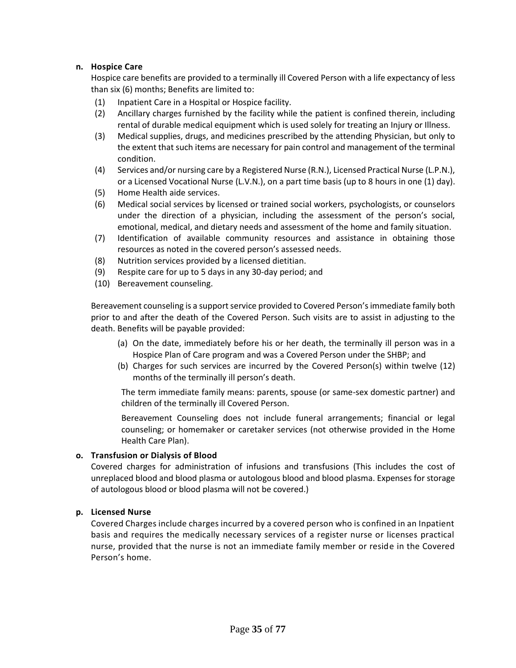#### **n. Hospice Care**

Hospice care benefits are provided to a terminally ill Covered Person with a life expectancy of less than six (6) months; Benefits are limited to:

- (1) Inpatient Care in a Hospital or Hospice facility.
- (2) Ancillary charges furnished by the facility while the patient is confined therein, including rental of durable medical equipment which is used solely for treating an Injury or Illness.
- (3) Medical supplies, drugs, and medicines prescribed by the attending Physician, but only to the extent that such items are necessary for pain control and management of the terminal condition.
- (4) Services and/or nursing care by a Registered Nurse (R.N.), Licensed Practical Nurse (L.P.N.), or a Licensed Vocational Nurse (L.V.N.), on a part time basis (up to 8 hours in one (1) day).
- (5) Home Health aide services.
- (6) Medical social services by licensed or trained social workers, psychologists, or counselors under the direction of a physician, including the assessment of the person's social, emotional, medical, and dietary needs and assessment of the home and family situation.
- (7) Identification of available community resources and assistance in obtaining those resources as noted in the covered person's assessed needs.
- (8) Nutrition services provided by a licensed dietitian.
- (9) Respite care for up to 5 days in any 30-day period; and
- (10) Bereavement counseling.

Bereavement counseling is a support service provided to Covered Person's immediate family both prior to and after the death of the Covered Person. Such visits are to assist in adjusting to the death. Benefits will be payable provided:

- (a) On the date, immediately before his or her death, the terminally ill person was in a Hospice Plan of Care program and was a Covered Person under the SHBP; and
- (b) Charges for such services are incurred by the Covered Person(s) within twelve (12) months of the terminally ill person's death.

The term immediate family means: parents, spouse (or same-sex domestic partner) and children of the terminally ill Covered Person.

Bereavement Counseling does not include funeral arrangements; financial or legal counseling; or homemaker or caretaker services (not otherwise provided in the Home Health Care Plan).

#### **o. Transfusion or Dialysis of Blood**

Covered charges for administration of infusions and transfusions (This includes the cost of unreplaced blood and blood plasma or autologous blood and blood plasma. Expenses for storage of autologous blood or blood plasma will not be covered.)

#### **p. Licensed Nurse**

Covered Charges include charges incurred by a covered person who is confined in an Inpatient basis and requires the medically necessary services of a register nurse or licenses practical nurse, provided that the nurse is not an immediate family member or reside in the Covered Person's home.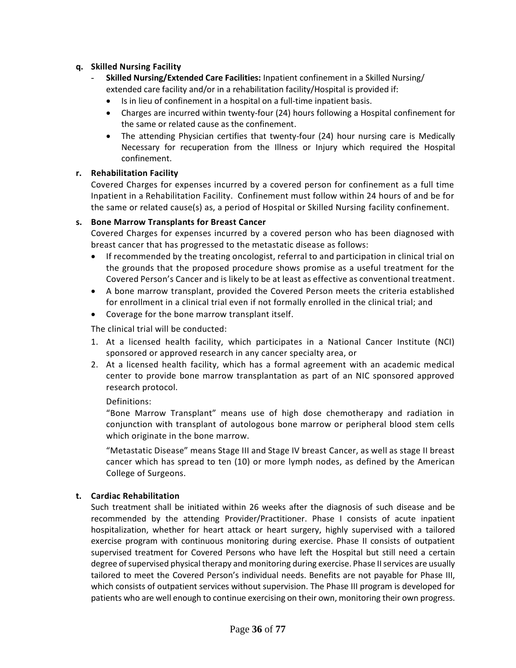#### **q. Skilled Nursing Facility**

- **Skilled Nursing/Extended Care Facilities:** Inpatient confinement in a Skilled Nursing/ extended care facility and/or in a rehabilitation facility/Hospital is provided if:
	- Is in lieu of confinement in a hospital on a full-time inpatient basis.
	- Charges are incurred within twenty-four (24) hours following a Hospital confinement for the same or related cause as the confinement.
	- The attending Physician certifies that twenty-four (24) hour nursing care is Medically Necessary for recuperation from the Illness or Injury which required the Hospital confinement.

#### **r. Rehabilitation Facility**

Covered Charges for expenses incurred by a covered person for confinement as a full time Inpatient in a Rehabilitation Facility. Confinement must follow within 24 hours of and be for the same or related cause(s) as, a period of Hospital or Skilled Nursing facility confinement.

#### **s. Bone Marrow Transplants for Breast Cancer**

Covered Charges for expenses incurred by a covered person who has been diagnosed with breast cancer that has progressed to the metastatic disease as follows:

- If recommended by the treating oncologist, referral to and participation in clinical trial on the grounds that the proposed procedure shows promise as a useful treatment for the Covered Person's Cancer and is likely to be at least as effective as conventional treatment.
- A bone marrow transplant, provided the Covered Person meets the criteria established for enrollment in a clinical trial even if not formally enrolled in the clinical trial; and
- Coverage for the bone marrow transplant itself.

The clinical trial will be conducted:

- 1. At a licensed health facility, which participates in a National Cancer Institute (NCI) sponsored or approved research in any cancer specialty area, or
- 2. At a licensed health facility, which has a formal agreement with an academic medical center to provide bone marrow transplantation as part of an NIC sponsored approved research protocol.

#### Definitions:

"Bone Marrow Transplant" means use of high dose chemotherapy and radiation in conjunction with transplant of autologous bone marrow or peripheral blood stem cells which originate in the bone marrow.

"Metastatic Disease" means Stage III and Stage IV breast Cancer, as well as stage II breast cancer which has spread to ten (10) or more lymph nodes, as defined by the American College of Surgeons.

#### **t. Cardiac Rehabilitation**

Such treatment shall be initiated within 26 weeks after the diagnosis of such disease and be recommended by the attending Provider/Practitioner. Phase I consists of acute inpatient hospitalization, whether for heart attack or heart surgery, highly supervised with a tailored exercise program with continuous monitoring during exercise. Phase II consists of outpatient supervised treatment for Covered Persons who have left the Hospital but still need a certain degree of supervised physical therapy and monitoring during exercise. Phase II services are usually tailored to meet the Covered Person's individual needs. Benefits are not payable for Phase III, which consists of outpatient services without supervision. The Phase III program is developed for patients who are well enough to continue exercising on their own, monitoring their own progress.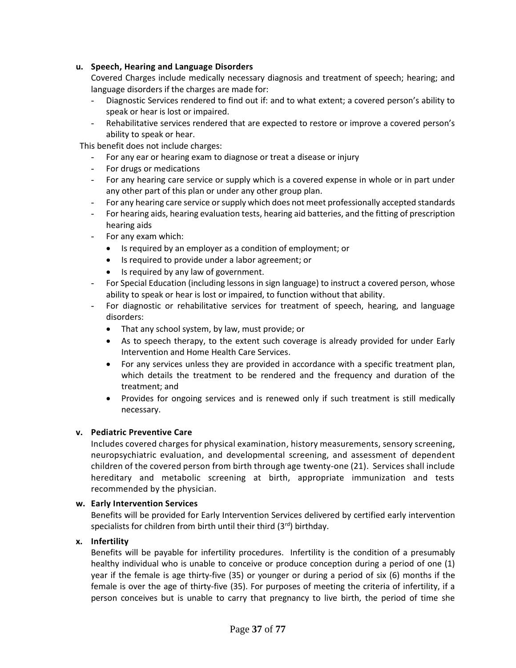# **u. Speech, Hearing and Language Disorders**

Covered Charges include medically necessary diagnosis and treatment of speech; hearing; and language disorders if the charges are made for:

- Diagnostic Services rendered to find out if: and to what extent; a covered person's ability to speak or hear is lost or impaired.
- Rehabilitative services rendered that are expected to restore or improve a covered person's ability to speak or hear.

This benefit does not include charges:

- For any ear or hearing exam to diagnose or treat a disease or injury
- For drugs or medications
- For any hearing care service or supply which is a covered expense in whole or in part under any other part of this plan or under any other group plan.
- For any hearing care service or supply which does not meet professionally accepted standards
- For hearing aids, hearing evaluation tests, hearing aid batteries, and the fitting of prescription hearing aids
- For any exam which:
	- Is required by an employer as a condition of employment; or
	- Is required to provide under a labor agreement; or
	- Is required by any law of government.
- For Special Education (including lessons in sign language) to instruct a covered person, whose ability to speak or hear is lost or impaired, to function without that ability.
- For diagnostic or rehabilitative services for treatment of speech, hearing, and language disorders:
	- That any school system, by law, must provide; or
	- As to speech therapy, to the extent such coverage is already provided for under Early Intervention and Home Health Care Services.
	- For any services unless they are provided in accordance with a specific treatment plan, which details the treatment to be rendered and the frequency and duration of the treatment; and
	- Provides for ongoing services and is renewed only if such treatment is still medically necessary.

#### **v. Pediatric Preventive Care**

Includes covered charges for physical examination, history measurements, sensory screening, neuropsychiatric evaluation, and developmental screening, and assessment of dependent children of the covered person from birth through age twenty-one (21). Services shall include hereditary and metabolic screening at birth, appropriate immunization and tests recommended by the physician.

#### **w. Early Intervention Services**

Benefits will be provided for Early Intervention Services delivered by certified early intervention specialists for children from birth until their third  $(3<sup>rd</sup>)$  birthday.

#### **x. Infertility**

Benefits will be payable for infertility procedures. Infertility is the condition of a presumably healthy individual who is unable to conceive or produce conception during a period of one (1) year if the female is age thirty-five (35) or younger or during a period of six (6) months if the female is over the age of thirty-five (35). For purposes of meeting the criteria of infertility, if a person conceives but is unable to carry that pregnancy to live birth, the period of time she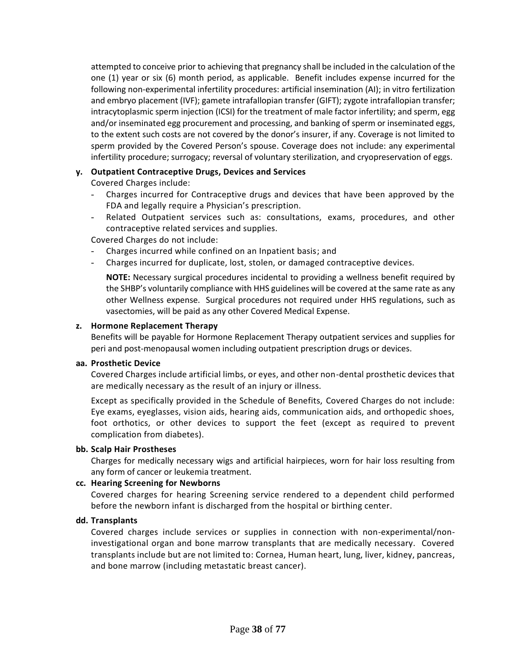attempted to conceive prior to achieving that pregnancy shall be included in the calculation of the one (1) year or six (6) month period, as applicable. Benefit includes expense incurred for the following non-experimental infertility procedures: artificial insemination (AI); in vitro fertilization and embryo placement (IVF); gamete intrafallopian transfer (GIFT); zygote intrafallopian transfer; intracytoplasmic sperm injection (ICSI) for the treatment of male factor infertility; and sperm, egg and/or inseminated egg procurement and processing, and banking of sperm or inseminated eggs, to the extent such costs are not covered by the donor's insurer, if any. Coverage is not limited to sperm provided by the Covered Person's spouse. Coverage does not include: any experimental infertility procedure; surrogacy; reversal of voluntary sterilization, and cryopreservation of eggs.

# **y. Outpatient Contraceptive Drugs, Devices and Services**

Covered Charges include:

- Charges incurred for Contraceptive drugs and devices that have been approved by the FDA and legally require a Physician's prescription.
- Related Outpatient services such as: consultations, exams, procedures, and other contraceptive related services and supplies.

Covered Charges do not include:

- Charges incurred while confined on an Inpatient basis; and
- Charges incurred for duplicate, lost, stolen, or damaged contraceptive devices.

**NOTE:** Necessary surgical procedures incidental to providing a wellness benefit required by the SHBP's voluntarily compliance with HHS guidelines will be covered at the same rate as any other Wellness expense. Surgical procedures not required under HHS regulations, such as vasectomies, will be paid as any other Covered Medical Expense.

#### **z. Hormone Replacement Therapy**

Benefits will be payable for Hormone Replacement Therapy outpatient services and supplies for peri and post-menopausal women including outpatient prescription drugs or devices.

#### **aa. Prosthetic Device**

Covered Charges include artificial limbs, or eyes, and other non-dental prosthetic devices that are medically necessary as the result of an injury or illness.

Except as specifically provided in the Schedule of Benefits, Covered Charges do not include: Eye exams, eyeglasses, vision aids, hearing aids, communication aids, and orthopedic shoes, foot orthotics, or other devices to support the feet (except as required to prevent complication from diabetes).

#### **bb. Scalp Hair Prostheses**

Charges for medically necessary wigs and artificial hairpieces, worn for hair loss resulting from any form of cancer or leukemia treatment.

#### **cc. Hearing Screening for Newborns**

Covered charges for hearing Screening service rendered to a dependent child performed before the newborn infant is discharged from the hospital or birthing center.

#### **dd. Transplants**

Covered charges include services or supplies in connection with non-experimental/noninvestigational organ and bone marrow transplants that are medically necessary. Covered transplants include but are not limited to: Cornea, Human heart, lung, liver, kidney, pancreas, and bone marrow (including metastatic breast cancer).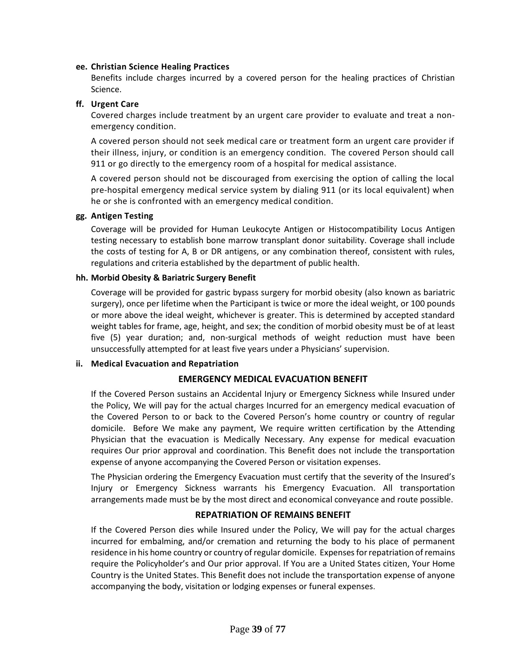#### **ee. Christian Science Healing Practices**

Benefits include charges incurred by a covered person for the healing practices of Christian Science.

# **ff. Urgent Care**

Covered charges include treatment by an urgent care provider to evaluate and treat a nonemergency condition.

A covered person should not seek medical care or treatment form an urgent care provider if their illness, injury, or condition is an emergency condition. The covered Person should call 911 or go directly to the emergency room of a hospital for medical assistance.

A covered person should not be discouraged from exercising the option of calling the local pre-hospital emergency medical service system by dialing 911 (or its local equivalent) when he or she is confronted with an emergency medical condition.

# **gg. Antigen Testing**

Coverage will be provided for Human Leukocyte Antigen or Histocompatibility Locus Antigen testing necessary to establish bone marrow transplant donor suitability. Coverage shall include the costs of testing for A, B or DR antigens, or any combination thereof, consistent with rules, regulations and criteria established by the department of public health.

# **hh. Morbid Obesity & Bariatric Surgery Benefit**

Coverage will be provided for gastric bypass surgery for morbid obesity (also known as bariatric surgery), once per lifetime when the Participant is twice or more the ideal weight, or 100 pounds or more above the ideal weight, whichever is greater. This is determined by accepted standard weight tables for frame, age, height, and sex; the condition of morbid obesity must be of at least five (5) year duration; and, non-surgical methods of weight reduction must have been unsuccessfully attempted for at least five years under a Physicians' supervision.

# **ii. Medical Evacuation and Repatriation**

# **EMERGENCY MEDICAL EVACUATION BENEFIT**

If the Covered Person sustains an Accidental Injury or Emergency Sickness while Insured under the Policy, We will pay for the actual charges Incurred for an emergency medical evacuation of the Covered Person to or back to the Covered Person's home country or country of regular domicile. Before We make any payment, We require written certification by the Attending Physician that the evacuation is Medically Necessary. Any expense for medical evacuation requires Our prior approval and coordination. This Benefit does not include the transportation expense of anyone accompanying the Covered Person or visitation expenses.

The Physician ordering the Emergency Evacuation must certify that the severity of the Insured's Injury or Emergency Sickness warrants his Emergency Evacuation. All transportation arrangements made must be by the most direct and economical conveyance and route possible.

# **REPATRIATION OF REMAINS BENEFIT**

If the Covered Person dies while Insured under the Policy, We will pay for the actual charges incurred for embalming, and/or cremation and returning the body to his place of permanent residence in his home country or country of regular domicile. Expenses for repatriation of remains require the Policyholder's and Our prior approval. If You are a United States citizen, Your Home Country is the United States. This Benefit does not include the transportation expense of anyone accompanying the body, visitation or lodging expenses or funeral expenses.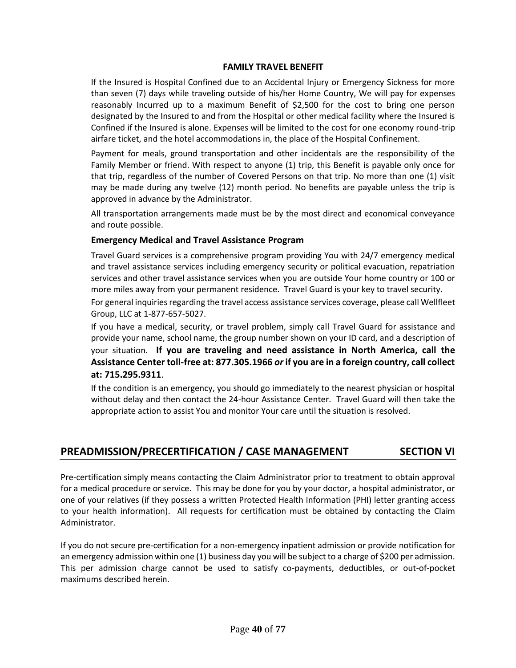#### **FAMILY TRAVEL BENEFIT**

If the Insured is Hospital Confined due to an Accidental Injury or Emergency Sickness for more than seven (7) days while traveling outside of his/her Home Country, We will pay for expenses reasonably Incurred up to a maximum Benefit of \$2,500 for the cost to bring one person designated by the Insured to and from the Hospital or other medical facility where the Insured is Confined if the Insured is alone. Expenses will be limited to the cost for one economy round-trip airfare ticket, and the hotel accommodations in, the place of the Hospital Confinement.

Payment for meals, ground transportation and other incidentals are the responsibility of the Family Member or friend. With respect to anyone (1) trip, this Benefit is payable only once for that trip, regardless of the number of Covered Persons on that trip. No more than one (1) visit may be made during any twelve (12) month period. No benefits are payable unless the trip is approved in advance by the Administrator.

All transportation arrangements made must be by the most direct and economical conveyance and route possible.

# **Emergency Medical and Travel Assistance Program**

Travel Guard services is a comprehensive program providing You with 24/7 emergency medical and travel assistance services including emergency security or political evacuation, repatriation services and other travel assistance services when you are outside Your home country or 100 or more miles away from your permanent residence. Travel Guard is your key to travel security.

For general inquiries regarding the travel access assistance services coverage, please call Wellfleet Group, LLC at 1-877-657-5027.

If you have a medical, security, or travel problem, simply call Travel Guard for assistance and provide your name, school name, the group number shown on your ID card, and a description of your situation. **If you are traveling and need assistance in North America, call the Assistance Center toll-free at: 877.305.1966** *or* **if you are in a foreign country, call collect at: 715.295.9311**.

If the condition is an emergency, you should go immediately to the nearest physician or hospital without delay and then contact the 24-hour Assistance Center. Travel Guard will then take the appropriate action to assist You and monitor Your care until the situation is resolved.

# **PREADMISSION/PRECERTIFICATION / CASE MANAGEMENT SECTION VI**

Pre-certification simply means contacting the Claim Administrator prior to treatment to obtain approval for a medical procedure or service. This may be done for you by your doctor, a hospital administrator, or one of your relatives (if they possess a written Protected Health Information (PHI) letter granting access to your health information). All requests for certification must be obtained by contacting the Claim Administrator.

If you do not secure pre-certification for a non-emergency inpatient admission or provide notification for an emergency admission within one (1) business day you will be subject to a charge of \$200 per admission. This per admission charge cannot be used to satisfy co-payments, deductibles, or out-of-pocket maximums described herein.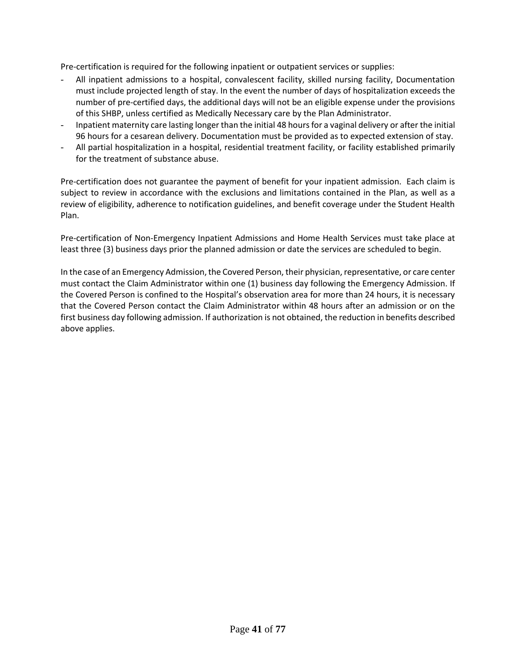Pre-certification is required for the following inpatient or outpatient services or supplies:

- All inpatient admissions to a hospital, convalescent facility, skilled nursing facility, Documentation must include projected length of stay. In the event the number of days of hospitalization exceeds the number of pre-certified days, the additional days will not be an eligible expense under the provisions of this SHBP, unless certified as Medically Necessary care by the Plan Administrator.
- Inpatient maternity care lasting longer than the initial 48 hours for a vaginal delivery or after the initial 96 hours for a cesarean delivery. Documentation must be provided as to expected extension of stay.
- All partial hospitalization in a hospital, residential treatment facility, or facility established primarily for the treatment of substance abuse.

Pre-certification does not guarantee the payment of benefit for your inpatient admission. Each claim is subject to review in accordance with the exclusions and limitations contained in the Plan, as well as a review of eligibility, adherence to notification guidelines, and benefit coverage under the Student Health Plan.

Pre-certification of Non-Emergency Inpatient Admissions and Home Health Services must take place at least three (3) business days prior the planned admission or date the services are scheduled to begin.

In the case of an Emergency Admission, the Covered Person, their physician, representative, or care center must contact the Claim Administrator within one (1) business day following the Emergency Admission. If the Covered Person is confined to the Hospital's observation area for more than 24 hours, it is necessary that the Covered Person contact the Claim Administrator within 48 hours after an admission or on the first business day following admission. If authorization is not obtained, the reduction in benefits described above applies.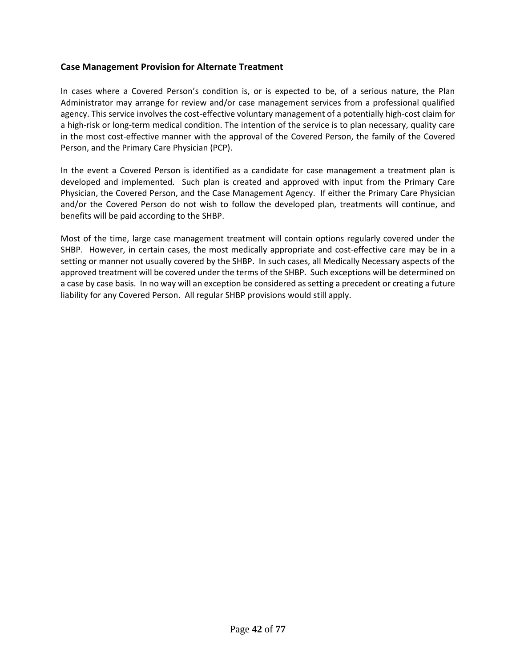# **Case Management Provision for Alternate Treatment**

In cases where a Covered Person's condition is, or is expected to be, of a serious nature, the Plan Administrator may arrange for review and/or case management services from a professional qualified agency. This service involves the cost-effective voluntary management of a potentially high-cost claim for a high-risk or long-term medical condition. The intention of the service is to plan necessary, quality care in the most cost-effective manner with the approval of the Covered Person, the family of the Covered Person, and the Primary Care Physician (PCP).

In the event a Covered Person is identified as a candidate for case management a treatment plan is developed and implemented. Such plan is created and approved with input from the Primary Care Physician, the Covered Person, and the Case Management Agency. If either the Primary Care Physician and/or the Covered Person do not wish to follow the developed plan, treatments will continue, and benefits will be paid according to the SHBP.

Most of the time, large case management treatment will contain options regularly covered under the SHBP. However, in certain cases, the most medically appropriate and cost-effective care may be in a setting or manner not usually covered by the SHBP. In such cases, all Medically Necessary aspects of the approved treatment will be covered under the terms of the SHBP. Such exceptions will be determined on a case by case basis. In no way will an exception be considered as setting a precedent or creating a future liability for any Covered Person. All regular SHBP provisions would still apply.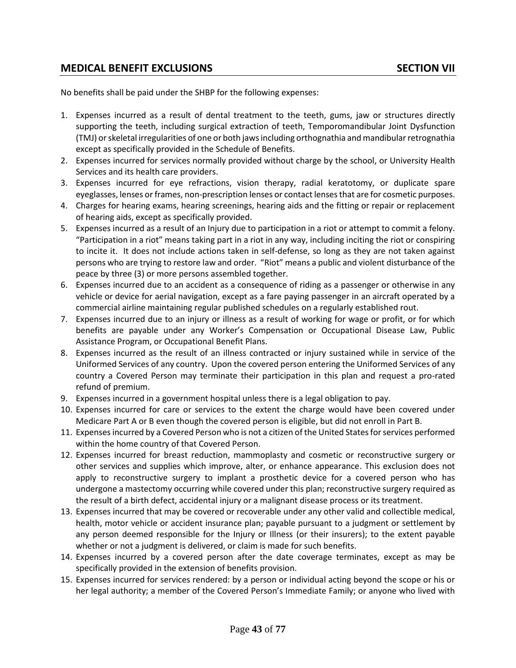# **MEDICAL BENEFIT EXCLUSIONS SECTION VII**

No benefits shall be paid under the SHBP for the following expenses:

- 1. Expenses incurred as a result of dental treatment to the teeth, gums, jaw or structures directly supporting the teeth, including surgical extraction of teeth, Temporomandibular Joint Dysfunction (TMJ) or skeletal irregularities of one or both jaws including orthognathia and mandibular retrognathia except as specifically provided in the Schedule of Benefits.
- 2. Expenses incurred for services normally provided without charge by the school, or University Health Services and its health care providers.
- 3. Expenses incurred for eye refractions, vision therapy, radial keratotomy, or duplicate spare eyeglasses, lenses or frames, non-prescription lenses or contact lensesthat are for cosmetic purposes.
- 4. Charges for hearing exams, hearing screenings, hearing aids and the fitting or repair or replacement of hearing aids, except as specifically provided.
- 5. Expenses incurred as a result of an Injury due to participation in a riot or attempt to commit a felony. "Participation in a riot" means taking part in a riot in any way, including inciting the riot or conspiring to incite it. It does not include actions taken in self-defense, so long as they are not taken against persons who are trying to restore law and order. "Riot" means a public and violent disturbance of the peace by three (3) or more persons assembled together.
- 6. Expenses incurred due to an accident as a consequence of riding as a passenger or otherwise in any vehicle or device for aerial navigation, except as a fare paying passenger in an aircraft operated by a commercial airline maintaining regular published schedules on a regularly established rout.
- 7. Expenses incurred due to an injury or illness as a result of working for wage or profit, or for which benefits are payable under any Worker's Compensation or Occupational Disease Law, Public Assistance Program, or Occupational Benefit Plans.
- 8. Expenses incurred as the result of an illness contracted or injury sustained while in service of the Uniformed Services of any country. Upon the covered person entering the Uniformed Services of any country a Covered Person may terminate their participation in this plan and request a pro-rated refund of premium.
- 9. Expenses incurred in a government hospital unless there is a legal obligation to pay.
- 10. Expenses incurred for care or services to the extent the charge would have been covered under Medicare Part A or B even though the covered person is eligible, but did not enroll in Part B.
- 11. Expenses incurred by a Covered Person who is not a citizen of the United States for services performed within the home country of that Covered Person.
- 12. Expenses incurred for breast reduction, mammoplasty and cosmetic or reconstructive surgery or other services and supplies which improve, alter, or enhance appearance. This exclusion does not apply to reconstructive surgery to implant a prosthetic device for a covered person who has undergone a mastectomy occurring while covered under this plan; reconstructive surgery required as the result of a birth defect, accidental injury or a malignant disease process or its treatment.
- 13. Expenses incurred that may be covered or recoverable under any other valid and collectible medical, health, motor vehicle or accident insurance plan; payable pursuant to a judgment or settlement by any person deemed responsible for the Injury or Illness (or their insurers); to the extent payable whether or not a judgment is delivered, or claim is made for such benefits.
- 14. Expenses incurred by a covered person after the date coverage terminates, except as may be specifically provided in the extension of benefits provision.
- 15. Expenses incurred for services rendered: by a person or individual acting beyond the scope or his or her legal authority; a member of the Covered Person's Immediate Family; or anyone who lived with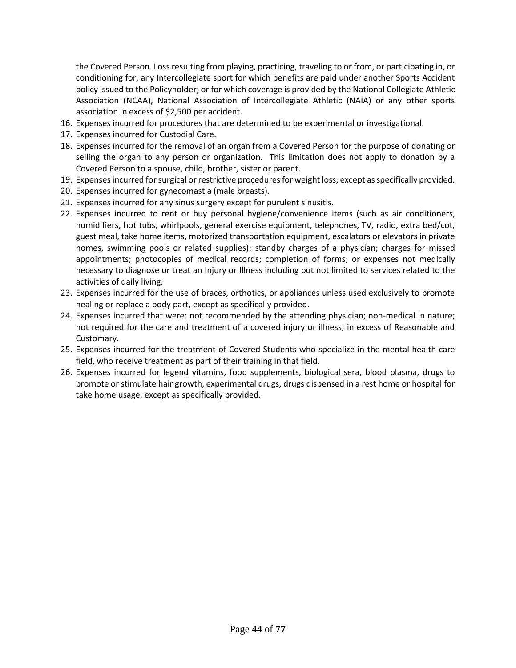the Covered Person. Loss resulting from playing, practicing, traveling to or from, or participating in, or conditioning for, any Intercollegiate sport for which benefits are paid under another Sports Accident policy issued to the Policyholder; or for which coverage is provided by the National Collegiate Athletic Association (NCAA), National Association of Intercollegiate Athletic (NAIA) or any other sports association in excess of \$2,500 per accident.

- 16. Expenses incurred for procedures that are determined to be experimental or investigational.
- 17. Expenses incurred for Custodial Care.
- 18. Expenses incurred for the removal of an organ from a Covered Person for the purpose of donating or selling the organ to any person or organization. This limitation does not apply to donation by a Covered Person to a spouse, child, brother, sister or parent.
- 19. Expenses incurred for surgical or restrictive procedures for weight loss, except as specifically provided.
- 20. Expenses incurred for gynecomastia (male breasts).
- 21. Expenses incurred for any sinus surgery except for purulent sinusitis.
- 22. Expenses incurred to rent or buy personal hygiene/convenience items (such as air conditioners, humidifiers, hot tubs, whirlpools, general exercise equipment, telephones, TV, radio, extra bed/cot, guest meal, take home items, motorized transportation equipment, escalators or elevators in private homes, swimming pools or related supplies); standby charges of a physician; charges for missed appointments; photocopies of medical records; completion of forms; or expenses not medically necessary to diagnose or treat an Injury or Illness including but not limited to services related to the activities of daily living.
- 23. Expenses incurred for the use of braces, orthotics, or appliances unless used exclusively to promote healing or replace a body part, except as specifically provided.
- 24. Expenses incurred that were: not recommended by the attending physician; non-medical in nature; not required for the care and treatment of a covered injury or illness; in excess of Reasonable and Customary.
- 25. Expenses incurred for the treatment of Covered Students who specialize in the mental health care field, who receive treatment as part of their training in that field.
- 26. Expenses incurred for legend vitamins, food supplements, biological sera, blood plasma, drugs to promote or stimulate hair growth, experimental drugs, drugs dispensed in a rest home or hospital for take home usage, except as specifically provided.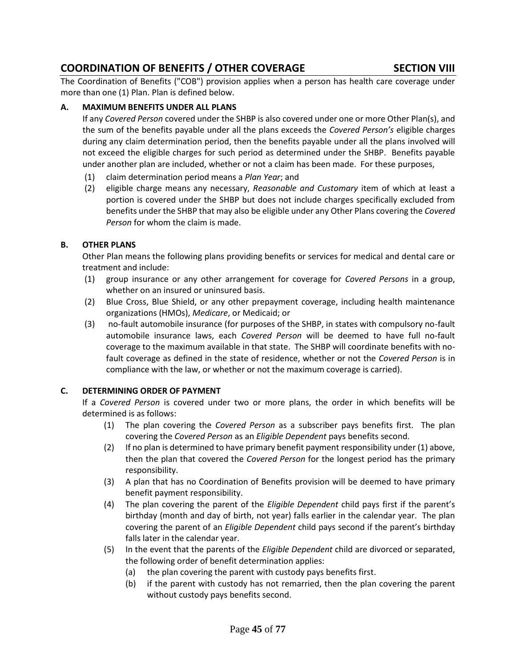# **COORDINATION OF BENEFITS / OTHER COVERAGE SECTION VIII**

The Coordination of Benefits ("COB") provision applies when a person has health care coverage under more than one (1) Plan. Plan is defined below.

# **A. MAXIMUM BENEFITS UNDER ALL PLANS**

If any *Covered Person* covered under the SHBP is also covered under one or more Other Plan(s), and the sum of the benefits payable under all the plans exceeds the *Covered Person's* eligible charges during any claim determination period, then the benefits payable under all the plans involved will not exceed the eligible charges for such period as determined under the SHBP. Benefits payable under another plan are included, whether or not a claim has been made. For these purposes,

- (1) claim determination period means a *Plan Year*; and
- (2) eligible charge means any necessary, *Reasonable and Customary* item of which at least a portion is covered under the SHBP but does not include charges specifically excluded from benefits under the SHBP that may also be eligible under any Other Plans covering the *Covered Person* for whom the claim is made.

# **B. OTHER PLANS**

Other Plan means the following plans providing benefits or services for medical and dental care or treatment and include:

- (1) group insurance or any other arrangement for coverage for *Covered Persons* in a group, whether on an insured or uninsured basis.
- (2) Blue Cross, Blue Shield, or any other prepayment coverage, including health maintenance organizations (HMOs), *Medicare*, or Medicaid; or
- (3) no-fault automobile insurance (for purposes of the SHBP, in states with compulsory no-fault automobile insurance laws, each *Covered Person* will be deemed to have full no-fault coverage to the maximum available in that state. The SHBP will coordinate benefits with nofault coverage as defined in the state of residence, whether or not the *Covered Person* is in compliance with the law, or whether or not the maximum coverage is carried).

# **C. DETERMINING ORDER OF PAYMENT**

If a *Covered Person* is covered under two or more plans, the order in which benefits will be determined is as follows:

- (1) The plan covering the *Covered Person* as a subscriber pays benefits first. The plan covering the *Covered Person* as an *Eligible Dependent* pays benefits second.
- (2) If no plan is determined to have primary benefit payment responsibility under (1) above, then the plan that covered the *Covered Person* for the longest period has the primary responsibility.
- (3) A plan that has no Coordination of Benefits provision will be deemed to have primary benefit payment responsibility.
- (4) The plan covering the parent of the *Eligible Dependent* child pays first if the parent's birthday (month and day of birth, not year) falls earlier in the calendar year. The plan covering the parent of an *Eligible Dependent* child pays second if the parent's birthday falls later in the calendar year.
- (5) In the event that the parents of the *Eligible Dependent* child are divorced or separated, the following order of benefit determination applies:
	- (a) the plan covering the parent with custody pays benefits first.
	- (b) if the parent with custody has not remarried, then the plan covering the parent without custody pays benefits second.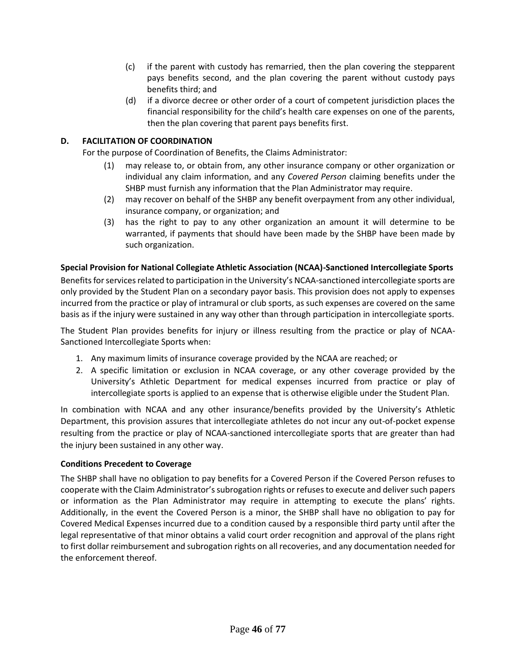- (c) if the parent with custody has remarried, then the plan covering the stepparent pays benefits second, and the plan covering the parent without custody pays benefits third; and
- (d) if a divorce decree or other order of a court of competent jurisdiction places the financial responsibility for the child's health care expenses on one of the parents, then the plan covering that parent pays benefits first.

# **D. FACILITATION OF COORDINATION**

For the purpose of Coordination of Benefits, the Claims Administrator:

- (1) may release to, or obtain from, any other insurance company or other organization or individual any claim information, and any *Covered Person* claiming benefits under the SHBP must furnish any information that the Plan Administrator may require.
- (2) may recover on behalf of the SHBP any benefit overpayment from any other individual, insurance company, or organization; and
- (3) has the right to pay to any other organization an amount it will determine to be warranted, if payments that should have been made by the SHBP have been made by such organization.

# **Special Provision for National Collegiate Athletic Association (NCAA)-Sanctioned Intercollegiate Sports**

Benefits for services related to participation in the University's NCAA-sanctioned intercollegiate sports are only provided by the Student Plan on a secondary payor basis. This provision does not apply to expenses incurred from the practice or play of intramural or club sports, as such expenses are covered on the same basis as if the injury were sustained in any way other than through participation in intercollegiate sports.

The Student Plan provides benefits for injury or illness resulting from the practice or play of NCAA-Sanctioned Intercollegiate Sports when:

- 1. Any maximum limits of insurance coverage provided by the NCAA are reached; or
- 2. A specific limitation or exclusion in NCAA coverage, or any other coverage provided by the University's Athletic Department for medical expenses incurred from practice or play of intercollegiate sports is applied to an expense that is otherwise eligible under the Student Plan.

In combination with NCAA and any other insurance/benefits provided by the University's Athletic Department, this provision assures that intercollegiate athletes do not incur any out-of-pocket expense resulting from the practice or play of NCAA-sanctioned intercollegiate sports that are greater than had the injury been sustained in any other way.

#### **Conditions Precedent to Coverage**

The SHBP shall have no obligation to pay benefits for a Covered Person if the Covered Person refuses to cooperate with the Claim Administrator's subrogation rights or refuses to execute and deliver such papers or information as the Plan Administrator may require in attempting to execute the plans' rights. Additionally, in the event the Covered Person is a minor, the SHBP shall have no obligation to pay for Covered Medical Expenses incurred due to a condition caused by a responsible third party until after the legal representative of that minor obtains a valid court order recognition and approval of the plans right to first dollar reimbursement and subrogation rights on all recoveries, and any documentation needed for the enforcement thereof.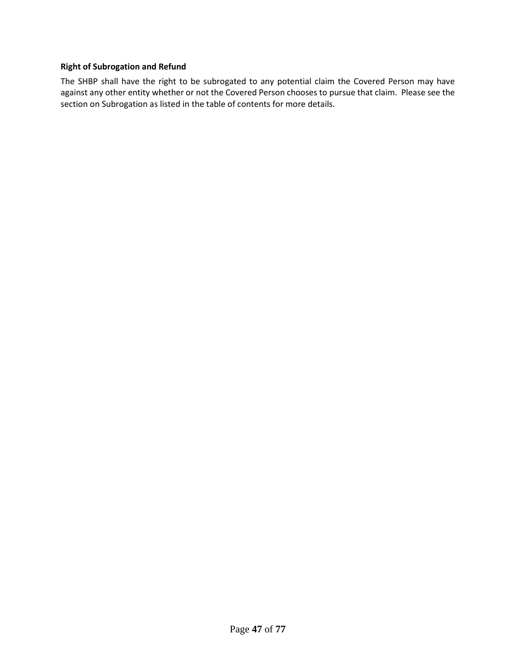# **Right of Subrogation and Refund**

The SHBP shall have the right to be subrogated to any potential claim the Covered Person may have against any other entity whether or not the Covered Person chooses to pursue that claim. Please see the section on Subrogation as listed in the table of contents for more details.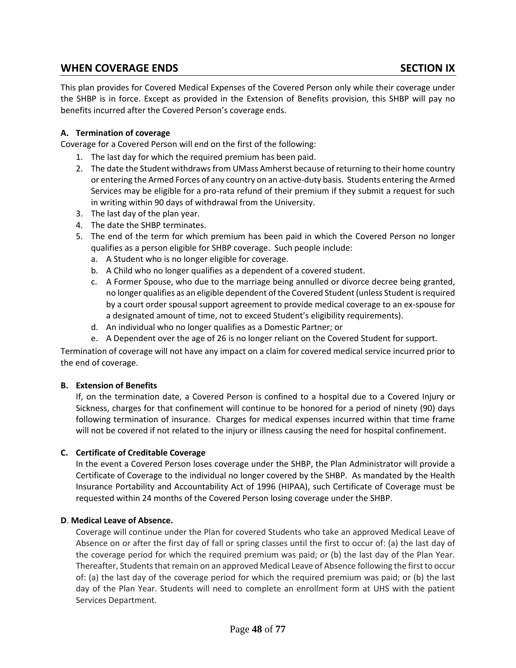# **WHEN COVERAGE ENDS SECTION IX**

This plan provides for Covered Medical Expenses of the Covered Person only while their coverage under the SHBP is in force. Except as provided in the Extension of Benefits provision, this SHBP will pay no benefits incurred after the Covered Person's coverage ends.

# **A. Termination of coverage**

Coverage for a Covered Person will end on the first of the following:

- 1. The last day for which the required premium has been paid.
- 2. The date the Student withdraws from UMass Amherst because of returning to their home country or entering the Armed Forces of any country on an active-duty basis. Students entering the Armed Services may be eligible for a pro-rata refund of their premium if they submit a request for such in writing within 90 days of withdrawal from the University.
- 3. The last day of the plan year.
- 4. The date the SHBP terminates.
- 5. The end of the term for which premium has been paid in which the Covered Person no longer qualifies as a person eligible for SHBP coverage. Such people include:
	- a. A Student who is no longer eligible for coverage.
	- b. A Child who no longer qualifies as a dependent of a covered student.
	- c. A Former Spouse, who due to the marriage being annulled or divorce decree being granted, no longer qualifies as an eligible dependent of the Covered Student(unless Student is required by a court order spousal support agreement to provide medical coverage to an ex-spouse for a designated amount of time, not to exceed Student's eligibility requirements).
	- d. An individual who no longer qualifies as a Domestic Partner; or
	- e. A Dependent over the age of 26 is no longer reliant on the Covered Student for support.

Termination of coverage will not have any impact on a claim for covered medical service incurred prior to the end of coverage.

#### **B. Extension of Benefits**

If, on the termination date, a Covered Person is confined to a hospital due to a Covered Injury or Sickness, charges for that confinement will continue to be honored for a period of ninety (90) days following termination of insurance. Charges for medical expenses incurred within that time frame will not be covered if not related to the injury or illness causing the need for hospital confinement.

#### **C. Certificate of Creditable Coverage**

In the event a Covered Person loses coverage under the SHBP, the Plan Administrator will provide a Certificate of Coverage to the individual no longer covered by the SHBP. As mandated by the Health Insurance Portability and Accountability Act of 1996 (HIPAA), such Certificate of Coverage must be requested within 24 months of the Covered Person losing coverage under the SHBP.

#### **D**. **Medical Leave of Absence.**

Coverage will continue under the Plan for covered Students who take an approved Medical Leave of Absence on or after the first day of fall or spring classes until the first to occur of: (a) the last day of the coverage period for which the required premium was paid; or (b) the last day of the Plan Year. Thereafter, Students that remain on an approved Medical Leave of Absence following the first to occur of: (a) the last day of the coverage period for which the required premium was paid; or (b) the last day of the Plan Year. Students will need to complete an enrollment form at UHS with the patient Services Department.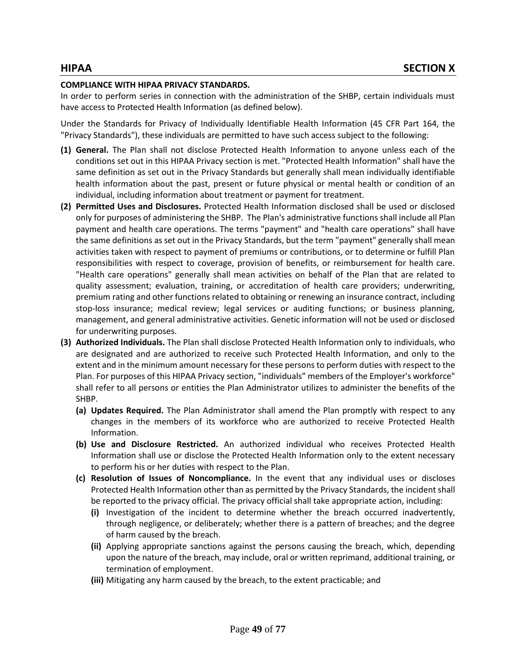#### **COMPLIANCE WITH HIPAA PRIVACY STANDARDS.**

In order to perform series in connection with the administration of the SHBP, certain individuals must have access to Protected Health Information (as defined below).

Under the Standards for Privacy of Individually Identifiable Health Information (45 CFR Part 164, the "Privacy Standards"), these individuals are permitted to have such access subject to the following:

- **(1) General.** The Plan shall not disclose Protected Health Information to anyone unless each of the conditions set out in this HIPAA Privacy section is met. "Protected Health Information" shall have the same definition as set out in the Privacy Standards but generally shall mean individually identifiable health information about the past, present or future physical or mental health or condition of an individual, including information about treatment or payment for treatment.
- **(2) Permitted Uses and Disclosures.** Protected Health Information disclosed shall be used or disclosed only for purposes of administering the SHBP. The Plan's administrative functions shall include all Plan payment and health care operations. The terms "payment" and "health care operations" shall have the same definitions as set out in the Privacy Standards, but the term "payment" generally shall mean activities taken with respect to payment of premiums or contributions, or to determine or fulfill Plan responsibilities with respect to coverage, provision of benefits, or reimbursement for health care. "Health care operations" generally shall mean activities on behalf of the Plan that are related to quality assessment; evaluation, training, or accreditation of health care providers; underwriting, premium rating and other functions related to obtaining or renewing an insurance contract, including stop-loss insurance; medical review; legal services or auditing functions; or business planning, management, and general administrative activities. Genetic information will not be used or disclosed for underwriting purposes.
- **(3) Authorized Individuals.** The Plan shall disclose Protected Health Information only to individuals, who are designated and are authorized to receive such Protected Health Information, and only to the extent and in the minimum amount necessary for these persons to perform duties with respect to the Plan. For purposes of this HIPAA Privacy section, "individuals" members of the Employer's workforce" shall refer to all persons or entities the Plan Administrator utilizes to administer the benefits of the SHBP.
	- **(a) Updates Required.** The Plan Administrator shall amend the Plan promptly with respect to any changes in the members of its workforce who are authorized to receive Protected Health Information.
	- **(b) Use and Disclosure Restricted.** An authorized individual who receives Protected Health Information shall use or disclose the Protected Health Information only to the extent necessary to perform his or her duties with respect to the Plan.
	- **(c) Resolution of Issues of Noncompliance.** In the event that any individual uses or discloses Protected Health Information other than as permitted by the Privacy Standards, the incident shall be reported to the privacy official. The privacy official shall take appropriate action, including:
		- **(i)** Investigation of the incident to determine whether the breach occurred inadvertently, through negligence, or deliberately; whether there is a pattern of breaches; and the degree of harm caused by the breach.
		- **(ii)** Applying appropriate sanctions against the persons causing the breach, which, depending upon the nature of the breach, may include, oral or written reprimand, additional training, or termination of employment.
		- **(iii)** Mitigating any harm caused by the breach, to the extent practicable; and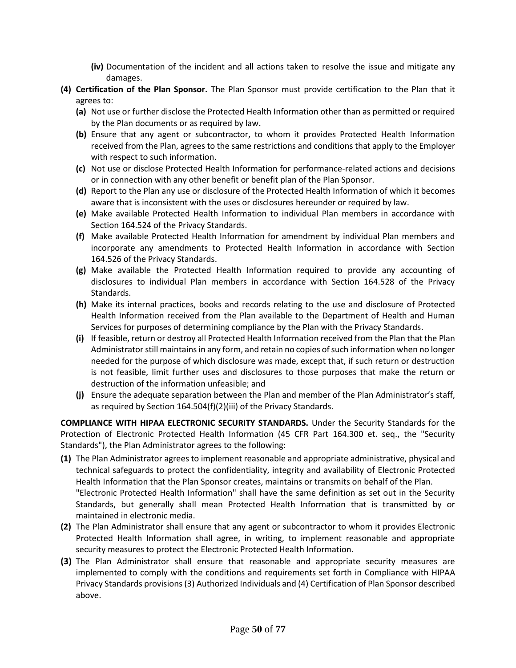- **(iv)** Documentation of the incident and all actions taken to resolve the issue and mitigate any damages.
- **(4) Certification of the Plan Sponsor.** The Plan Sponsor must provide certification to the Plan that it agrees to:
	- **(a)** Not use or further disclose the Protected Health Information other than as permitted or required by the Plan documents or as required by law.
	- **(b)** Ensure that any agent or subcontractor, to whom it provides Protected Health Information received from the Plan, agrees to the same restrictions and conditions that apply to the Employer with respect to such information.
	- **(c)** Not use or disclose Protected Health Information for performance-related actions and decisions or in connection with any other benefit or benefit plan of the Plan Sponsor.
	- **(d)** Report to the Plan any use or disclosure of the Protected Health Information of which it becomes aware that is inconsistent with the uses or disclosures hereunder or required by law.
	- **(e)** Make available Protected Health Information to individual Plan members in accordance with Section 164.524 of the Privacy Standards.
	- **(f)** Make available Protected Health Information for amendment by individual Plan members and incorporate any amendments to Protected Health Information in accordance with Section 164.526 of the Privacy Standards.
	- **(g)** Make available the Protected Health Information required to provide any accounting of disclosures to individual Plan members in accordance with Section 164.528 of the Privacy Standards.
	- **(h)** Make its internal practices, books and records relating to the use and disclosure of Protected Health Information received from the Plan available to the Department of Health and Human Services for purposes of determining compliance by the Plan with the Privacy Standards.
	- **(i)** If feasible, return or destroy all Protected Health Information received from the Plan that the Plan Administrator still maintains in any form, and retain no copies of such information when no longer needed for the purpose of which disclosure was made, except that, if such return or destruction is not feasible, limit further uses and disclosures to those purposes that make the return or destruction of the information unfeasible; and
	- **(j)** Ensure the adequate separation between the Plan and member of the Plan Administrator's staff, as required by Section 164.504(f)(2)(iii) of the Privacy Standards.

**COMPLIANCE WITH HIPAA ELECTRONIC SECURITY STANDARDS.** Under the Security Standards for the Protection of Electronic Protected Health Information (45 CFR Part 164.300 et. seq., the "Security Standards"), the Plan Administrator agrees to the following:

- **(1)** The Plan Administrator agrees to implement reasonable and appropriate administrative, physical and technical safeguards to protect the confidentiality, integrity and availability of Electronic Protected Health Information that the Plan Sponsor creates, maintains or transmits on behalf of the Plan. "Electronic Protected Health Information" shall have the same definition as set out in the Security Standards, but generally shall mean Protected Health Information that is transmitted by or maintained in electronic media.
- **(2)** The Plan Administrator shall ensure that any agent or subcontractor to whom it provides Electronic Protected Health Information shall agree, in writing, to implement reasonable and appropriate security measures to protect the Electronic Protected Health Information.
- **(3)** The Plan Administrator shall ensure that reasonable and appropriate security measures are implemented to comply with the conditions and requirements set forth in Compliance with HIPAA Privacy Standards provisions (3) Authorized Individuals and (4) Certification of Plan Sponsor described above.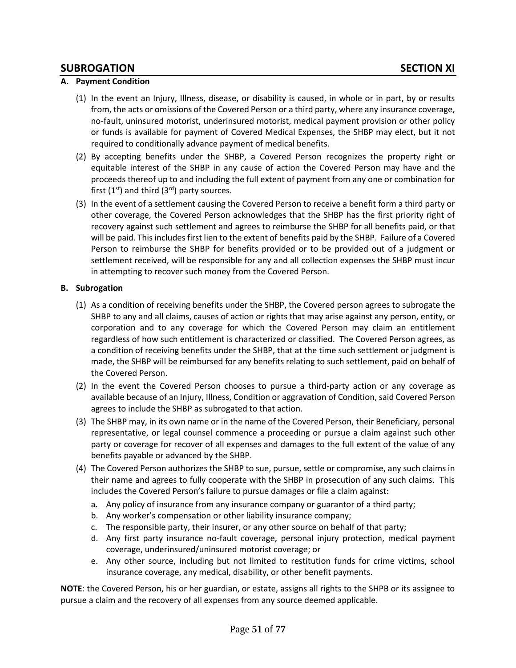# **SUBROGATION SECTION XI**

# **A. Payment Condition**

- (1) In the event an Injury, Illness, disease, or disability is caused, in whole or in part, by or results from, the acts or omissions of the Covered Person or a third party, where any insurance coverage, no-fault, uninsured motorist, underinsured motorist, medical payment provision or other policy or funds is available for payment of Covered Medical Expenses, the SHBP may elect, but it not required to conditionally advance payment of medical benefits.
- (2) By accepting benefits under the SHBP, a Covered Person recognizes the property right or equitable interest of the SHBP in any cause of action the Covered Person may have and the proceeds thereof up to and including the full extent of payment from any one or combination for first  $(1^{st})$  and third  $(3^{rd})$  party sources.
- (3) In the event of a settlement causing the Covered Person to receive a benefit form a third party or other coverage, the Covered Person acknowledges that the SHBP has the first priority right of recovery against such settlement and agrees to reimburse the SHBP for all benefits paid, or that will be paid. This includes first lien to the extent of benefits paid by the SHBP. Failure of a Covered Person to reimburse the SHBP for benefits provided or to be provided out of a judgment or settlement received, will be responsible for any and all collection expenses the SHBP must incur in attempting to recover such money from the Covered Person.

#### **B. Subrogation**

- (1) As a condition of receiving benefits under the SHBP, the Covered person agrees to subrogate the SHBP to any and all claims, causes of action or rights that may arise against any person, entity, or corporation and to any coverage for which the Covered Person may claim an entitlement regardless of how such entitlement is characterized or classified. The Covered Person agrees, as a condition of receiving benefits under the SHBP, that at the time such settlement or judgment is made, the SHBP will be reimbursed for any benefits relating to such settlement, paid on behalf of the Covered Person.
- (2) In the event the Covered Person chooses to pursue a third-party action or any coverage as available because of an Injury, Illness, Condition or aggravation of Condition, said Covered Person agrees to include the SHBP as subrogated to that action.
- (3) The SHBP may, in its own name or in the name of the Covered Person, their Beneficiary, personal representative, or legal counsel commence a proceeding or pursue a claim against such other party or coverage for recover of all expenses and damages to the full extent of the value of any benefits payable or advanced by the SHBP.
- (4) The Covered Person authorizes the SHBP to sue, pursue, settle or compromise, any such claims in their name and agrees to fully cooperate with the SHBP in prosecution of any such claims. This includes the Covered Person's failure to pursue damages or file a claim against:
	- a. Any policy of insurance from any insurance company or guarantor of a third party;
	- b. Any worker's compensation or other liability insurance company;
	- c. The responsible party, their insurer, or any other source on behalf of that party;
	- d. Any first party insurance no-fault coverage, personal injury protection, medical payment coverage, underinsured/uninsured motorist coverage; or
	- e. Any other source, including but not limited to restitution funds for crime victims, school insurance coverage, any medical, disability, or other benefit payments.

**NOTE**: the Covered Person, his or her guardian, or estate, assigns all rights to the SHPB or its assignee to pursue a claim and the recovery of all expenses from any source deemed applicable.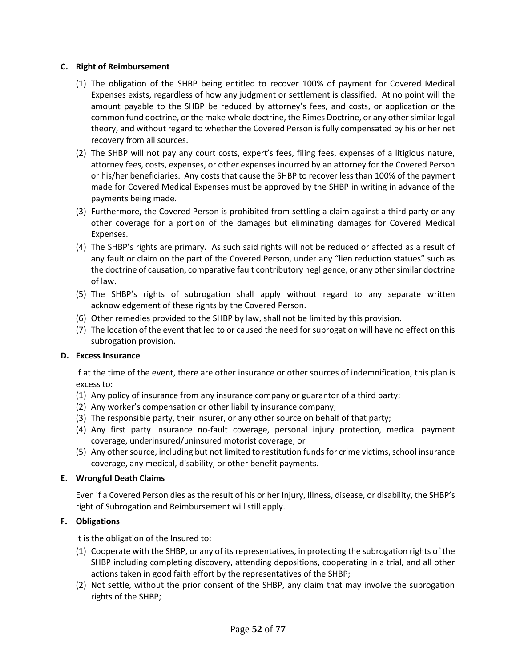### **C. Right of Reimbursement**

- (1) The obligation of the SHBP being entitled to recover 100% of payment for Covered Medical Expenses exists, regardless of how any judgment or settlement is classified. At no point will the amount payable to the SHBP be reduced by attorney's fees, and costs, or application or the common fund doctrine, or the make whole doctrine, the Rimes Doctrine, or any other similar legal theory, and without regard to whether the Covered Person is fully compensated by his or her net recovery from all sources.
- (2) The SHBP will not pay any court costs, expert's fees, filing fees, expenses of a litigious nature, attorney fees, costs, expenses, or other expenses incurred by an attorney for the Covered Person or his/her beneficiaries. Any costs that cause the SHBP to recover less than 100% of the payment made for Covered Medical Expenses must be approved by the SHBP in writing in advance of the payments being made.
- (3) Furthermore, the Covered Person is prohibited from settling a claim against a third party or any other coverage for a portion of the damages but eliminating damages for Covered Medical Expenses.
- (4) The SHBP's rights are primary. As such said rights will not be reduced or affected as a result of any fault or claim on the part of the Covered Person, under any "lien reduction statues" such as the doctrine of causation, comparative fault contributory negligence, or any other similar doctrine of law.
- (5) The SHBP's rights of subrogation shall apply without regard to any separate written acknowledgement of these rights by the Covered Person.
- (6) Other remedies provided to the SHBP by law, shall not be limited by this provision.
- (7) The location of the event that led to or caused the need for subrogation will have no effect on this subrogation provision.

# **D. Excess Insurance**

If at the time of the event, there are other insurance or other sources of indemnification, this plan is excess to:

- (1) Any policy of insurance from any insurance company or guarantor of a third party;
- (2) Any worker's compensation or other liability insurance company;
- (3) The responsible party, their insurer, or any other source on behalf of that party;
- (4) Any first party insurance no-fault coverage, personal injury protection, medical payment coverage, underinsured/uninsured motorist coverage; or
- (5) Any other source, including but not limited to restitution funds for crime victims, school insurance coverage, any medical, disability, or other benefit payments.

# **E. Wrongful Death Claims**

Even if a Covered Person dies as the result of his or her Injury, Illness, disease, or disability, the SHBP's right of Subrogation and Reimbursement will still apply.

# **F. Obligations**

It is the obligation of the Insured to:

- (1) Cooperate with the SHBP, or any of its representatives, in protecting the subrogation rights of the SHBP including completing discovery, attending depositions, cooperating in a trial, and all other actions taken in good faith effort by the representatives of the SHBP;
- (2) Not settle, without the prior consent of the SHBP, any claim that may involve the subrogation rights of the SHBP;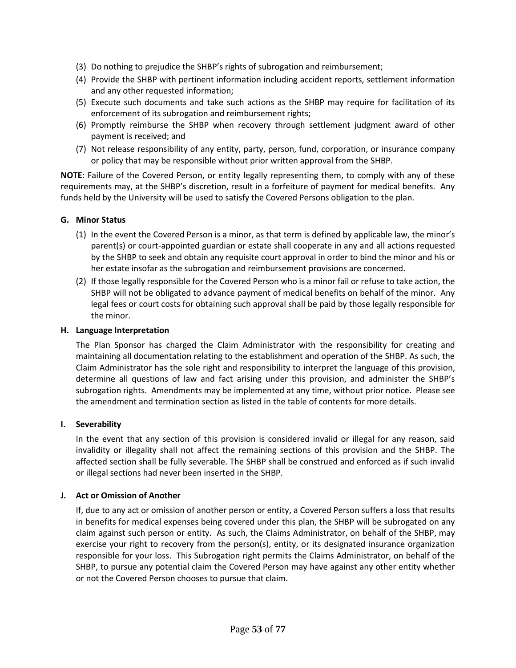- (3) Do nothing to prejudice the SHBP's rights of subrogation and reimbursement;
- (4) Provide the SHBP with pertinent information including accident reports, settlement information and any other requested information;
- (5) Execute such documents and take such actions as the SHBP may require for facilitation of its enforcement of its subrogation and reimbursement rights;
- (6) Promptly reimburse the SHBP when recovery through settlement judgment award of other payment is received; and
- (7) Not release responsibility of any entity, party, person, fund, corporation, or insurance company or policy that may be responsible without prior written approval from the SHBP.

**NOTE**: Failure of the Covered Person, or entity legally representing them, to comply with any of these requirements may, at the SHBP's discretion, result in a forfeiture of payment for medical benefits. Any funds held by the University will be used to satisfy the Covered Persons obligation to the plan.

# **G. Minor Status**

- (1) In the event the Covered Person is a minor, as that term is defined by applicable law, the minor's parent(s) or court-appointed guardian or estate shall cooperate in any and all actions requested by the SHBP to seek and obtain any requisite court approval in order to bind the minor and his or her estate insofar as the subrogation and reimbursement provisions are concerned.
- (2) If those legally responsible for the Covered Person who is a minor fail or refuse to take action, the SHBP will not be obligated to advance payment of medical benefits on behalf of the minor. Any legal fees or court costs for obtaining such approval shall be paid by those legally responsible for the minor.

#### **H. Language Interpretation**

The Plan Sponsor has charged the Claim Administrator with the responsibility for creating and maintaining all documentation relating to the establishment and operation of the SHBP. As such, the Claim Administrator has the sole right and responsibility to interpret the language of this provision, determine all questions of law and fact arising under this provision, and administer the SHBP's subrogation rights. Amendments may be implemented at any time, without prior notice. Please see the amendment and termination section as listed in the table of contents for more details.

#### **I. Severability**

In the event that any section of this provision is considered invalid or illegal for any reason, said invalidity or illegality shall not affect the remaining sections of this provision and the SHBP. The affected section shall be fully severable. The SHBP shall be construed and enforced as if such invalid or illegal sections had never been inserted in the SHBP.

#### **J. Act or Omission of Another**

If, due to any act or omission of another person or entity, a Covered Person suffers a loss that results in benefits for medical expenses being covered under this plan, the SHBP will be subrogated on any claim against such person or entity. As such, the Claims Administrator, on behalf of the SHBP, may exercise your right to recovery from the person(s), entity, or its designated insurance organization responsible for your loss. This Subrogation right permits the Claims Administrator, on behalf of the SHBP, to pursue any potential claim the Covered Person may have against any other entity whether or not the Covered Person chooses to pursue that claim.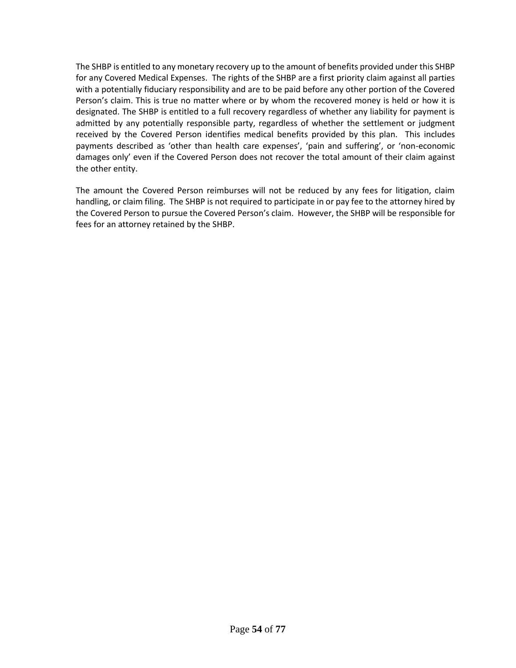The SHBP is entitled to any monetary recovery up to the amount of benefits provided under this SHBP for any Covered Medical Expenses. The rights of the SHBP are a first priority claim against all parties with a potentially fiduciary responsibility and are to be paid before any other portion of the Covered Person's claim. This is true no matter where or by whom the recovered money is held or how it is designated. The SHBP is entitled to a full recovery regardless of whether any liability for payment is admitted by any potentially responsible party, regardless of whether the settlement or judgment received by the Covered Person identifies medical benefits provided by this plan. This includes payments described as 'other than health care expenses', 'pain and suffering', or 'non-economic damages only' even if the Covered Person does not recover the total amount of their claim against the other entity.

The amount the Covered Person reimburses will not be reduced by any fees for litigation, claim handling, or claim filing. The SHBP is not required to participate in or pay fee to the attorney hired by the Covered Person to pursue the Covered Person's claim. However, the SHBP will be responsible for fees for an attorney retained by the SHBP.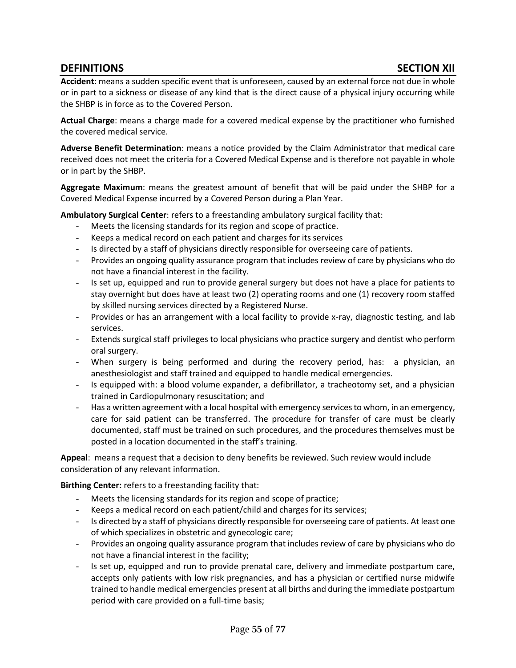# **DEFINITIONS SECTION XII**

**Accident**: means a sudden specific event that is unforeseen, caused by an external force not due in whole or in part to a sickness or disease of any kind that is the direct cause of a physical injury occurring while the SHBP is in force as to the Covered Person.

**Actual Charge**: means a charge made for a covered medical expense by the practitioner who furnished the covered medical service.

**Adverse Benefit Determination**: means a notice provided by the Claim Administrator that medical care received does not meet the criteria for a Covered Medical Expense and is therefore not payable in whole or in part by the SHBP.

**Aggregate Maximum**: means the greatest amount of benefit that will be paid under the SHBP for a Covered Medical Expense incurred by a Covered Person during a Plan Year.

**Ambulatory Surgical Center**: refers to a freestanding ambulatory surgical facility that:

- Meets the licensing standards for its region and scope of practice.
- Keeps a medical record on each patient and charges for its services
- Is directed by a staff of physicians directly responsible for overseeing care of patients.
- Provides an ongoing quality assurance program that includes review of care by physicians who do not have a financial interest in the facility.
- Is set up, equipped and run to provide general surgery but does not have a place for patients to stay overnight but does have at least two (2) operating rooms and one (1) recovery room staffed by skilled nursing services directed by a Registered Nurse.
- Provides or has an arrangement with a local facility to provide x-ray, diagnostic testing, and lab services.
- Extends surgical staff privileges to local physicians who practice surgery and dentist who perform oral surgery.
- When surgery is being performed and during the recovery period, has: a physician, an anesthesiologist and staff trained and equipped to handle medical emergencies.
- Is equipped with: a blood volume expander, a defibrillator, a tracheotomy set, and a physician trained in Cardiopulmonary resuscitation; and
- Has a written agreement with a local hospital with emergency services to whom, in an emergency, care for said patient can be transferred. The procedure for transfer of care must be clearly documented, staff must be trained on such procedures, and the procedures themselves must be posted in a location documented in the staff's training.

**Appeal**: means a request that a decision to deny benefits be reviewed. Such review would include consideration of any relevant information.

**Birthing Center:** refers to a freestanding facility that:

- Meets the licensing standards for its region and scope of practice;
- Keeps a medical record on each patient/child and charges for its services;
- Is directed by a staff of physicians directly responsible for overseeing care of patients. At least one of which specializes in obstetric and gynecologic care;
- Provides an ongoing quality assurance program that includes review of care by physicians who do not have a financial interest in the facility;
- Is set up, equipped and run to provide prenatal care, delivery and immediate postpartum care, accepts only patients with low risk pregnancies, and has a physician or certified nurse midwife trained to handle medical emergencies present at all births and during the immediate postpartum period with care provided on a full-time basis;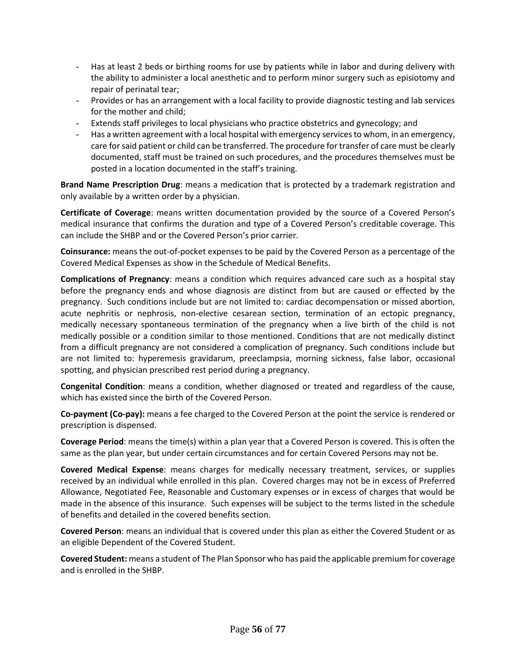- Has at least 2 beds or birthing rooms for use by patients while in labor and during delivery with the ability to administer a local anesthetic and to perform minor surgery such as episiotomy and repair of perinatal tear;
- Provides or has an arrangement with a local facility to provide diagnostic testing and lab services for the mother and child;
- Extends staff privileges to local physicians who practice obstetrics and gynecology; and
- Has a written agreement with a local hospital with emergency services to whom, in an emergency, care for said patient or child can be transferred. The procedure for transfer of care must be clearly documented, staff must be trained on such procedures, and the procedures themselves must be posted in a location documented in the staff's training.

**Brand Name Prescription Drug**: means a medication that is protected by a trademark registration and only available by a written order by a physician.

**Certificate of Coverage**: means written documentation provided by the source of a Covered Person's medical insurance that confirms the duration and type of a Covered Person's creditable coverage. This can include the SHBP and or the Covered Person's prior carrier.

**Coinsurance:** means the out-of-pocket expenses to be paid by the Covered Person as a percentage of the Covered Medical Expenses as show in the Schedule of Medical Benefits.

**Complications of Pregnancy**: means a condition which requires advanced care such as a hospital stay before the pregnancy ends and whose diagnosis are distinct from but are caused or effected by the pregnancy. Such conditions include but are not limited to: cardiac decompensation or missed abortion, acute nephritis or nephrosis, non-elective cesarean section, termination of an ectopic pregnancy, medically necessary spontaneous termination of the pregnancy when a live birth of the child is not medically possible or a condition similar to those mentioned. Conditions that are not medically distinct from a difficult pregnancy are not considered a complication of pregnancy. Such conditions include but are not limited to: hyperemesis gravidarum, preeclampsia, morning sickness, false labor, occasional spotting, and physician prescribed rest period during a pregnancy.

**Congenital Condition**: means a condition, whether diagnosed or treated and regardless of the cause, which has existed since the birth of the Covered Person.

**Co-payment (Co-pay):** means a fee charged to the Covered Person at the point the service is rendered or prescription is dispensed.

**Coverage Period**: means the time(s) within a plan year that a Covered Person is covered. This is often the same as the plan year, but under certain circumstances and for certain Covered Persons may not be.

**Covered Medical Expense**: means charges for medically necessary treatment, services, or supplies received by an individual while enrolled in this plan. Covered charges may not be in excess of Preferred Allowance, Negotiated Fee, Reasonable and Customary expenses or in excess of charges that would be made in the absence of this insurance. Such expenses will be subject to the terms listed in the schedule of benefits and detailed in the covered benefits section.

**Covered Person**: means an individual that is covered under this plan as either the Covered Student or as an eligible Dependent of the Covered Student.

**Covered Student:** means a student of The Plan Sponsor who has paid the applicable premium for coverage and is enrolled in the SHBP.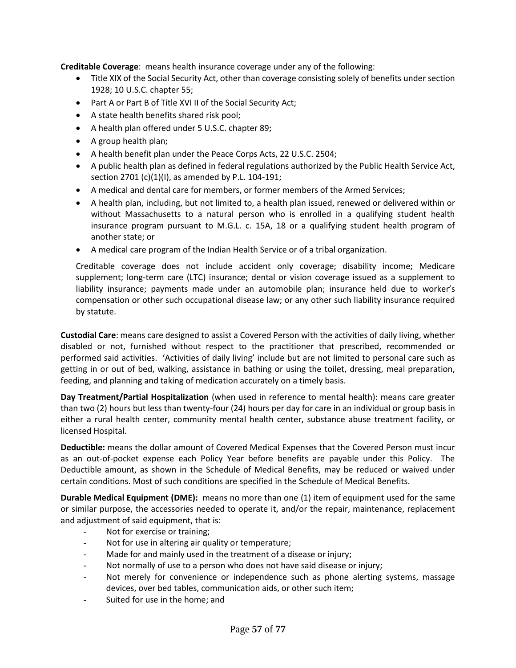**Creditable Coverage**: means health insurance coverage under any of the following:

- Title XIX of the Social Security Act, other than coverage consisting solely of benefits under section 1928; 10 U.S.C. chapter 55;
- Part A or Part B of Title XVI II of the Social Security Act;
- A state health benefits shared risk pool;
- A health plan offered under 5 U.S.C. chapter 89;
- A group health plan;
- A health benefit plan under the Peace Corps Acts, 22 U.S.C. 2504;
- A public health plan as defined in federal regulations authorized by the Public Health Service Act, section 2701 (c)(1)(I), as amended by P.L. 104-191;
- A medical and dental care for members, or former members of the Armed Services;
- A health plan, including, but not limited to, a health plan issued, renewed or delivered within or without Massachusetts to a natural person who is enrolled in a qualifying student health insurance program pursuant to M.G.L. c. 15A, 18 or a qualifying student health program of another state; or
- A medical care program of the Indian Health Service or of a tribal organization.

Creditable coverage does not include accident only coverage; disability income; Medicare supplement; long-term care (LTC) insurance; dental or vision coverage issued as a supplement to liability insurance; payments made under an automobile plan; insurance held due to worker's compensation or other such occupational disease law; or any other such liability insurance required by statute.

**Custodial Care**: means care designed to assist a Covered Person with the activities of daily living, whether disabled or not, furnished without respect to the practitioner that prescribed, recommended or performed said activities. 'Activities of daily living' include but are not limited to personal care such as getting in or out of bed, walking, assistance in bathing or using the toilet, dressing, meal preparation, feeding, and planning and taking of medication accurately on a timely basis.

**Day Treatment/Partial Hospitalization** (when used in reference to mental health): means care greater than two (2) hours but less than twenty-four (24) hours per day for care in an individual or group basis in either a rural health center, community mental health center, substance abuse treatment facility, or licensed Hospital.

**Deductible:** means the dollar amount of Covered Medical Expenses that the Covered Person must incur as an out-of-pocket expense each Policy Year before benefits are payable under this Policy. The Deductible amount, as shown in the Schedule of Medical Benefits, may be reduced or waived under certain conditions. Most of such conditions are specified in the Schedule of Medical Benefits.

**Durable Medical Equipment (DME):** means no more than one (1) item of equipment used for the same or similar purpose, the accessories needed to operate it, and/or the repair, maintenance, replacement and adjustment of said equipment, that is:

- Not for exercise or training;
- Not for use in altering air quality or temperature;
- Made for and mainly used in the treatment of a disease or injury;
- Not normally of use to a person who does not have said disease or injury;
- Not merely for convenience or independence such as phone alerting systems, massage devices, over bed tables, communication aids, or other such item;
- Suited for use in the home; and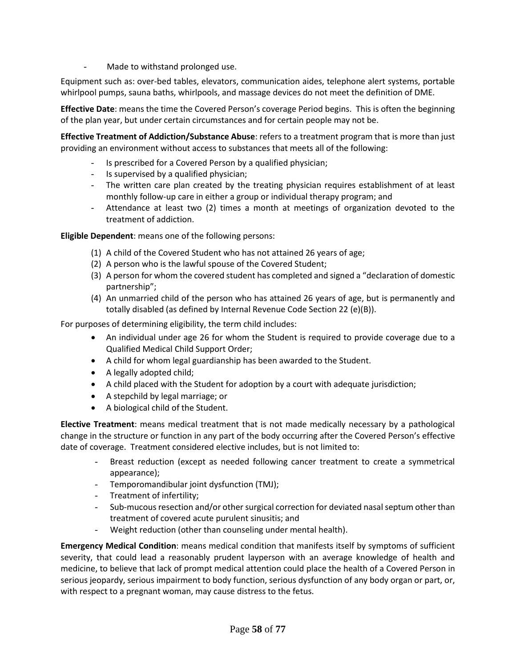Made to withstand prolonged use.

Equipment such as: over-bed tables, elevators, communication aides, telephone alert systems, portable whirlpool pumps, sauna baths, whirlpools, and massage devices do not meet the definition of DME.

**Effective Date**: means the time the Covered Person's coverage Period begins. This is often the beginning of the plan year, but under certain circumstances and for certain people may not be.

**Effective Treatment of Addiction/Substance Abuse**: refers to a treatment program that is more than just providing an environment without access to substances that meets all of the following:

- Is prescribed for a Covered Person by a qualified physician;
- Is supervised by a qualified physician;
- The written care plan created by the treating physician requires establishment of at least monthly follow-up care in either a group or individual therapy program; and
- Attendance at least two (2) times a month at meetings of organization devoted to the treatment of addiction.

# **Eligible Dependent**: means one of the following persons:

- (1) A child of the Covered Student who has not attained 26 years of age;
- (2) A person who is the lawful spouse of the Covered Student;
- (3) A person for whom the covered student has completed and signed a "declaration of domestic partnership";
- (4) An unmarried child of the person who has attained 26 years of age, but is permanently and totally disabled (as defined by Internal Revenue Code Section 22 (e)(B)).

For purposes of determining eligibility, the term child includes:

- An individual under age 26 for whom the Student is required to provide coverage due to a Qualified Medical Child Support Order;
- A child for whom legal guardianship has been awarded to the Student.
- A legally adopted child;
- A child placed with the Student for adoption by a court with adequate jurisdiction;
- A stepchild by legal marriage; or
- A biological child of the Student.

**Elective Treatment**: means medical treatment that is not made medically necessary by a pathological change in the structure or function in any part of the body occurring after the Covered Person's effective date of coverage. Treatment considered elective includes, but is not limited to:

- Breast reduction (except as needed following cancer treatment to create a symmetrical appearance);
- Temporomandibular joint dysfunction (TMJ);
- Treatment of infertility;
- Sub-mucous resection and/or other surgical correction for deviated nasal septum other than treatment of covered acute purulent sinusitis; and
- Weight reduction (other than counseling under mental health).

**Emergency Medical Condition**: means medical condition that manifests itself by symptoms of sufficient severity, that could lead a reasonably prudent layperson with an average knowledge of health and medicine, to believe that lack of prompt medical attention could place the health of a Covered Person in serious jeopardy, serious impairment to body function, serious dysfunction of any body organ or part, or, with respect to a pregnant woman, may cause distress to the fetus.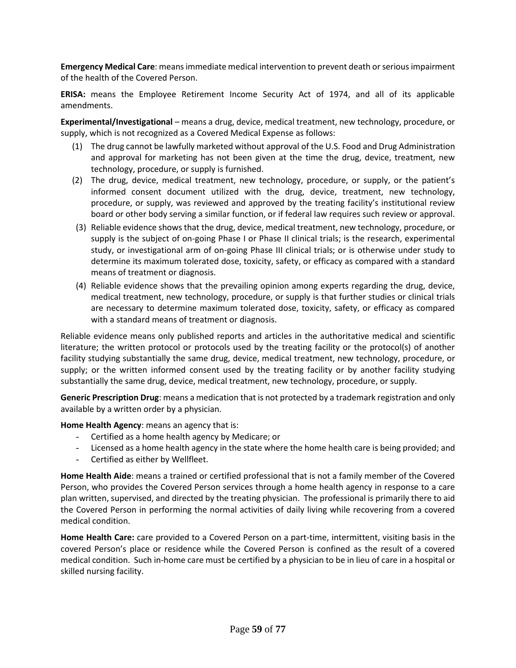**Emergency Medical Care**: means immediate medical intervention to prevent death or serious impairment of the health of the Covered Person.

**ERISA:** means the Employee Retirement Income Security Act of 1974, and all of its applicable amendments.

**Experimental/Investigational** – means a drug, device, medical treatment, new technology, procedure, or supply, which is not recognized as a Covered Medical Expense as follows:

- (1) The drug cannot be lawfully marketed without approval of the U.S. Food and Drug Administration and approval for marketing has not been given at the time the drug, device, treatment, new technology, procedure, or supply is furnished.
- (2) The drug, device, medical treatment, new technology, procedure, or supply, or the patient's informed consent document utilized with the drug, device, treatment, new technology, procedure, or supply, was reviewed and approved by the treating facility's institutional review board or other body serving a similar function, or if federal law requires such review or approval.
- (3) Reliable evidence shows that the drug, device, medical treatment, new technology, procedure, or supply is the subject of on-going Phase I or Phase II clinical trials; is the research, experimental study, or investigational arm of on-going Phase III clinical trials; or is otherwise under study to determine its maximum tolerated dose, toxicity, safety, or efficacy as compared with a standard means of treatment or diagnosis.
- (4) Reliable evidence shows that the prevailing opinion among experts regarding the drug, device, medical treatment, new technology, procedure, or supply is that further studies or clinical trials are necessary to determine maximum tolerated dose, toxicity, safety, or efficacy as compared with a standard means of treatment or diagnosis.

Reliable evidence means only published reports and articles in the authoritative medical and scientific literature; the written protocol or protocols used by the treating facility or the protocol(s) of another facility studying substantially the same drug, device, medical treatment, new technology, procedure, or supply; or the written informed consent used by the treating facility or by another facility studying substantially the same drug, device, medical treatment, new technology, procedure, or supply.

**Generic Prescription Drug**: means a medication that is not protected by a trademark registration and only available by a written order by a physician.

**Home Health Agency**: means an agency that is:

- Certified as a home health agency by Medicare; or
- Licensed as a home health agency in the state where the home health care is being provided; and
- Certified as either by Wellfleet.

**Home Health Aide**: means a trained or certified professional that is not a family member of the Covered Person, who provides the Covered Person services through a home health agency in response to a care plan written, supervised, and directed by the treating physician. The professional is primarily there to aid the Covered Person in performing the normal activities of daily living while recovering from a covered medical condition.

**Home Health Care:** care provided to a Covered Person on a part-time, intermittent, visiting basis in the covered Person's place or residence while the Covered Person is confined as the result of a covered medical condition. Such in-home care must be certified by a physician to be in lieu of care in a hospital or skilled nursing facility.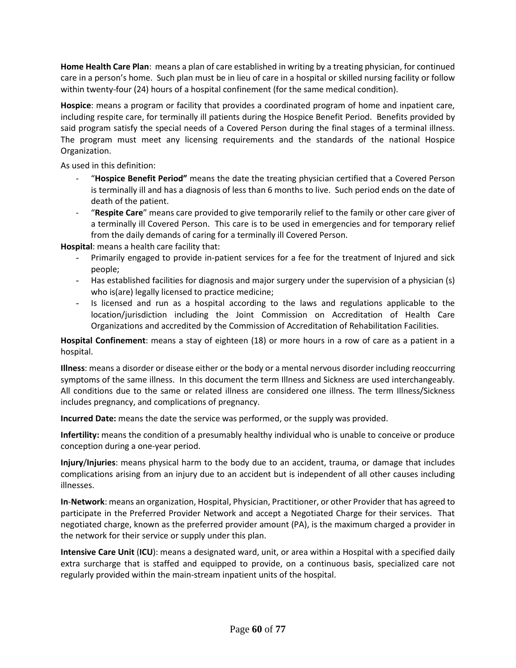**Home Health Care Plan**: means a plan of care established in writing by a treating physician, for continued care in a person's home. Such plan must be in lieu of care in a hospital or skilled nursing facility or follow within twenty-four (24) hours of a hospital confinement (for the same medical condition).

**Hospice**: means a program or facility that provides a coordinated program of home and inpatient care, including respite care, for terminally ill patients during the Hospice Benefit Period. Benefits provided by said program satisfy the special needs of a Covered Person during the final stages of a terminal illness. The program must meet any licensing requirements and the standards of the national Hospice Organization.

As used in this definition:

- "**Hospice Benefit Period"** means the date the treating physician certified that a Covered Person is terminally ill and has a diagnosis of less than 6 months to live. Such period ends on the date of death of the patient.
- "**Respite Care**" means care provided to give temporarily relief to the family or other care giver of a terminally ill Covered Person. This care is to be used in emergencies and for temporary relief from the daily demands of caring for a terminally ill Covered Person.

**Hospital**: means a health care facility that:

- Primarily engaged to provide in-patient services for a fee for the treatment of Injured and sick people;
- Has established facilities for diagnosis and major surgery under the supervision of a physician (s) who is(are) legally licensed to practice medicine;
- Is licensed and run as a hospital according to the laws and regulations applicable to the location/jurisdiction including the Joint Commission on Accreditation of Health Care Organizations and accredited by the Commission of Accreditation of Rehabilitation Facilities.

**Hospital Confinement**: means a stay of eighteen (18) or more hours in a row of care as a patient in a hospital.

**Illness**: means a disorder or disease either or the body or a mental nervous disorder including reoccurring symptoms of the same illness. In this document the term Illness and Sickness are used interchangeably. All conditions due to the same or related illness are considered one illness. The term Illness/Sickness includes pregnancy, and complications of pregnancy.

**Incurred Date:** means the date the service was performed, or the supply was provided.

**Infertility:** means the condition of a presumably healthy individual who is unable to conceive or produce conception during a one-year period.

**Injury**/**Injuries**: means physical harm to the body due to an accident, trauma, or damage that includes complications arising from an injury due to an accident but is independent of all other causes including illnesses.

**In**-**Network**: means an organization, Hospital, Physician, Practitioner, or other Provider that has agreed to participate in the Preferred Provider Network and accept a Negotiated Charge for their services. That negotiated charge, known as the preferred provider amount (PA), is the maximum charged a provider in the network for their service or supply under this plan.

**Intensive Care Unit** (**ICU**): means a designated ward, unit, or area within a Hospital with a specified daily extra surcharge that is staffed and equipped to provide, on a continuous basis, specialized care not regularly provided within the main-stream inpatient units of the hospital.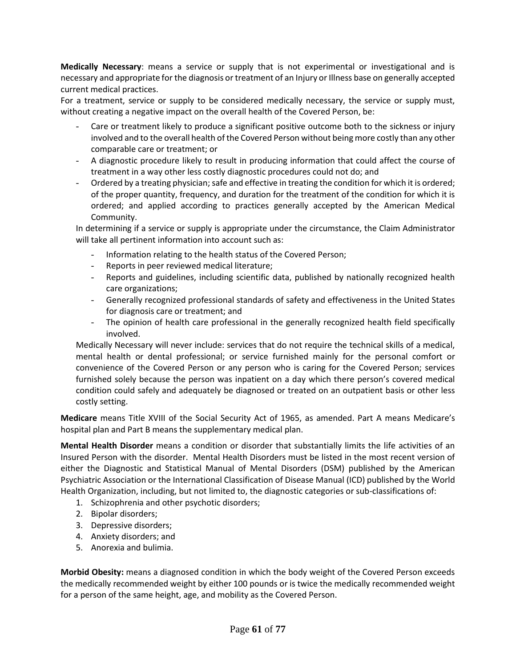**Medically Necessary**: means a service or supply that is not experimental or investigational and is necessary and appropriate for the diagnosis or treatment of an Injury or Illness base on generally accepted current medical practices.

For a treatment, service or supply to be considered medically necessary, the service or supply must, without creating a negative impact on the overall health of the Covered Person, be:

- Care or treatment likely to produce a significant positive outcome both to the sickness or injury involved and to the overall health of the Covered Person without being more costly than any other comparable care or treatment; or
- A diagnostic procedure likely to result in producing information that could affect the course of treatment in a way other less costly diagnostic procedures could not do; and
- Ordered by a treating physician; safe and effective in treating the condition for which it is ordered; of the proper quantity, frequency, and duration for the treatment of the condition for which it is ordered; and applied according to practices generally accepted by the American Medical Community.

In determining if a service or supply is appropriate under the circumstance, the Claim Administrator will take all pertinent information into account such as:

- Information relating to the health status of the Covered Person;
- Reports in peer reviewed medical literature;
- Reports and guidelines, including scientific data, published by nationally recognized health care organizations;
- Generally recognized professional standards of safety and effectiveness in the United States for diagnosis care or treatment; and
- The opinion of health care professional in the generally recognized health field specifically involved.

Medically Necessary will never include: services that do not require the technical skills of a medical, mental health or dental professional; or service furnished mainly for the personal comfort or convenience of the Covered Person or any person who is caring for the Covered Person; services furnished solely because the person was inpatient on a day which there person's covered medical condition could safely and adequately be diagnosed or treated on an outpatient basis or other less costly setting.

**Medicare** means Title XVIII of the Social Security Act of 1965, as amended. Part A means Medicare's hospital plan and Part B means the supplementary medical plan.

**Mental Health Disorder** means a condition or disorder that substantially limits the life activities of an Insured Person with the disorder. Mental Health Disorders must be listed in the most recent version of either the Diagnostic and Statistical Manual of Mental Disorders (DSM) published by the American Psychiatric Association or the International Classification of Disease Manual (ICD) published by the World Health Organization, including, but not limited to, the diagnostic categories or sub-classifications of:

- 1. Schizophrenia and other psychotic disorders;
- 2. Bipolar disorders;
- 3. Depressive disorders;
- 4. Anxiety disorders; and
- 5. Anorexia and bulimia.

**Morbid Obesity:** means a diagnosed condition in which the body weight of the Covered Person exceeds the medically recommended weight by either 100 pounds or is twice the medically recommended weight for a person of the same height, age, and mobility as the Covered Person.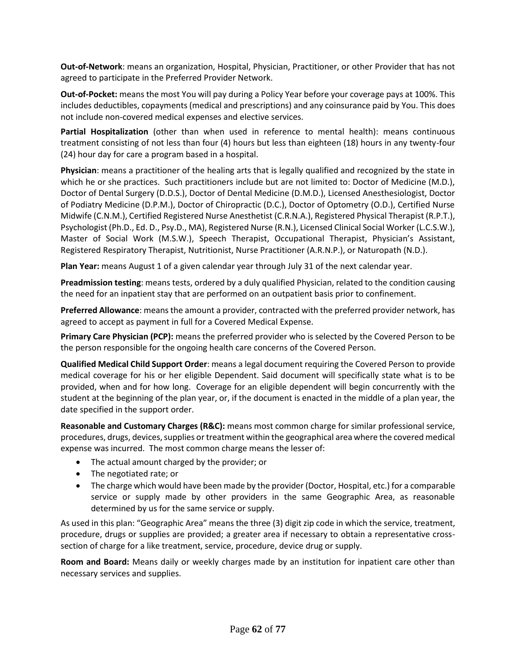**Out-of-Network**: means an organization, Hospital, Physician, Practitioner, or other Provider that has not agreed to participate in the Preferred Provider Network.

**Out-of-Pocket:** means the most You will pay during a Policy Year before your coverage pays at 100%. This includes deductibles, copayments (medical and prescriptions) and any coinsurance paid by You. This does not include non-covered medical expenses and elective services.

**Partial Hospitalization** (other than when used in reference to mental health): means continuous treatment consisting of not less than four (4) hours but less than eighteen (18) hours in any twenty-four (24) hour day for care a program based in a hospital.

**Physician**: means a practitioner of the healing arts that is legally qualified and recognized by the state in which he or she practices. Such practitioners include but are not limited to: Doctor of Medicine (M.D.), Doctor of Dental Surgery (D.D.S.), Doctor of Dental Medicine (D.M.D.), Licensed Anesthesiologist, Doctor of Podiatry Medicine (D.P.M.), Doctor of Chiropractic (D.C.), Doctor of Optometry (O.D.), Certified Nurse Midwife (C.N.M.), Certified Registered Nurse Anesthetist (C.R.N.A.), Registered Physical Therapist (R.P.T.), Psychologist (Ph.D., Ed. D., Psy.D., MA), Registered Nurse (R.N.), Licensed Clinical Social Worker (L.C.S.W.), Master of Social Work (M.S.W.), Speech Therapist, Occupational Therapist, Physician's Assistant, Registered Respiratory Therapist, Nutritionist, Nurse Practitioner (A.R.N.P.), or Naturopath (N.D.).

**Plan Year:** means August 1 of a given calendar year through July 31 of the next calendar year.

**Preadmission testing**: means tests, ordered by a duly qualified Physician, related to the condition causing the need for an inpatient stay that are performed on an outpatient basis prior to confinement.

**Preferred Allowance**: means the amount a provider, contracted with the preferred provider network, has agreed to accept as payment in full for a Covered Medical Expense.

**Primary Care Physician (PCP):** means the preferred provider who is selected by the Covered Person to be the person responsible for the ongoing health care concerns of the Covered Person.

**Qualified Medical Child Support Order**: means a legal document requiring the Covered Person to provide medical coverage for his or her eligible Dependent. Said document will specifically state what is to be provided, when and for how long. Coverage for an eligible dependent will begin concurrently with the student at the beginning of the plan year, or, if the document is enacted in the middle of a plan year, the date specified in the support order.

**Reasonable and Customary Charges (R&C):** means most common charge for similar professional service, procedures, drugs, devices, supplies or treatment within the geographical area where the covered medical expense was incurred. The most common charge means the lesser of:

- The actual amount charged by the provider; or
- The negotiated rate; or
- The charge which would have been made by the provider (Doctor, Hospital, etc.) for a comparable service or supply made by other providers in the same Geographic Area, as reasonable determined by us for the same service or supply.

As used in this plan: "Geographic Area" means the three (3) digit zip code in which the service, treatment, procedure, drugs or supplies are provided; a greater area if necessary to obtain a representative crosssection of charge for a like treatment, service, procedure, device drug or supply.

**Room and Board:** Means daily or weekly charges made by an institution for inpatient care other than necessary services and supplies.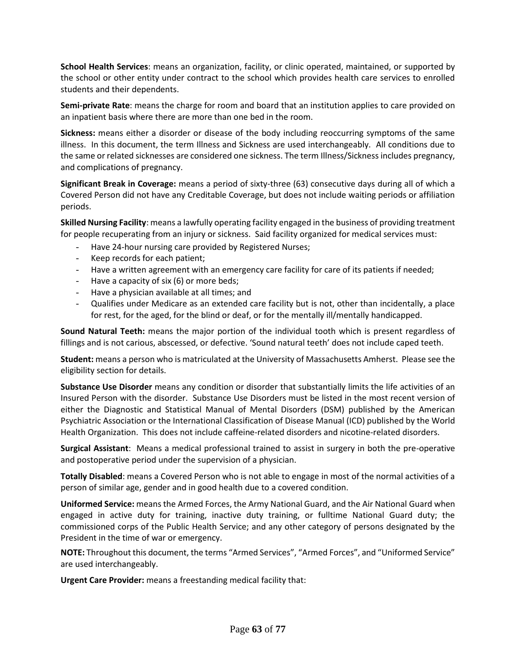**School Health Services**: means an organization, facility, or clinic operated, maintained, or supported by the school or other entity under contract to the school which provides health care services to enrolled students and their dependents.

**Semi-private Rate**: means the charge for room and board that an institution applies to care provided on an inpatient basis where there are more than one bed in the room.

**Sickness:** means either a disorder or disease of the body including reoccurring symptoms of the same illness. In this document, the term Illness and Sickness are used interchangeably. All conditions due to the same or related sicknesses are considered one sickness. The term Illness/Sickness includes pregnancy, and complications of pregnancy.

**Significant Break in Coverage:** means a period of sixty-three (63) consecutive days during all of which a Covered Person did not have any Creditable Coverage, but does not include waiting periods or affiliation periods.

**Skilled Nursing Facility**: means a lawfully operating facility engaged in the business of providing treatment for people recuperating from an injury or sickness. Said facility organized for medical services must:

- Have 24-hour nursing care provided by Registered Nurses;
- Keep records for each patient;
- Have a written agreement with an emergency care facility for care of its patients if needed;
- Have a capacity of six (6) or more beds;
- Have a physician available at all times; and
- Qualifies under Medicare as an extended care facility but is not, other than incidentally, a place for rest, for the aged, for the blind or deaf, or for the mentally ill/mentally handicapped.

**Sound Natural Teeth:** means the major portion of the individual tooth which is present regardless of fillings and is not carious, abscessed, or defective. 'Sound natural teeth' does not include caped teeth.

**Student:** means a person who is matriculated at the University of Massachusetts Amherst. Please see the eligibility section for details.

**Substance Use Disorder** means any condition or disorder that substantially limits the life activities of an Insured Person with the disorder. Substance Use Disorders must be listed in the most recent version of either the Diagnostic and Statistical Manual of Mental Disorders (DSM) published by the American Psychiatric Association or the International Classification of Disease Manual (ICD) published by the World Health Organization. This does not include caffeine-related disorders and nicotine-related disorders.

**Surgical Assistant**: Means a medical professional trained to assist in surgery in both the pre-operative and postoperative period under the supervision of a physician.

**Totally Disabled**: means a Covered Person who is not able to engage in most of the normal activities of a person of similar age, gender and in good health due to a covered condition.

**Uniformed Service:** means the Armed Forces, the Army National Guard, and the Air National Guard when engaged in active duty for training, inactive duty training, or fulltime National Guard duty; the commissioned corps of the Public Health Service; and any other category of persons designated by the President in the time of war or emergency.

**NOTE:** Throughout this document, the terms "Armed Services", "Armed Forces", and "Uniformed Service" are used interchangeably.

**Urgent Care Provider:** means a freestanding medical facility that: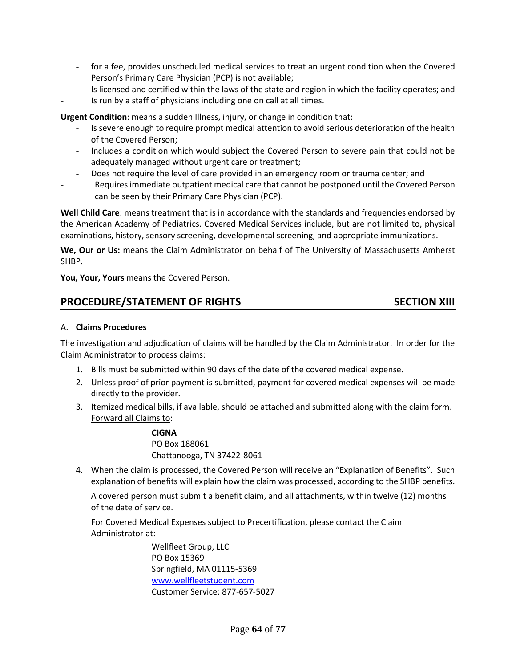- for a fee, provides unscheduled medical services to treat an urgent condition when the Covered Person's Primary Care Physician (PCP) is not available;
- Is licensed and certified within the laws of the state and region in which the facility operates; and Is run by a staff of physicians including one on call at all times.

**Urgent Condition**: means a sudden Illness, injury, or change in condition that:

- Is severe enough to require prompt medical attention to avoid serious deterioration of the health of the Covered Person;
- Includes a condition which would subject the Covered Person to severe pain that could not be adequately managed without urgent care or treatment;
- Does not require the level of care provided in an emergency room or trauma center; and
- Requires immediate outpatient medical care that cannot be postponed until the Covered Person can be seen by their Primary Care Physician (PCP).

**Well Child Care**: means treatment that is in accordance with the standards and frequencies endorsed by the American Academy of Pediatrics. Covered Medical Services include, but are not limited to, physical examinations, history, sensory screening, developmental screening, and appropriate immunizations.

**We, Our or Us:** means the Claim Administrator on behalf of The University of Massachusetts Amherst SHBP.

**You, Your, Yours** means the Covered Person.

# **PROCEDURE/STATEMENT OF RIGHTS SECTION XIII**

#### A. **Claims Procedures**

The investigation and adjudication of claims will be handled by the Claim Administrator. In order for the Claim Administrator to process claims:

- 1. Bills must be submitted within 90 days of the date of the covered medical expense.
- 2. Unless proof of prior payment is submitted, payment for covered medical expenses will be made directly to the provider.
- 3. Itemized medical bills, if available, should be attached and submitted along with the claim form. Forward all Claims to:

**CIGNA** PO Box 188061 Chattanooga, TN 37422-8061

4. When the claim is processed, the Covered Person will receive an "Explanation of Benefits". Such explanation of benefits will explain how the claim was processed, according to the SHBP benefits.

A covered person must submit a benefit claim, and all attachments, within twelve (12) months of the date of service.

For Covered Medical Expenses subject to Precertification, please contact the Claim Administrator at:

> Wellfleet Group, LLC PO Box 15369 Springfield, MA 01115-5369 [www.wellfleetstudent.com](http://www.wellfleetstudent.com/) Customer Service: 877-657-5027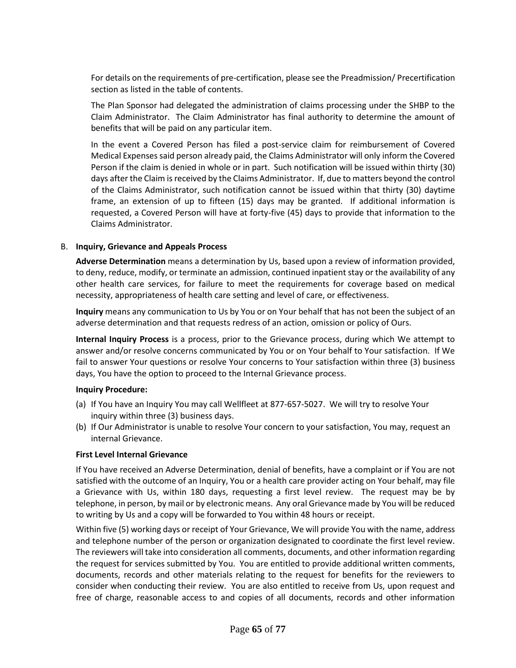For details on the requirements of pre-certification, please see the Preadmission/ Precertification section as listed in the table of contents.

The Plan Sponsor had delegated the administration of claims processing under the SHBP to the Claim Administrator. The Claim Administrator has final authority to determine the amount of benefits that will be paid on any particular item.

In the event a Covered Person has filed a post-service claim for reimbursement of Covered Medical Expenses said person already paid, the Claims Administrator will only inform the Covered Person if the claim is denied in whole or in part. Such notification will be issued within thirty (30) days after the Claim is received by the Claims Administrator. If, due to matters beyond the control of the Claims Administrator, such notification cannot be issued within that thirty (30) daytime frame, an extension of up to fifteen (15) days may be granted. If additional information is requested, a Covered Person will have at forty-five (45) days to provide that information to the Claims Administrator.

#### B. **Inquiry, Grievance and Appeals Process**

**Adverse Determination** means a determination by Us, based upon a review of information provided, to deny, reduce, modify, or terminate an admission, continued inpatient stay or the availability of any other health care services, for failure to meet the requirements for coverage based on medical necessity, appropriateness of health care setting and level of care, or effectiveness.

**Inquiry** means any communication to Us by You or on Your behalf that has not been the subject of an adverse determination and that requests redress of an action, omission or policy of Ours.

**Internal Inquiry Process** is a process, prior to the Grievance process, during which We attempt to answer and/or resolve concerns communicated by You or on Your behalf to Your satisfaction. If We fail to answer Your questions or resolve Your concerns to Your satisfaction within three (3) business days, You have the option to proceed to the Internal Grievance process.

#### **Inquiry Procedure:**

- (a) If You have an Inquiry You may call Wellfleet at 877-657-5027. We will try to resolve Your inquiry within three (3) business days.
- (b) If Our Administrator is unable to resolve Your concern to your satisfaction, You may, request an internal Grievance.

#### **First Level Internal Grievance**

If You have received an Adverse Determination, denial of benefits, have a complaint or if You are not satisfied with the outcome of an Inquiry, You or a health care provider acting on Your behalf, may file a Grievance with Us, within 180 days, requesting a first level review. The request may be by telephone, in person, by mail or by electronic means. Any oral Grievance made by You will be reduced to writing by Us and a copy will be forwarded to You within 48 hours or receipt.

Within five (5) working days or receipt of Your Grievance, We will provide You with the name, address and telephone number of the person or organization designated to coordinate the first level review. The reviewers will take into consideration all comments, documents, and other information regarding the request for services submitted by You. You are entitled to provide additional written comments, documents, records and other materials relating to the request for benefits for the reviewers to consider when conducting their review. You are also entitled to receive from Us, upon request and free of charge, reasonable access to and copies of all documents, records and other information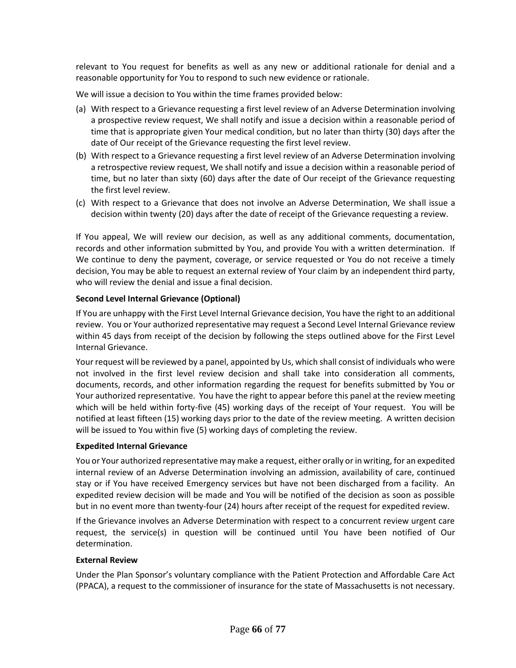relevant to You request for benefits as well as any new or additional rationale for denial and a reasonable opportunity for You to respond to such new evidence or rationale.

We will issue a decision to You within the time frames provided below:

- (a) With respect to a Grievance requesting a first level review of an Adverse Determination involving a prospective review request, We shall notify and issue a decision within a reasonable period of time that is appropriate given Your medical condition, but no later than thirty (30) days after the date of Our receipt of the Grievance requesting the first level review.
- (b) With respect to a Grievance requesting a first level review of an Adverse Determination involving a retrospective review request, We shall notify and issue a decision within a reasonable period of time, but no later than sixty (60) days after the date of Our receipt of the Grievance requesting the first level review.
- (c) With respect to a Grievance that does not involve an Adverse Determination, We shall issue a decision within twenty (20) days after the date of receipt of the Grievance requesting a review.

If You appeal, We will review our decision, as well as any additional comments, documentation, records and other information submitted by You, and provide You with a written determination. If We continue to deny the payment, coverage, or service requested or You do not receive a timely decision, You may be able to request an external review of Your claim by an independent third party, who will review the denial and issue a final decision.

# **Second Level Internal Grievance (Optional)**

If You are unhappy with the First Level Internal Grievance decision, You have the right to an additional review. You or Your authorized representative may request a Second Level Internal Grievance review within 45 days from receipt of the decision by following the steps outlined above for the First Level Internal Grievance.

Your request will be reviewed by a panel, appointed by Us, which shall consist of individuals who were not involved in the first level review decision and shall take into consideration all comments, documents, records, and other information regarding the request for benefits submitted by You or Your authorized representative. You have the right to appear before this panel at the review meeting which will be held within forty-five (45) working days of the receipt of Your request. You will be notified at least fifteen (15) working days prior to the date of the review meeting. A written decision will be issued to You within five (5) working days of completing the review.

#### **Expedited Internal Grievance**

You or Your authorized representative may make a request, either orally or in writing, for an expedited internal review of an Adverse Determination involving an admission, availability of care, continued stay or if You have received Emergency services but have not been discharged from a facility. An expedited review decision will be made and You will be notified of the decision as soon as possible but in no event more than twenty-four (24) hours after receipt of the request for expedited review.

If the Grievance involves an Adverse Determination with respect to a concurrent review urgent care request, the service(s) in question will be continued until You have been notified of Our determination.

#### **External Review**

Under the Plan Sponsor's voluntary compliance with the Patient Protection and Affordable Care Act (PPACA), a request to the commissioner of insurance for the state of Massachusetts is not necessary.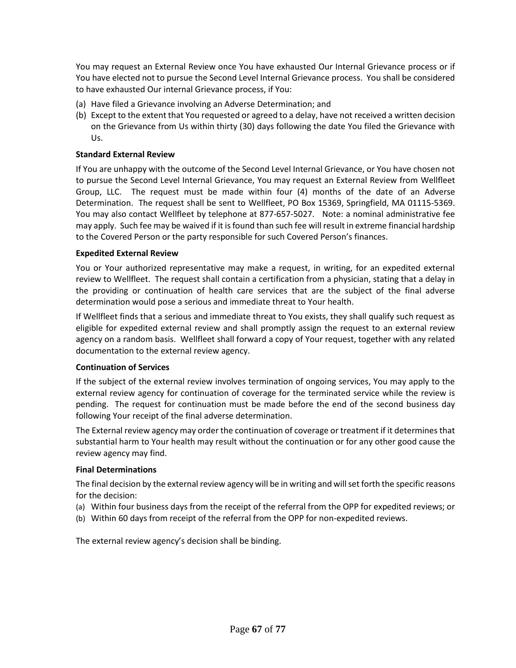You may request an External Review once You have exhausted Our Internal Grievance process or if You have elected not to pursue the Second Level Internal Grievance process. You shall be considered to have exhausted Our internal Grievance process, if You:

- (a) Have filed a Grievance involving an Adverse Determination; and
- (b) Except to the extent that You requested or agreed to a delay, have not received a written decision on the Grievance from Us within thirty (30) days following the date You filed the Grievance with Us.

#### **Standard External Review**

If You are unhappy with the outcome of the Second Level Internal Grievance, or You have chosen not to pursue the Second Level Internal Grievance, You may request an External Review from Wellfleet Group, LLC. The request must be made within four (4) months of the date of an Adverse Determination. The request shall be sent to Wellfleet, PO Box 15369, Springfield, MA 01115-5369. You may also contact Wellfleet by telephone at 877-657-5027. Note: a nominal administrative fee may apply. Such fee may be waived if it isfound than such fee will result in extreme financial hardship to the Covered Person or the party responsible for such Covered Person's finances.

#### **Expedited External Review**

You or Your authorized representative may make a request, in writing, for an expedited external review to Wellfleet. The request shall contain a certification from a physician, stating that a delay in the providing or continuation of health care services that are the subject of the final adverse determination would pose a serious and immediate threat to Your health.

If Wellfleet finds that a serious and immediate threat to You exists, they shall qualify such request as eligible for expedited external review and shall promptly assign the request to an external review agency on a random basis. Wellfleet shall forward a copy of Your request, together with any related documentation to the external review agency.

#### **Continuation of Services**

If the subject of the external review involves termination of ongoing services, You may apply to the external review agency for continuation of coverage for the terminated service while the review is pending. The request for continuation must be made before the end of the second business day following Your receipt of the final adverse determination.

The External review agency may order the continuation of coverage or treatment if it determines that substantial harm to Your health may result without the continuation or for any other good cause the review agency may find.

#### **Final Determinations**

The final decision by the external review agency will be in writing and will set forth the specific reasons for the decision:

- (a) Within four business days from the receipt of the referral from the OPP for expedited reviews; or
- (b) Within 60 days from receipt of the referral from the OPP for non-expedited reviews.

The external review agency's decision shall be binding.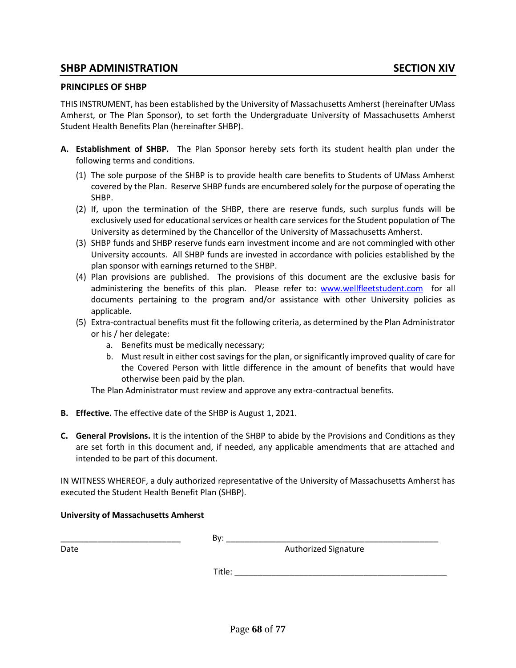# **SHBP ADMINISTRATION SECTION XIV**

#### **PRINCIPLES OF SHBP**

THIS INSTRUMENT, has been established by the University of Massachusetts Amherst (hereinafter UMass Amherst, or The Plan Sponsor), to set forth the Undergraduate University of Massachusetts Amherst Student Health Benefits Plan (hereinafter SHBP).

- **A. Establishment of SHBP***.* The Plan Sponsor hereby sets forth its student health plan under the following terms and conditions.
	- (1) The sole purpose of the SHBP is to provide health care benefits to Students of UMass Amherst covered by the Plan. Reserve SHBP funds are encumbered solely for the purpose of operating the SHBP.
	- (2) If, upon the termination of the SHBP, there are reserve funds, such surplus funds will be exclusively used for educational services or health care services for the Student population of The University as determined by the Chancellor of the University of Massachusetts Amherst.
	- (3) SHBP funds and SHBP reserve funds earn investment income and are not commingled with other University accounts. All SHBP funds are invested in accordance with policies established by the plan sponsor with earnings returned to the SHBP.
	- (4) Plan provisions are published. The provisions of this document are the exclusive basis for administering the benefits of this plan. Please refer to: [www.wellfleetstudent.com](http://www.wellfleetstudent.com/) for all documents pertaining to the program and/or assistance with other University policies as applicable.
	- (5) Extra-contractual benefits must fit the following criteria, as determined by the Plan Administrator or his / her delegate:
		- a. Benefits must be medically necessary;
		- b. Must result in either cost savings for the plan, or significantly improved quality of care for the Covered Person with little difference in the amount of benefits that would have otherwise been paid by the plan.

The Plan Administrator must review and approve any extra-contractual benefits.

- **B. Effective.** The effective date of the SHBP is August 1, 2021.
- **C. General Provisions.** It is the intention of the SHBP to abide by the Provisions and Conditions as they are set forth in this document and, if needed, any applicable amendments that are attached and intended to be part of this document.

IN WITNESS WHEREOF, a duly authorized representative of the University of Massachusetts Amherst has executed the Student Health Benefit Plan (SHBP).

# **University of Massachusetts Amherst**

\_\_\_\_\_\_\_\_\_\_\_\_\_\_\_\_\_\_\_\_\_\_\_\_\_\_ By: \_\_\_\_\_\_\_\_\_\_\_\_\_\_\_\_\_\_\_\_\_\_\_\_\_\_\_\_\_\_\_\_\_\_\_\_\_\_\_\_\_\_\_\_\_\_

Date **Authorized Signature Contract Authorized Signature** 

 $\blacksquare$  Title: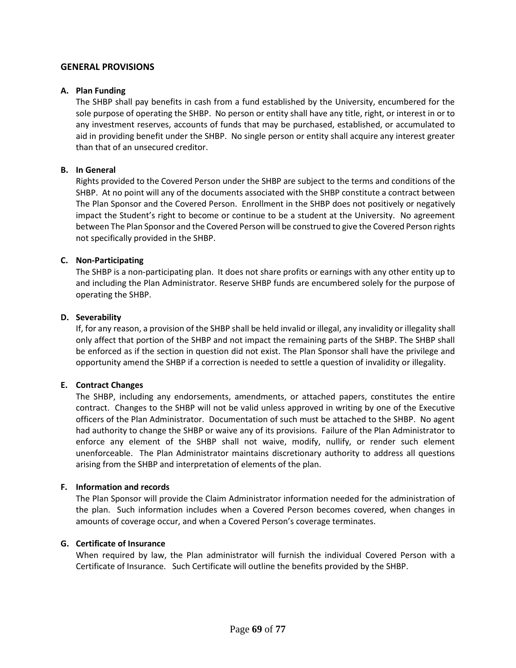# **GENERAL PROVISIONS**

#### **A. Plan Funding**

The SHBP shall pay benefits in cash from a fund established by the University, encumbered for the sole purpose of operating the SHBP. No person or entity shall have any title, right, or interest in or to any investment reserves, accounts of funds that may be purchased, established, or accumulated to aid in providing benefit under the SHBP. No single person or entity shall acquire any interest greater than that of an unsecured creditor.

#### **B. In General**

Rights provided to the Covered Person under the SHBP are subject to the terms and conditions of the SHBP. At no point will any of the documents associated with the SHBP constitute a contract between The Plan Sponsor and the Covered Person. Enrollment in the SHBP does not positively or negatively impact the Student's right to become or continue to be a student at the University. No agreement between The Plan Sponsor and the Covered Person will be construed to give the Covered Person rights not specifically provided in the SHBP.

#### **C. Non-Participating**

The SHBP is a non-participating plan. It does not share profits or earnings with any other entity up to and including the Plan Administrator. Reserve SHBP funds are encumbered solely for the purpose of operating the SHBP.

#### **D. Severability**

If, for any reason, a provision of the SHBP shall be held invalid or illegal, any invalidity or illegality shall only affect that portion of the SHBP and not impact the remaining parts of the SHBP. The SHBP shall be enforced as if the section in question did not exist. The Plan Sponsor shall have the privilege and opportunity amend the SHBP if a correction is needed to settle a question of invalidity or illegality.

#### **E. Contract Changes**

The SHBP, including any endorsements, amendments, or attached papers, constitutes the entire contract. Changes to the SHBP will not be valid unless approved in writing by one of the Executive officers of the Plan Administrator. Documentation of such must be attached to the SHBP. No agent had authority to change the SHBP or waive any of its provisions. Failure of the Plan Administrator to enforce any element of the SHBP shall not waive, modify, nullify, or render such element unenforceable. The Plan Administrator maintains discretionary authority to address all questions arising from the SHBP and interpretation of elements of the plan.

#### **F. Information and records**

The Plan Sponsor will provide the Claim Administrator information needed for the administration of the plan. Such information includes when a Covered Person becomes covered, when changes in amounts of coverage occur, and when a Covered Person's coverage terminates.

#### **G. Certificate of Insurance**

When required by law, the Plan administrator will furnish the individual Covered Person with a Certificate of Insurance. Such Certificate will outline the benefits provided by the SHBP.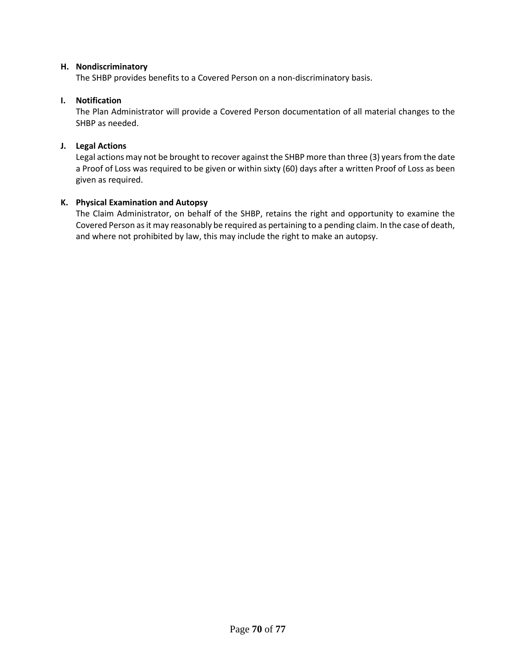### **H. Nondiscriminatory**

The SHBP provides benefits to a Covered Person on a non-discriminatory basis.

# **I. Notification**

The Plan Administrator will provide a Covered Person documentation of all material changes to the SHBP as needed.

# **J. Legal Actions**

Legal actions may not be brought to recover against the SHBP more than three (3) years from the date a Proof of Loss was required to be given or within sixty (60) days after a written Proof of Loss as been given as required.

# **K. Physical Examination and Autopsy**

The Claim Administrator, on behalf of the SHBP, retains the right and opportunity to examine the Covered Person as it may reasonably be required as pertaining to a pending claim. In the case of death, and where not prohibited by law, this may include the right to make an autopsy.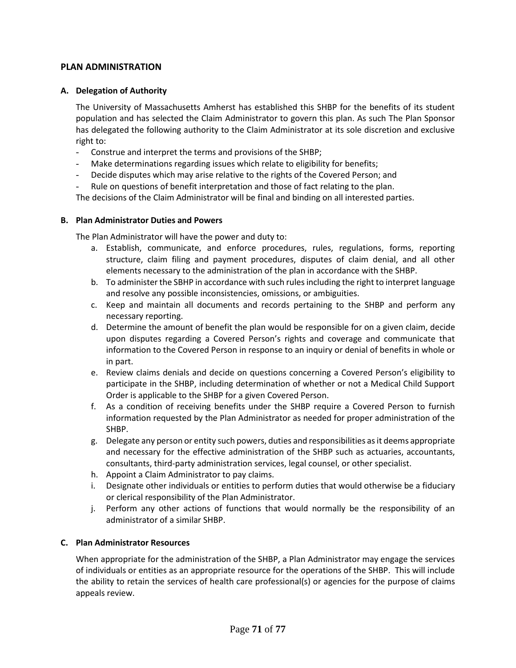# **PLAN ADMINISTRATION**

# **A. Delegation of Authority**

The University of Massachusetts Amherst has established this SHBP for the benefits of its student population and has selected the Claim Administrator to govern this plan. As such The Plan Sponsor has delegated the following authority to the Claim Administrator at its sole discretion and exclusive right to:

- Construe and interpret the terms and provisions of the SHBP;
- Make determinations regarding issues which relate to eligibility for benefits;
- Decide disputes which may arise relative to the rights of the Covered Person; and
- Rule on questions of benefit interpretation and those of fact relating to the plan.

The decisions of the Claim Administrator will be final and binding on all interested parties.

#### **B. Plan Administrator Duties and Powers**

The Plan Administrator will have the power and duty to:

- a. Establish, communicate, and enforce procedures, rules, regulations, forms, reporting structure, claim filing and payment procedures, disputes of claim denial, and all other elements necessary to the administration of the plan in accordance with the SHBP.
- b. To administer the SBHP in accordance with such rules including the right to interpret language and resolve any possible inconsistencies, omissions, or ambiguities.
- c. Keep and maintain all documents and records pertaining to the SHBP and perform any necessary reporting.
- d. Determine the amount of benefit the plan would be responsible for on a given claim, decide upon disputes regarding a Covered Person's rights and coverage and communicate that information to the Covered Person in response to an inquiry or denial of benefits in whole or in part.
- e. Review claims denials and decide on questions concerning a Covered Person's eligibility to participate in the SHBP, including determination of whether or not a Medical Child Support Order is applicable to the SHBP for a given Covered Person.
- f. As a condition of receiving benefits under the SHBP require a Covered Person to furnish information requested by the Plan Administrator as needed for proper administration of the SHBP.
- g. Delegate any person or entity such powers, duties and responsibilities as it deems appropriate and necessary for the effective administration of the SHBP such as actuaries, accountants, consultants, third-party administration services, legal counsel, or other specialist.
- h. Appoint a Claim Administrator to pay claims.
- i. Designate other individuals or entities to perform duties that would otherwise be a fiduciary or clerical responsibility of the Plan Administrator.
- j. Perform any other actions of functions that would normally be the responsibility of an administrator of a similar SHBP.

### **C. Plan Administrator Resources**

When appropriate for the administration of the SHBP, a Plan Administrator may engage the services of individuals or entities as an appropriate resource for the operations of the SHBP. This will include the ability to retain the services of health care professional(s) or agencies for the purpose of claims appeals review.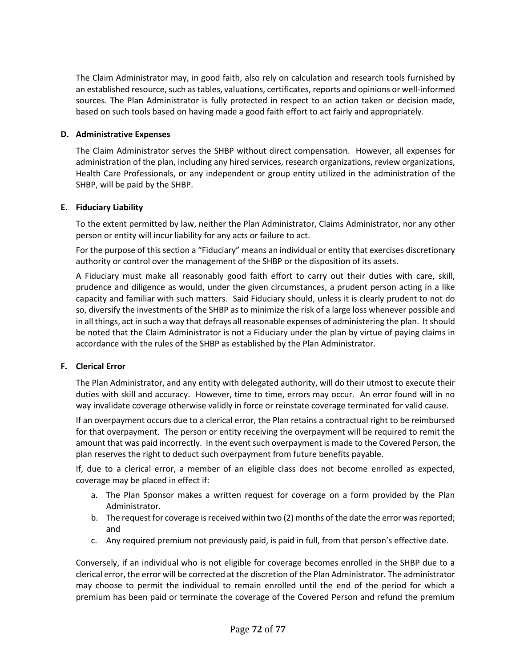The Claim Administrator may, in good faith, also rely on calculation and research tools furnished by an established resource, such astables, valuations, certificates, reports and opinions or well-informed sources. The Plan Administrator is fully protected in respect to an action taken or decision made, based on such tools based on having made a good faith effort to act fairly and appropriately.

# **D. Administrative Expenses**

The Claim Administrator serves the SHBP without direct compensation. However, all expenses for administration of the plan, including any hired services, research organizations, review organizations, Health Care Professionals, or any independent or group entity utilized in the administration of the SHBP, will be paid by the SHBP.

# **E. Fiduciary Liability**

To the extent permitted by law, neither the Plan Administrator, Claims Administrator, nor any other person or entity will incur liability for any acts or failure to act.

For the purpose of this section a "Fiduciary" means an individual or entity that exercises discretionary authority or control over the management of the SHBP or the disposition of its assets.

A Fiduciary must make all reasonably good faith effort to carry out their duties with care, skill, prudence and diligence as would, under the given circumstances, a prudent person acting in a like capacity and familiar with such matters. Said Fiduciary should, unless it is clearly prudent to not do so, diversify the investments of the SHBP as to minimize the risk of a large loss whenever possible and in all things, act in such a way that defrays all reasonable expenses of administering the plan. It should be noted that the Claim Administrator is not a Fiduciary under the plan by virtue of paying claims in accordance with the rules of the SHBP as established by the Plan Administrator.

# **F. Clerical Error**

The Plan Administrator, and any entity with delegated authority, will do their utmost to execute their duties with skill and accuracy. However, time to time, errors may occur. An error found will in no way invalidate coverage otherwise validly in force or reinstate coverage terminated for valid cause.

If an overpayment occurs due to a clerical error, the Plan retains a contractual right to be reimbursed for that overpayment. The person or entity receiving the overpayment will be required to remit the amount that was paid incorrectly. In the event such overpayment is made to the Covered Person, the plan reserves the right to deduct such overpayment from future benefits payable.

If, due to a clerical error, a member of an eligible class does not become enrolled as expected, coverage may be placed in effect if:

- a. The Plan Sponsor makes a written request for coverage on a form provided by the Plan Administrator.
- b. The request for coverage is received within two (2) months of the date the error was reported; and
- c. Any required premium not previously paid, is paid in full, from that person's effective date.

Conversely, if an individual who is not eligible for coverage becomes enrolled in the SHBP due to a clerical error, the error will be corrected at the discretion of the Plan Administrator. The administrator may choose to permit the individual to remain enrolled until the end of the period for which a premium has been paid or terminate the coverage of the Covered Person and refund the premium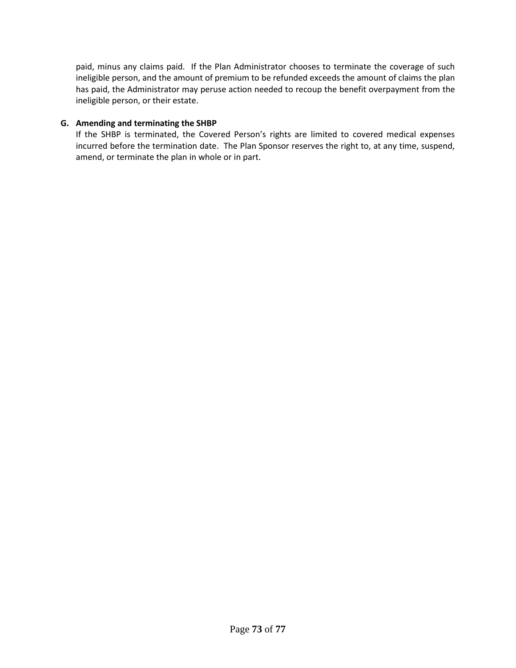paid, minus any claims paid. If the Plan Administrator chooses to terminate the coverage of such ineligible person, and the amount of premium to be refunded exceeds the amount of claims the plan has paid, the Administrator may peruse action needed to recoup the benefit overpayment from the ineligible person, or their estate.

# **G. Amending and terminating the SHBP**

If the SHBP is terminated, the Covered Person's rights are limited to covered medical expenses incurred before the termination date. The Plan Sponsor reserves the right to, at any time, suspend, amend, or terminate the plan in whole or in part.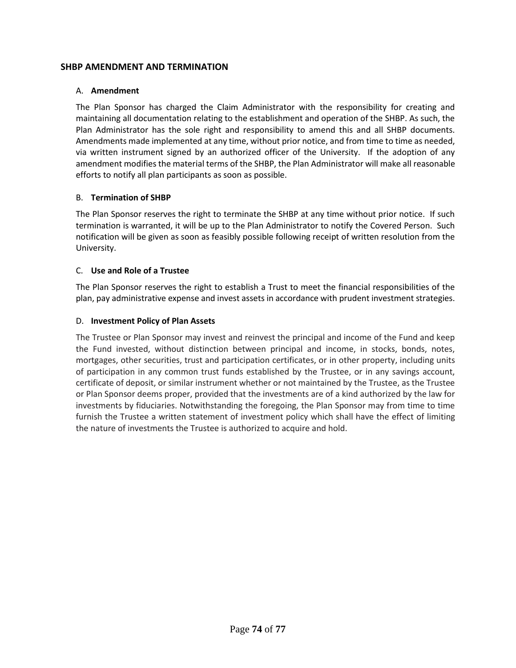# **SHBP AMENDMENT AND TERMINATION**

#### A. **Amendment**

The Plan Sponsor has charged the Claim Administrator with the responsibility for creating and maintaining all documentation relating to the establishment and operation of the SHBP. As such, the Plan Administrator has the sole right and responsibility to amend this and all SHBP documents. Amendments made implemented at any time, without prior notice, and from time to time as needed, via written instrument signed by an authorized officer of the University. If the adoption of any amendment modifies the material terms of the SHBP, the Plan Administrator will make all reasonable efforts to notify all plan participants as soon as possible.

## B. **Termination of SHBP**

The Plan Sponsor reserves the right to terminate the SHBP at any time without prior notice. If such termination is warranted, it will be up to the Plan Administrator to notify the Covered Person. Such notification will be given as soon as feasibly possible following receipt of written resolution from the University.

## C. **Use and Role of a Trustee**

The Plan Sponsor reserves the right to establish a Trust to meet the financial responsibilities of the plan, pay administrative expense and invest assets in accordance with prudent investment strategies.

## D. **Investment Policy of Plan Assets**

The Trustee or Plan Sponsor may invest and reinvest the principal and income of the Fund and keep the Fund invested, without distinction between principal and income, in stocks, bonds, notes, mortgages, other securities, trust and participation certificates, or in other property, including units of participation in any common trust funds established by the Trustee, or in any savings account, certificate of deposit, or similar instrument whether or not maintained by the Trustee, as the Trustee or Plan Sponsor deems proper, provided that the investments are of a kind authorized by the law for investments by fiduciaries. Notwithstanding the foregoing, the Plan Sponsor may from time to time furnish the Trustee a written statement of investment policy which shall have the effect of limiting the nature of investments the Trustee is authorized to acquire and hold.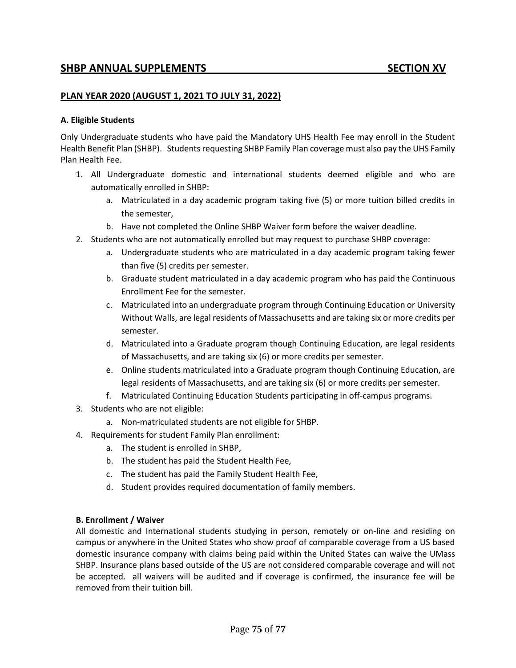## **PLAN YEAR 2020 (AUGUST 1, 2021 TO JULY 31, 2022)**

#### **A. Eligible Students**

Only Undergraduate students who have paid the Mandatory UHS Health Fee may enroll in the Student Health Benefit Plan (SHBP). Students requesting SHBP Family Plan coverage must also pay the UHS Family Plan Health Fee.

- 1. All Undergraduate domestic and international students deemed eligible and who are automatically enrolled in SHBP:
	- a. Matriculated in a day academic program taking five (5) or more tuition billed credits in the semester,
	- b. Have not completed the Online SHBP Waiver form before the waiver deadline.
- 2. Students who are not automatically enrolled but may request to purchase SHBP coverage:
	- a. Undergraduate students who are matriculated in a day academic program taking fewer than five (5) credits per semester.
	- b. Graduate student matriculated in a day academic program who has paid the Continuous Enrollment Fee for the semester.
	- c. Matriculated into an undergraduate program through Continuing Education or University Without Walls, are legal residents of Massachusetts and are taking six or more credits per semester.
	- d. Matriculated into a Graduate program though Continuing Education, are legal residents of Massachusetts, and are taking six (6) or more credits per semester.
	- e. Online students matriculated into a Graduate program though Continuing Education, are legal residents of Massachusetts, and are taking six (6) or more credits per semester.
	- f. Matriculated Continuing Education Students participating in off-campus programs.
- 3. Students who are not eligible:
	- a. Non-matriculated students are not eligible for SHBP.
- 4. Requirements for student Family Plan enrollment:
	- a. The student is enrolled in SHBP,
	- b. The student has paid the Student Health Fee,
	- c. The student has paid the Family Student Health Fee,
	- d. Student provides required documentation of family members.

#### **B. Enrollment / Waiver**

All domestic and International students studying in person, remotely or on-line and residing on campus or anywhere in the United States who show proof of comparable coverage from a US based domestic insurance company with claims being paid within the United States can waive the UMass SHBP. Insurance plans based outside of the US are not considered comparable coverage and will not be accepted. all waivers will be audited and if coverage is confirmed, the insurance fee will be removed from their tuition bill.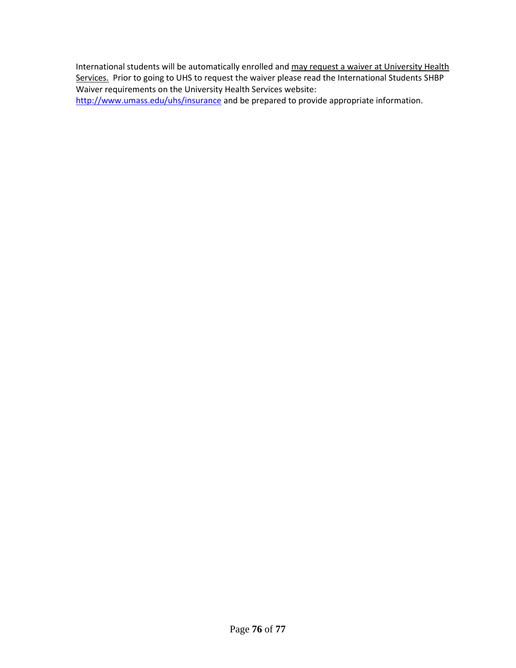International students will be automatically enrolled and may request a waiver at University Health Services. Prior to going to UHS to request the waiver please read the International Students SHBP Waiver requirements on the University Health Services website:

<http://www.umass.edu/uhs/insurance> and be prepared to provide appropriate information.